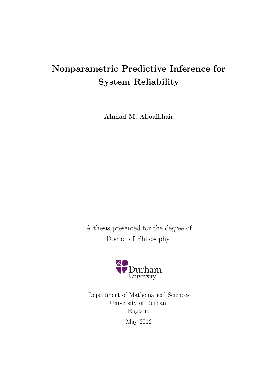# **Nonparametric Predictive Inference for System Reliability**

**Ahmad M. Aboalkhair**

A thesis presented for the degree of Doctor of Philosophy



Department of Mathematical Sciences University of Durham England May 2012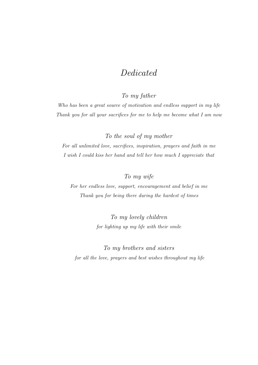# *Dedicated*

*To my father*

*Who has been a great source of motivation and endless support in my life Thank you for all your sacrifices for me to help me become what I am now*

*To the soul of my mother*

*For all unlimited love, sacrifices, inspiration, prayers and faith in me I wish I could kiss her hand and tell her how much I appreciate that*

## *To my wife*

*For her endless love, support, encouragement and belief in me Thank you for being there during the hardest of times*

> *To my lovely children for lighting up my life with their smile*

*To my brothers and sisters for all the love, prayers and best wishes throughout my life*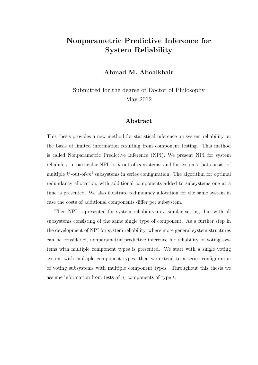# **Nonparametric Predictive Inference for System Reliability**

**Ahmad M. Aboalkhair**

Submitted for the degree of Doctor of Philosophy May 2012

#### **Abstract**

This thesis provides a new method for statistical inference on system reliability on the basis of limited information resulting from component testing. This method is called Nonparametric Predictive Inference (NPI). We present NPI for system reliability, in particular NPI for *k*-out-of-*m* systems, and for systems that consist of multiple  $k^i$ -out-of- $m^i$  subsystems in series configuration. The algorithm for optimal redundancy allocation, with additional components added to subsystems one at a time is presented. We also illustrate redundancy allocation for the same system in case the costs of additional components differ per subsystem.

Then NPI is presented for system reliability in a similar setting, but with all subsystems consisting of the same single type of component. As a further step in the development of NPI for system reliability, where more general system structures can be considered, nonparametric predictive inference for reliability of voting systems with multiple component types is presented. We start with a single voting system with multiple component types, then we extend to a series configuration of voting subsystems with multiple component types. Throughout this thesis we assume information from tests of *n<sup>t</sup>* components of type *t*.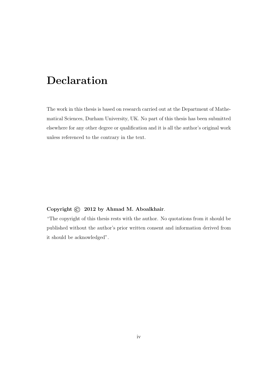# **Declaration**

The work in this thesis is based on research carried out at the Department of Mathematical Sciences, Durham University, UK. No part of this thesis has been submitted elsewhere for any other degree or qualification and it is all the author's original work unless referenced to the contrary in the text.

#### **Copyright** © **2012 by Ahmad M. Aboalkhair**.

"The copyright of this thesis rests with the author. No quotations from it should be published without the author's prior written consent and information derived from it should be acknowledged".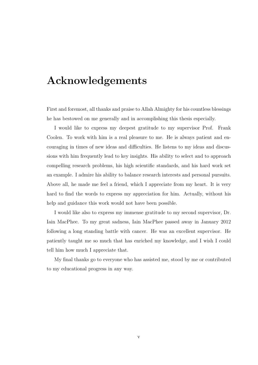# **Acknowledgements**

First and foremost, all thanks and praise to Allah Almighty for his countless blessings he has bestowed on me generally and in accomplishing this thesis especially.

I would like to express my deepest gratitude to my supervisor Prof. Frank Coolen. To work with him is a real pleasure to me. He is always patient and encouraging in times of new ideas and difficulties. He listens to my ideas and discussions with him frequently lead to key insights. His ability to select and to approach compelling research problems, his high scientific standards, and his hard work set an example. I admire his ability to balance research interests and personal pursuits. Above all, he made me feel a friend, which I appreciate from my heart. It is very hard to find the words to express my appreciation for him. Actually, without his help and guidance this work would not have been possible.

I would like also to express my immense gratitude to my second supervisor, Dr. Iain MacPhee. To my great sadness, Iain MacPhee passed away in January 2012 following a long standing battle with cancer. He was an excellent supervisor. He patiently taught me so much that has enriched my knowledge, and I wish I could tell him how much I appreciate that.

My final thanks go to everyone who has assisted me, stood by me or contributed to my educational progress in any way.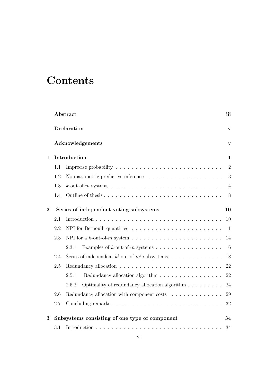# **Contents**

|                                                                                       | Abstract                                                     | iii            |  |  |  |
|---------------------------------------------------------------------------------------|--------------------------------------------------------------|----------------|--|--|--|
|                                                                                       | Declaration                                                  | iv             |  |  |  |
|                                                                                       | Acknowledgements                                             | $\mathbf{V}$   |  |  |  |
| $\mathbf{1}$                                                                          | Introduction                                                 | $\mathbf{1}$   |  |  |  |
|                                                                                       | 1.1                                                          | $\overline{2}$ |  |  |  |
| 1.2<br>Nonparametric predictive inference $\ldots \ldots \ldots \ldots \ldots \ldots$ |                                                              |                |  |  |  |
|                                                                                       | 1.3                                                          | $\overline{4}$ |  |  |  |
|                                                                                       | 1.4                                                          | 8              |  |  |  |
| $\overline{2}$                                                                        | Series of independent voting subsystems                      | 10             |  |  |  |
|                                                                                       | 2.1                                                          | 10             |  |  |  |
|                                                                                       | 2.2                                                          | 11             |  |  |  |
|                                                                                       | 2.3                                                          | 14             |  |  |  |
|                                                                                       | 2.3.1                                                        | 16             |  |  |  |
|                                                                                       | Series of independent $k^i$ -out-of- $m^i$ subsystems<br>2.4 | 18             |  |  |  |
|                                                                                       | 2.5                                                          | 22             |  |  |  |
|                                                                                       | Redundancy allocation algorithm<br>2.5.1                     | 22             |  |  |  |
|                                                                                       | Optimality of redundancy allocation algorithm<br>2.5.2       | 24             |  |  |  |
|                                                                                       | 2.6<br>Redundancy allocation with component costs            | 29             |  |  |  |
|                                                                                       | 2.7                                                          | 32             |  |  |  |
| 3                                                                                     | Subsystems consisting of one type of component               | 34             |  |  |  |
|                                                                                       | 3.1                                                          | 34             |  |  |  |
|                                                                                       |                                                              |                |  |  |  |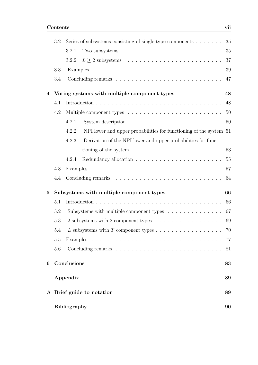|                           | 3.2 | Series of subsystems consisting of single-type components<br>35                 |    |  |  |  |  |  |
|---------------------------|-----|---------------------------------------------------------------------------------|----|--|--|--|--|--|
|                           |     | 3.2.1                                                                           | 35 |  |  |  |  |  |
|                           |     | 3.2.2                                                                           | 37 |  |  |  |  |  |
|                           | 3.3 |                                                                                 | 39 |  |  |  |  |  |
|                           | 3.4 |                                                                                 | 47 |  |  |  |  |  |
| 4                         |     | Voting systems with multiple component types                                    | 48 |  |  |  |  |  |
|                           | 4.1 |                                                                                 | 48 |  |  |  |  |  |
|                           | 4.2 |                                                                                 | 50 |  |  |  |  |  |
|                           |     | 4.2.1                                                                           | 50 |  |  |  |  |  |
|                           |     | NPI lower and upper probabilities for functioning of the system 51<br>4.2.2     |    |  |  |  |  |  |
|                           |     | Derivation of the NPI lower and upper probabilities for func-<br>4.2.3          |    |  |  |  |  |  |
|                           |     | tioning of the system $\ldots \ldots \ldots \ldots \ldots \ldots \ldots \ldots$ | 53 |  |  |  |  |  |
|                           |     | 4.2.4                                                                           | 55 |  |  |  |  |  |
|                           | 4.3 |                                                                                 | 57 |  |  |  |  |  |
|                           | 4.4 |                                                                                 | 64 |  |  |  |  |  |
| $\bf{5}$                  |     | Subsystems with multiple component types                                        | 66 |  |  |  |  |  |
|                           | 5.1 |                                                                                 | 66 |  |  |  |  |  |
|                           | 5.2 | Subsystems with multiple component types $\dots \dots \dots \dots$              | 67 |  |  |  |  |  |
|                           | 5.3 | 2 subsystems with 2 component types                                             | 69 |  |  |  |  |  |
|                           | 5.4 |                                                                                 | 70 |  |  |  |  |  |
|                           | 5.5 |                                                                                 | 77 |  |  |  |  |  |
|                           | 5.6 |                                                                                 | 81 |  |  |  |  |  |
| 6                         |     | Conclusions                                                                     | 83 |  |  |  |  |  |
|                           |     | Appendix                                                                        | 89 |  |  |  |  |  |
| A Brief guide to notation |     |                                                                                 |    |  |  |  |  |  |
|                           |     | <b>Bibliography</b>                                                             | 90 |  |  |  |  |  |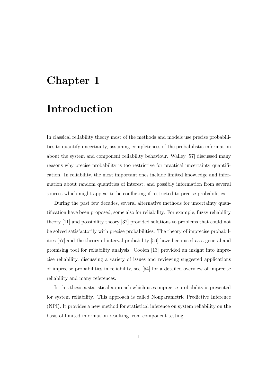# **Chapter 1**

# **Introduction**

In classical reliability theory most of the methods and models use precise probabilities to quantify uncertainty, assuming completeness of the probabilistic information about the system and component reliability behaviour. Walley [57] discussed many reasons why precise probability is too restrictive for practical uncertainty quantification. In reliability, the most important ones include limited knowledge and information about random quantities of interest, and possibly information from several sources which might appear to be conflicting if restricted to precise probabilities.

During the past few decades, several alternative methods for uncertainty quantification have been proposed, some also for reliability. For example, fuzzy reliability theory [11] and possibility theory [32] provided solutions to problems that could not be solved satisfactorily with precise probabilities. The theory of imprecise probabilities [57] and the theory of interval probability [59] have been used as a general and promising tool for reliability analysis. Coolen [13] provided an insight into imprecise reliability, discussing a variety of issues and reviewing suggested applications of imprecise probabilities in reliability, see [54] for a detailed overview of imprecise reliability and many references.

In this thesis a statistical approach which uses imprecise probability is presented for system reliability. This approach is called Nonparametric Predictive Inference (NPI). It provides a new method for statistical inference on system reliability on the basis of limited information resulting from component testing.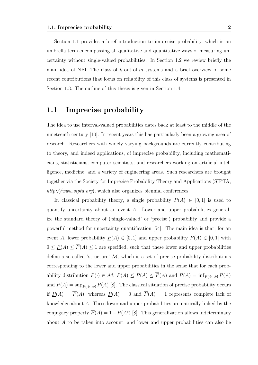Section 1.1 provides a brief introduction to imprecise probability, which is an umbrella term encompassing all qualitative and quantitative ways of measuring uncertainty without single-valued probabilities. In Section 1.2 we review briefly the main idea of NPI. The class of *k*-out-of-*m* systems and a brief overview of some recent contributions that focus on reliability of this class of systems is presented in Section 1.3. The outline of this thesis is given in Section 1.4.

#### **1.1 Imprecise probability**

The idea to use interval-valued probabilities dates back at least to the middle of the nineteenth century [10]. In recent years this has particularly been a growing area of research. Researchers with widely varying backgrounds are currently contributing to theory, and indeed applications, of imprecise probability, including mathematicians, statisticians, computer scientists, and researchers working on artificial intelligence, medicine, and a variety of engineering areas. Such researchers are brought together via the Society for Imprecise Probability Theory and Applications (SIPTA, *http://www.sipta.org*), which also organizes biennial conferences.

In classical probability theory, a single probability  $P(A) \in [0,1]$  is used to quantify uncertainty about an event *A*. Lower and upper probabilities generalize the standard theory of ('single-valued' or 'precise') probability and provide a powerful method for uncertainty quantification [54]. The main idea is that, for an event *A*, lower probability  $\underline{P}(A) \in [0,1]$  and upper probability  $\overline{P}(A) \in [0,1]$  with  $0 \leq P(A) \leq \overline{P}(A) \leq 1$  are specified, such that these lower and upper probabilities define a so-called 'structure'  $M$ , which is a set of precise probability distributions corresponding to the lower and upper probabilities in the sense that for each probability distribution  $P(\cdot) \in \mathcal{M}, \underline{P}(A) \leq P(A) \leq \overline{P}(A)$  and  $\underline{P}(A) = \inf_{P(\cdot) \in \mathcal{M}} P(A)$ and  $\overline{P}(A) = \sup_{P(\cdot) \in \mathcal{M}} P(A)$  [8]. The classical situation of precise probability occurs if  $\underline{P}(A) = \overline{P}(A)$ , whereas  $\underline{P}(A) = 0$  and  $\overline{P}(A) = 1$  represents complete lack of knowledge about *A*. These lower and upper probabilities are naturally linked by the conjugacy property  $\overline{P}(A) = 1 - \underline{P}(A^c)$  [8]. This generalization allows indeterminacy about *A* to be taken into account, and lower and upper probabilities can also be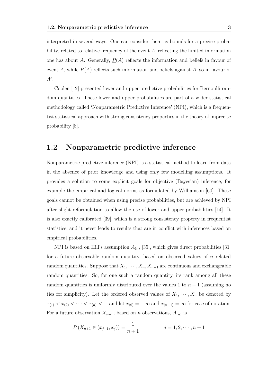interpreted in several ways. One can consider them as bounds for a precise probability, related to relative frequency of the event *A*, reflecting the limited information one has about *A*. Generally,  $P(A)$  reflects the information and beliefs in favour of event *A*, while  $\overline{P}(A)$  reflects such information and beliefs against *A*, so in favour of *Ac* .

Coolen [12] presented lower and upper predictive probabilities for Bernoulli random quantities. These lower and upper probabilities are part of a wider statistical methodology called 'Nonparametric Predictive Inference' (NPI), which is a frequentist statistical approach with strong consistency properties in the theory of imprecise probability [8].

## **1.2 Nonparametric predictive inference**

Nonparametric predictive inference (NPI) is a statistical method to learn from data in the absence of prior knowledge and using only few modelling assumptions. It provides a solution to some explicit goals for objective (Bayesian) inference, for example the empirical and logical norms as formulated by Williamson [60]. These goals cannot be obtained when using precise probabilities, but are achieved by NPI after slight reformulation to allow the use of lower and upper probabilities [14]. It is also exactly calibrated [39], which is a strong consistency property in frequentist statistics, and it never leads to results that are in conflict with inferences based on empirical probabilities.

NPI is based on Hill's assumption  $A_{(n)}$  [35], which gives direct probabilities [31] for a future observable random quantity, based on observed values of *n* related random quantities. Suppose that  $X_1, \cdots, X_n, X_{n+1}$  are continuous and exchangeable random quantities. So, for one such a random quantity, its rank among all these random quantities is uniformly distributed over the values 1 to  $n + 1$  (assuming no ties for simplicity). Let the ordered observed values of  $X_1, \dots, X_n$  be denoted by  $x_{(1)} < x_{(2)} < \cdots < x_{(n)} < 1$ , and let  $x_{(0)} = -\infty$  and  $x_{(n+1)} = \infty$  for ease of notation. For a future observation  $X_{n+1}$ , based on *n* observations,  $A_{(n)}$  is

$$
P(X_{n+1} \in (x_{j-1}, x_j)) = \frac{1}{n+1} \qquad j = 1, 2, \cdots, n+1
$$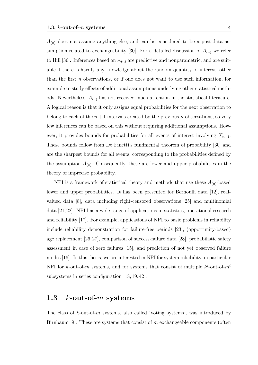$A_{(n)}$  does not assume anything else, and can be considered to be a post-data assumption related to exchangeability [30]. For a detailed discussion of  $A_{(n)}$  we refer to Hill [36]. Inferences based on  $A_{(n)}$  are predictive and nonparametric, and are suitable if there is hardly any knowledge about the random quantity of interest, other than the first *n* observations, or if one does not want to use such information, for example to study effects of additional assumptions underlying other statistical methods. Nevertheless,  $A_{(n)}$  has not received much attention in the statistical literature. A logical reason is that it only assigns equal probabilities for the next observation to belong to each of the  $n+1$  intervals created by the previous *n* observations, so very few inferences can be based on this without requiring additional assumptions. However, it provides bounds for probabilities for all events of interest involving  $X_{n+1}$ . These bounds follow from De Finetti's fundmental theorem of probability [30] and are the sharpest bounds for all events, corresponding to the probabilities defined by the assumption  $A_{(n)}$ . Consequently, these are lower and upper probabilities in the theory of imprecise probability.

NPI is a framework of statistical theory and methods that use these  $A_{(n)}$ -based lower and upper probabilities. It has been presented for Bernoulli data [12], realvalued data [8], data including right-censored observations [25] and multinomial data [21,22]. NPI has a wide range of applications in statistics, operational research and reliability [17]. For example, applications of NPI to basic problems in reliability include reliability demonstration for failure-free periods [23], (opportunity-based) age replacement [26,27], comparison of success-failure data [28], probabilistic safety assessment in case of zero failures [15], and prediction of not yet observed failure modes [16]. In this thesis, we are interested in NPI for system reliability, in particular NPI for *k*-out-of-*m* systems, and for systems that consist of multiple  $k^{i}$ -out-of- $m^{i}$ subsystems in series configuration [18, 19, 42].

## **1.3** *k***-out-of-***m* **systems**

The class of *k*-out-of-*m* systems, also called 'voting systems', was introduced by Birnbaum [9]. These are systems that consist of *m* exchangeable components (often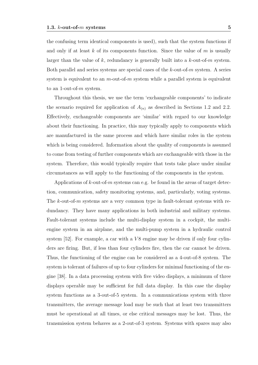the confusing term identical components is used), such that the system functions if and only if at least *k* of its components function. Since the value of *m* is usually larger than the value of *k*, redundancy is generally built into a *k*-out-of-*m* system. Both parallel and series systems are special cases of the *k*-out-of-*m* system. A series system is equivalent to an *m*-out-of-*m* system while a parallel system is equivalent to an 1-out-of-*m* system.

Throughout this thesis, we use the term 'exchangeable components' to indicate the scenario required for application of  $A_{(n)}$  as described in Sections 1.2 and 2.2. Effectively, exchangeable components are 'similar' with regard to our knowledge about their functioning. In practice, this may typically apply to components which are manufactured in the same process and which have similar roles in the system which is being considered. Information about the quality of components is assumed to come from testing of further components which are exchangeable with those in the system. Therefore, this would typically require that tests take place under similar circumstances as will apply to the functioning of the components in the system.

Applications of *k*-out-of-*m* systems can e.g. be found in the areas of target detection, communication, safety monitoring systems, and, particularly, voting systems. The *k*-out-of-*m* systems are a very common type in fault-tolerant systems with redundancy. They have many applications in both industrial and military systems. Fault-tolerant systems include the multi-display system in a cockpit, the multiengine system in an airplane, and the multi-pump system in a hydraulic control system [52]. For example, a car with a  $V8$  engine may be driven if only four cylinders are firing. But, if less than four cylinders fire, then the car cannot be driven. Thus, the functioning of the engine can be considered as a 4-out-of-8 system. The system is tolerant of failures of up to four cylinders for minimal functioning of the engine [38]. In a data processing system with five video displays, a minimum of three displays operable may be sufficient for full data display. In this case the display system functions as a 3-out-of-5 system. In a communications system with three transmitters, the average message load may be such that at least two transmitters must be operational at all times, or else critical messages may be lost. Thus, the transmission system behaves as a 2-out-of-3 system. Systems with spares may also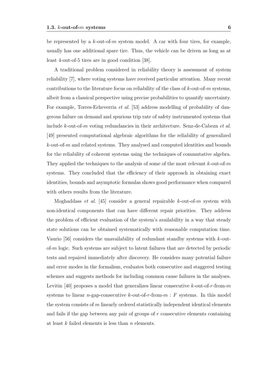be represented by a *k*-out-of-*m* system model. A car with four tires, for example, usually has one additional spare tire. Thus, the vehicle can be driven as long as at least 4-out-of-5 tires are in good condition [38].

A traditional problem considered in reliability theory is assessment of system reliability [7], where voting systems have received particular attention. Many recent contributions to the literature focus on reliability of the class of *k*-out-of-*m* systems, albeit from a classical perspective using precise probabilities to quantify uncertainty. For example, Torres-Echeverria *et al.* [53] address modelling of probability of dangerous failure on demand and spurious trip rate of safety instrumented systems that include *k*-out-of-*m* voting redundancies in their architecture. Senz-de-Cabezn *et al.* [49] presented computational algebraic algorithms for the reliability of generalized *k*-out-of-*m* and related systems. They analysed and computed identities and bounds for the reliability of coherent systems using the techniques of commutative algebra. They applied the techniques to the analysis of some of the most relevant *k*-out-of-*m* systems. They concluded that the efficiency of their approach in obtaining exact identities, bounds and asymptotic formulas shows good performance when compared with others results from the literature.

Moghaddass *et al.* [45] consider a general repairable *k*-out-of-*m* system with non-identical components that can have different repair priorities. They address the problem of efficient evaluation of the system's availability in a way that steady state solutions can be obtained systematically with reasonable computation time. Vaurio [56] considers the unavailability of redundant standby systems with *k*-outof-*m* logic. Such systems are subject to latent failures that are detected by periodic tests and repaired immediately after discovery. He considers many potential failure and error modes in the formalism, evaluates both consecutive and staggered testing schemes and suggests methods for including common cause failures in the analyses. Levitin [40] proposes a model that generalizes linear consecutive *k*-out-of-*r*-from-*m* systems to linear *n*-gap-consecutive *k*-out-of-*r*-from-*m* : *F* systems. In this model the system consists of *m* linearly ordered statistically independent identical elements and fails if the gap between any pair of groups of *r* consecutive elements containing at least *k* failed elements is less than *n* elements.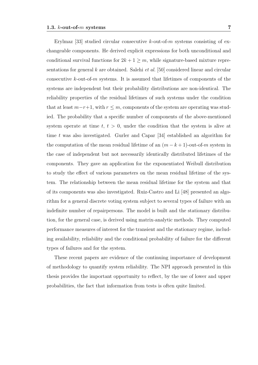Erylmaz [33] studied circular consecutive *k*-out-of-*m* systems consisting of exchangeable components. He derived explicit expressions for both unconditional and conditional survival functions for  $2k + 1 \ge m$ , while signature-based mixture representations for general *k* are obtained. Salehi *et al.* [50] considered linear and circular consecutive *k*-out-of-*m* systems. It is assumed that lifetimes of components of the systems are independent but their probability distributions are non-identical. The reliability properties of the residual lifetimes of such systems under the condition that at least  $m-r+1$ , with  $r \leq m$ , components of the system are operating was studied. The probability that a specific number of components of the above-mentioned system operate at time  $t, t > 0$ , under the condition that the system is alive at time *t* was also investigated. Gurler and Capar [34] established an algorithm for the computation of the mean residual lifetime of an  $(m - k + 1)$ -out-of-*m* system in the case of independent but not necessarily identically distributed lifetimes of the components. They gave an application for the exponentiated Weibull distribution to study the effect of various parameters on the mean residual lifetime of the system. The relationship between the mean residual lifetime for the system and that of its components was also investigated. Ruiz-Castro and Li [48] presented an algorithm for a general discrete voting system subject to several types of failure with an indefinite number of repairpersons. The model is built and the stationary distribution, for the general case, is derived using matrix-analytic methods. They computed performance measures of interest for the transient and the stationary regime, including availability, reliability and the conditional probability of failure for the different types of failures and for the system.

These recent papers are evidence of the continuing importance of development of methodology to quantify system reliability. The NPI approach presented in this thesis provides the important opportunity to reflect, by the use of lower and upper probabilities, the fact that information from tests is often quite limited.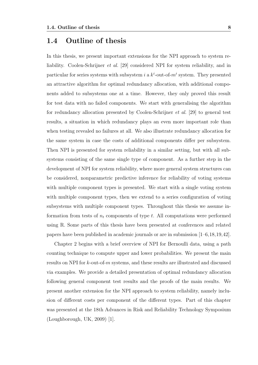## **1.4 Outline of thesis**

In this thesis, we present important extensions for the NPI approach to system reliability. Coolen-Schrijner *et al.* [29] considered NPI for system reliability, and in particular for series systems with subsystem *i* a  $k^i$ -out-of- $m^i$  system. They presented an attractive algorithm for optimal redundancy allocation, with additional components added to subsystems one at a time. However, they only proved this result for test data with no failed components. We start with generalising the algorithm for redundancy allocation presented by Coolen-Schrijner *et al.* [29] to general test results, a situation in which redundancy plays an even more important role than when testing revealed no failures at all. We also illustrate redundancy allocation for the same system in case the costs of additional components differ per subsystem. Then NPI is presented for system reliability in a similar setting, but with all subsystems consisting of the same single type of component. As a further step in the development of NPI for system reliability, where more general system structures can be considered, nonparametric predictive inference for reliability of voting systems with multiple component types is presented. We start with a single voting system with multiple component types, then we extend to a series configuration of voting subsystems with multiple component types. Throughout this thesis we assume information from tests of  $n_t$  components of type  $t$ . All computations were performed using R. Some parts of this thesis have been presented at conferences and related papers have been published in academic journals or are in submission [1–6,18,19,42].

Chapter 2 begins with a brief overview of NPI for Bernoulli data, using a path counting technique to compute upper and lower probabilities. We present the main results on NPI for *k*-out-of-*m* systems, and these results are illustrated and discussed via examples. We provide a detailed presentation of optimal redundancy allocation following general component test results and the proofs of the main results. We present another extension for the NPI approach to system reliability, namely inclusion of different costs per component of the different types. Part of this chapter was presented at the 18th Advances in Risk and Reliability Technology Symposium (Loughborough, UK, 2009) [1].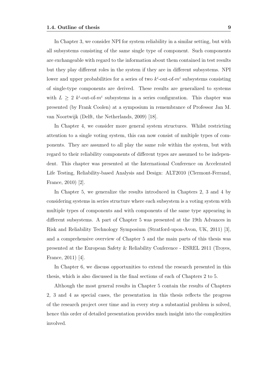In Chapter 3, we consider NPI for system reliability in a similar setting, but with all subsystems consisting of the same single type of component. Such components are exchangeable with regard to the information about them contained in test results but they play different roles in the system if they are in different subsystems. NPI lower and upper probabilities for a series of two  $k^{i}$ -out-of- $m^{i}$  subsystems consisting of single-type components are derived. These results are generalized to systems with  $L \geq 2$  *k*<sup>*i*</sup>-out-of- $m$ <sup>*i*</sup> subsystems in a series configuration. This chapter was presented (by Frank Coolen) at a symposium in remembrance of Professor Jan M. van Noortwijk (Delft, the Netherlands, 2009) [18].

In Chapter 4, we consider more general system structures. Whilst restricting attention to a single voting system, this can now consist of multiple types of components. They are assumed to all play the same role within the system, but with regard to their reliability components of different types are assumed to be independent. This chapter was presented at the International Conference on Accelerated Life Testing, Reliability-based Analysis and Design: ALT2010 (Clermont-Ferrand, France, 2010) [2].

In Chapter 5, we generalize the results introduced in Chapters 2, 3 and 4 by considering systems in series structure where each subsystem is a voting system with multiple types of components and with components of the same type appearing in different subsystems. A part of Chapter 5 was presented at the 19th Advances in Risk and Reliability Technology Symposium (Stratford-upon-Avon, UK, 2011) [3], and a comprehensive overview of Chapter 5 and the main parts of this thesis was presented at the European Safety & Reliability Conference - ESREL 2011 (Troyes, France, 2011) [4].

In Chapter 6, we discuss opportunities to extend the research presented in this thesis, which is also discussed in the final sections of each of Chapters 2 to 5.

Although the most general results in Chapter 5 contain the results of Chapters 2, 3 and 4 as special cases, the presentation in this thesis reflects the progress of the research project over time and in every step a substantial problem is solved, hence this order of detailed presentation provides much insight into the complexities involved.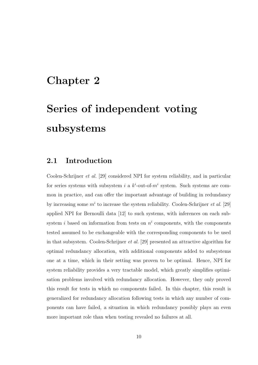# **Chapter 2**

# **Series of independent voting subsystems**

## **2.1 Introduction**

Coolen-Schrijner *et al.* [29] considered NPI for system reliability, and in particular for series systems with subsystem *i* a  $k^i$ -out-of- $m^i$  system. Such systems are common in practice, and can offer the important advantage of building in redundancy by increasing some  $m^i$  to increase the system reliability. Coolen-Schrijner *et al.* [29] applied NPI for Bernoulli data [12] to such systems, with inferences on each subsystem *i* based on information from tests on  $n<sup>i</sup>$  components, with the components tested assumed to be exchangeable with the corresponding components to be used in that subsystem. Coolen-Schrijner *et al.* [29] presented an attractive algorithm for optimal redundancy allocation, with additional components added to subsystems one at a time, which in their setting was proven to be optimal. Hence, NPI for system reliability provides a very tractable model, which greatly simplifies optimisation problems involved with redundancy allocation. However, they only proved this result for tests in which no components failed. In this chapter, this result is generalized for redundancy allocation following tests in which any number of components can have failed, a situation in which redundancy possibly plays an even more important role than when testing revealed no failures at all.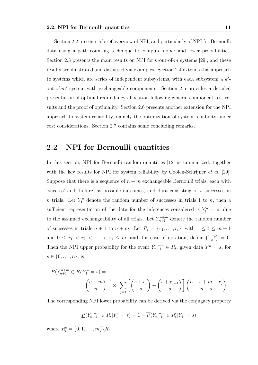Section 2.2 presents a brief overview of NPI, and particularly of NPI for Bernoulli data using a path counting technique to compute upper and lower probabilities. Section 2.3 presents the main results on NPI for *k*-out-of-*m* systems [29], and these results are illustrated and discussed via examples. Section 2.4 extends this approach to systems which are series of independent subsystems, with each subsystem a *k i* out-of-*m<sup>i</sup>* system with exchangeable components. Section 2.5 provides a detailed presentation of optimal redundancy allocation following general component test results and the proof of optimality. Section 2.6 presents another extension for the NPI approach to system reliability, namely the optimization of system reliability under cost considerations. Section 2.7 contains some concluding remarks.

## **2.2 NPI for Bernoulli quantities**

In this section, NPI for Bernoulli random quantities [12] is summarized, together with the key results for NPI for system reliability by Coolen-Schrijner *et al.* [29]. Suppose that there is a sequence of  $n + m$  exchangeable Bernoulli trials, each with 'success' and 'failure' as possible outcomes, and data consisting of *s* successes in *n* trials. Let  $Y_1^n$  denote the random number of successes in trials 1 to *n*, then a sufficient representation of the data for the inferences considered is  $Y_1^n = s$ , due to the assumed exchangeability of all trials. Let  $Y_{n+1}^{n+m}$  denote the random number of successes in trials  $n + 1$  to  $n + m$ . Let  $R_t = \{r_1, \ldots, r_t\}$ , with  $1 \le t \le m + 1$ and  $0 \leq r_1 < r_2 < \ldots < r_t \leq m$ , and, for ease of notation, define  $\binom{s+r_0}{s}$  $\binom{+r_0}{s} = 0.$ Then the NPI upper probability for the event  $Y_{n+1}^{n+m} \in R_t$ , given data  $Y_1^n = s$ , for *s ∈ {*0*, . . . , n}*, is

$$
\overline{P}(Y_{n+1}^{n+m} \in R_t | Y_1^n = s) =
$$
\n
$$
\binom{n+m}{n}^{-1} \times \sum_{j=1}^t \left[ \binom{s+r_j}{s} - \binom{s+r_{j-1}}{s} \right] \binom{n-s+m-r_j}{n-s}
$$

The corresponding NPI lower probability can be derived via the conjugacy property

$$
\underline{P}(Y_{n+1}^{n+m} \in R_t | Y_1^n = s) = 1 - \overline{P}(Y_{n+1}^{n+m} \in R_t^c | Y_1^n = s)
$$

where  $R_t^c = \{0, 1, \ldots, m\} \backslash R_t$ .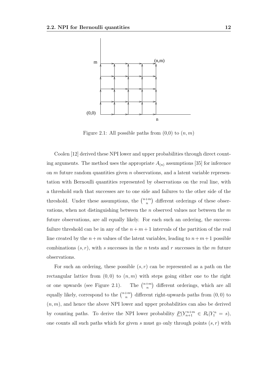

Figure 2.1: All possible paths from  $(0,0)$  to  $(n, m)$ 

Coolen [12] derived these NPI lower and upper probabilities through direct counting arguments. The method uses the appropriate  $A_{(n)}$  assumptions [35] for inference on *m* future random quantities given *n* observations, and a latent variable representation with Bernoulli quantities represented by observations on the real line, with a threshold such that successes are to one side and failures to the other side of the threshold. Under these assumptions, the  $\binom{n+m}{n}$ *n* ) different orderings of these observations, when not distinguishing between the *n* observed values nor between the *m* future observations, are all equally likely. For each such an ordering, the successfailure threshold can be in any of the  $n + m + 1$  intervals of the partition of the real line created by the  $n+m$  values of the latent variables, leading to  $n+m+1$  possible combinations (*s, r*), with *s* successes in the *n* tests and *r* successes in the *m* future observations.

For such an ordering, these possible  $(s, r)$  can be represented as a path on the rectangular lattice from  $(0,0)$  to  $(n,m)$  with steps going either one to the right or one upwards (see Figure 2.1). *n*+*m n* ) different orderings, which are all equally likely, correspond to the  $\binom{n+m}{n}$ *n* ) different right-upwards paths from (0*,* 0) to  $(n, m)$ , and hence the above NPI lower and upper probabilities can also be derived by counting paths. To derive the NPI lower probability  $\underline{P}(Y_{n+1}^{n+m} \in R_t | Y_1^n = s),$ one counts all such paths which for given *s* must go only through points (*s, r*) with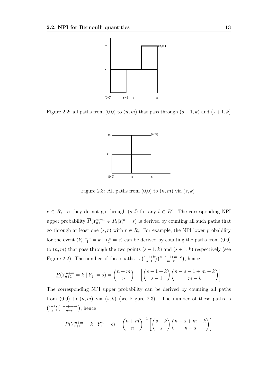

Figure 2.2: all paths from  $(0,0)$  to  $(n, m)$  that pass through  $(s - 1, k)$  and  $(s + 1, k)$ 



Figure 2.3: All paths from  $(0,0)$  to  $(n,m)$  via  $(s, k)$ 

*r* ∈ *R*<sub>*t*</sub>, so they do not go through  $(s, l)$  for any  $l \in R_t^c$ . The corresponding NPI upper probability  $\overline{P}(Y_{n+1}^{n+m} \in R_t | Y_1^n = s)$  is derived by counting all such paths that go through at least one  $(s, r)$  with  $r \in R_t$ . For example, the NPI lower probability for the event  $(Y_{n+1}^{n+m} = k \mid Y_1^n = s)$  can be derived by counting the paths from  $(0,0)$ to  $(n, m)$  that pass through the two points  $(s - 1, k)$  and  $(s + 1, k)$  respectively (see Figure 2.2). The number of these paths is  $\binom{s-1+k}{s-1}$ *s−*1 )(*<sup>n</sup>−s−*1+*m−<sup>k</sup> m−k* ) , hence

$$
\underline{P}(Y_{n+1}^{n+m} = k | Y_1^n = s) = {n+m \choose n}^{-1} \left[ {s-1+k \choose s-1} {n-s-1+m-k \choose m-k} \right]
$$

The corresponding NPI upper probability can be derived by counting all paths from  $(0,0)$  to  $(n,m)$  via  $(s,k)$  (see Figure 2.3). The number of these paths is ( *s*+*k s* )(*<sup>n</sup>−s*+*m−<sup>k</sup> n−s* ) , hence

$$
\overline{P}(Y_{n+1}^{n+m} = k \mid Y_1^n = s) = {n+m \choose n}^{-1} \left[ {s+k \choose s} {n-s+m-k \choose n-s} \right]
$$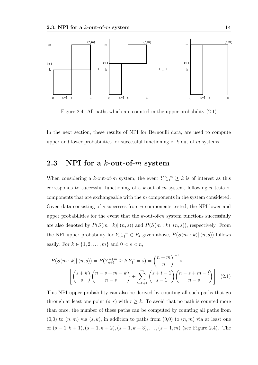

Figure 2.4: All paths which are counted in the upper probability (2.1)

In the next section, these results of NPI for Bernoulli data, are used to compute upper and lower probabilities for successful functioning of *k*-out-of-*m* systems.

## **2.3 NPI for a** *k***-out-of-***m* **system**

When considering a *k*-out-of-*m* system, the event  $Y_{n+1}^{n+m} \geq k$  is of interest as this corresponds to successful functioning of a *k*-out-of-*m* system, following *n* tests of components that are exchangeable with the *m* components in the system considered. Given data consisting of *s* successes from *n* components tested, the NPI lower and upper probabilities for the event that the *k*-out-of-*m* system functions successfully are also denoted by  $P(S(m:k) | (n, s))$  and  $\overline{P}(S(m:k) | (n, s))$ , respectively. From the NPI upper probability for  $Y_{n+1}^{n+m} \in R_t$  given above,  $\overline{P}(S(m:k) | (n,s))$  follows easily. For  $k \in \{1, 2, ..., m\}$  and  $0 < s < n$ ,

$$
\overline{P}(S(m:k) \mid (n,s)) = \overline{P}(Y_{n+1}^{n+m} \ge k | Y_1^n = s) = {n+m \choose n}^{-1} \times \left[ \binom{s+k}{s} {n-s+m-k \choose n-s} + \sum_{l=k+1}^m {s+l-1 \choose s-1} {n-s+m-l \choose n-s} \right] \tag{2.1}
$$

This NPI upper probability can also be derived by counting all such paths that go through at least one point  $(s, r)$  with  $r \geq k$ . To avoid that no path is counted more than once, the number of these paths can be computed by counting all paths from  $(0,0)$  to  $(n,m)$  via  $(s,k)$ , in addition to paths from  $(0,0)$  to  $(n,m)$  via at least one of (*s −* 1*, k* + 1)*,*(*s −* 1*, k* + 2)*,*(*s −* 1*, k* + 3)*, . . . ,*(*s −* 1*, m*) (see Figure 2.4). The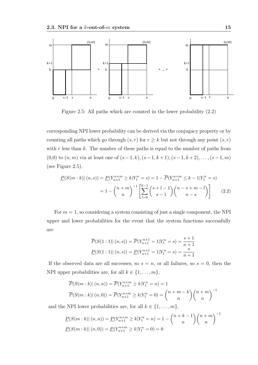

Figure 2.5: All paths which are counted in the lower probability (2.2)

corresponding NPI lower probability can be derived via the conjugacy property or by counting all paths which go through  $(s, r)$  for  $r \geq k$  but not through any point  $(s, r)$ with r less than *k*. The number of these paths is equal to the number of paths from (0,0) to (*n, m*) via at least one of (*s−*1*, k*)*,*(*s−*1*, k* + 1)*,*(*s−*1*, k* + 2)*, . . . ,*(*s−*1*, m*) (see Figure 2.5).

$$
\underline{P}(S(m:k) | (n,s)) = \underline{P}(Y_{n+1}^{n+m} \ge k | Y_1^n = s) = 1 - \overline{P}(Y_{n+1}^{n+m} \le k - 1 | Y_1^n = s)
$$

$$
= 1 - {n+m \choose n}^{-1} \left[ \sum_{l=0}^{k-1} {s+l-1 \choose s-1} {n-s+m-l \choose n-s} \right] \qquad (2.2)
$$

For  $m = 1$ , so considering a system consisting of just a single component, the NPI upper and lower probabilities for the event that the system functions successfully are

$$
\overline{P}(S(1:1)| (n,s)) = \overline{P}(Y_{n+1}^{n+1} = 1 | Y_1^n = s) = \frac{s+1}{n+1}
$$

$$
\underline{P}(S(1:1)| (n,s)) = \underline{P}(Y_{n+1}^{n+1} = 1 | Y_1^n = s) = \frac{s}{n+1}
$$

If the observed data are all successes, so  $s = n$ , or all failures, so  $s = 0$ , then the NPI upper probabilities are, for all  $k \in \{1, \ldots, m\}$ ,

$$
\overline{P}(S(m:k) | (n, n)) = \overline{P}(Y_{n+1}^{n+m} \ge k | Y_1^n = n) = 1
$$
  

$$
\overline{P}(S(m:k) | (n, 0)) = \overline{P}(Y_{n+1}^{n+m} \ge k | Y_1^n = 0) = {n+m-k \choose n} {n+m \choose n}^{-1}
$$

and the NPI lower probabilities are, for all  $k \in \{1, \ldots, m\}$ ,

$$
\underline{P}(S(m:k) | (n, n)) = \underline{P}(Y_{n+1}^{n+m} \ge k | Y_1^n = n) = 1 - {n+k-1 \choose n} {n+m \choose n}^{-1}
$$

$$
\underline{P}(S(m:k) | (n, 0)) = \underline{P}(Y_{n+1}^{n+m} \ge k | Y_1^n = 0) = 0
$$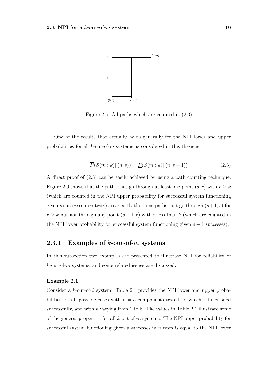

Figure 2.6: All paths which are counted in (2.3)

One of the results that actually holds generally for the NPI lower and upper probabilities for all *k*-out-of-*m* systems as considered in this thesis is

$$
\overline{P}(S(m:k) | (n,s)) = \underline{P}(S(m:k) | (n,s+1))
$$
\n(2.3)

A direct proof of (2.3) can be easily achieved by using a path counting technique. Figure 2.6 shows that the paths that go through at least one point  $(s, r)$  with  $r \geq k$ (which are counted in the NPI upper probability for successful system functioning given *s* successes in *n* tests) ara exactly the same paths that go through  $(s+1,r)$  for  $r \geq k$  but not through any point  $(s+1,r)$  with *r* less than *k* (which are counted in the NPI lower probability for successful system functioning given  $s + 1$  successes).

#### **2.3.1 Examples of** *k***-out-of-***m* **systems**

In this subsection two examples are presented to illustrate NPI for reliability of *k*-out-of-*m* systems, and some related issues are discussed.

#### **Example 2.1**

Consider a *k*-out-of-6 system. Table 2.1 provides the NPI lower and upper probabilities for all possible cases with  $n = 5$  components tested, of which *s* functioned successfully, and with *k* varying from 1 to 6. The values in Table 2.1 illustrate some of the general properties for all *k*-out-of-*m* systems. The NPI upper probability for successful system functioning given *s* successes in *n* tests is equal to the NPI lower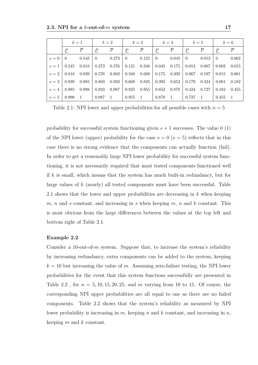|       | $k=1$        |                |                             | $k=2$          |                             | $k=3$          |                  | $k=4$          |                  | $k=5$          |                             | $k=6$          |
|-------|--------------|----------------|-----------------------------|----------------|-----------------------------|----------------|------------------|----------------|------------------|----------------|-----------------------------|----------------|
|       | $\mathbf{P}$ | $\overline{P}$ | $\mathcal{P}_{\mathcal{L}}$ | $\overline{P}$ | $\mathcal{P}_{\mathcal{L}}$ | $\overline{P}$ | $\boldsymbol{P}$ | $\overline{P}$ | $\boldsymbol{P}$ | $\overline{P}$ | $\mathcal{P}_{\mathcal{L}}$ | $\overline{P}$ |
| $s=0$ | $\Omega$     | 0.545          | -0                          | 0.273          | $\theta$                    | 0.121          | $\Omega$         | 0.045          | $\theta$         | 0.013          | $\left( \right)$            | 0.002          |
| $s=1$ | 0.545        | 0.818          | 0.273                       | 0.576          | 0.121                       | 0.348          | 0.045            | 0.175          | 0.013            | 0.067          | 0.002                       | 0.015          |
| $s=2$ | 0.818        | 0.939          | 0.576                       | 0.803          | 0.348                       | 0.608          | 0.175            | 0.392          | 0.067            | 0.197          | 0.015                       | 0.061          |
| $s=3$ | 0.939        | 0.985          | 0.803                       | 0.933          | 0.608                       | 0.825          | 0.392            | 0.652          | 0.179            | 0.424          | 0.061                       | 0.182          |
| $s=4$ | 0.985        | 0.998          | 0.933                       | 0.987          | 0.825                       | 0.955          | 0.652            | 0.878          | 0.424            | 0.727          | 0.182                       | 0.455          |
| $s=5$ | 0.998        |                | 0.987                       | $\overline{1}$ | 0.955                       | -1             | 0.878            |                | 0.727            |                | 0.455                       | $\overline{1}$ |

Table 2.1: NPI lower and upper probabilities for all possible cases with  $n = 5$ 

probability for successful system functioning given *s* + 1 successes. The value 0 (1) of the NPI lower (upper) probability for the case  $s = 0$  ( $s = 5$ ) reflects that in this case there is no strong evidence that the components can actually function (fail). In order to get a reasonably large NPI lower probability for successful system functioning, it is not necessarily required that most tested components functioned well if *k* is small, which means that the system has much built-in redundancy, but for large values of *k* (nearly) all tested components must have been successful. Table 2.1 shows that the lower and upper probabilities are decreasing in *k* when keeping *m*, *n* and *s* constant, and increasing in *s* when keeping *m*, *n* and *k* constant. This is most obvious from the large differences between the values at the top left and bottom right of Table 2.1.

#### **Example 2.2**

Consider a 10-out-of-*m* system. Suppose that, to increase the system's reliability by increasing redundancy, extra components can be added to the system, keeping  $k = 10$  but increasing the value of *m*. Assuming zero-failure testing, the NPI lower probabilities for the event that this system functions successfully are presented in Table 2.2 , for *n* = 5*,* 10*,* 15*,* 20*,* 25, and *m* varying from 10 to 15. Of course, the corresponding NPI upper probabilities are all equal to one as there are no failed components. Table 2.2 shows that the system's reliability as measured by NPI lower probability is increasing in *m*, keeping *n* and *k* constant, and increasing in *n*, keeping *m* and *k* constant.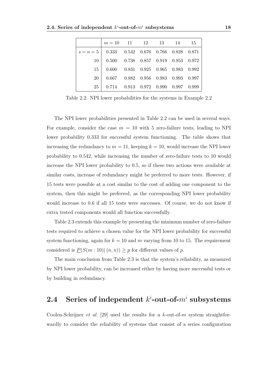|                                                   | $m = 10$ 11 12 13 14 15                         |  |  |  |
|---------------------------------------------------|-------------------------------------------------|--|--|--|
| $s = n = 5$   0.333 0.542 0.676 0.766 0.828 0.871 |                                                 |  |  |  |
| 10                                                | $0.500$ $0.738$ $0.857$ $0.919$ $0.953$ $0.972$ |  |  |  |
| 15                                                | $0.600$ $0.831$ $0.925$ $0.965$ $0.983$ $0.992$ |  |  |  |
| 20                                                | $0.667$ $0.882$ $0.956$ $0.983$ $0.993$ $0.997$ |  |  |  |
| 25                                                | $0.714$ $0.913$ $0.972$ $0.990$ $0.997$ $0.999$ |  |  |  |

Table 2.2: NPI lower probabilities for the systems in Example 2.2

The NPI lower probabilities presented in Table 2.2 can be used in several ways. For example, consider the case  $m = 10$  with 5 zero-failure tests, leading to NPI lower probability 0.333 for successful system functioning. The table shows that increasing the redundancy to  $m = 11$ , keeping  $k = 10$ , would increase the NPI lower probability to 0.542, while increasing the number of zero-failure tests to 10 would increase the NPI lower probability to 0.5, so if these two actions were available at similar costs, increase of redundancy might be preferred to more tests. However, if 15 tests were possible at a cost similar to the cost of adding one component to the system, then this might be preferred, as the corresponding NPI lower probability would increase to 0.6 if all 15 tests were successes. Of course, we do not know if extra tested components would all function successfully.

Table 2.3 extends this example by presenting the minimum number of zero-failure tests required to achieve a chosen value for the NPI lower probability for successful system functioning, again for  $k = 10$  and  $m$  varying from 10 to 15. The requirement considered is  $P(S(m: 10) | (n, n)) \geq p$  for different values of *p*.

The main conclusion from Table 2.3 is that the system's reliability, as measured by NPI lower probability, can be increased either by having more successful tests or by building in redundancy.

# $2.4$  Series of independent  $k^i$ -out-of- $m^i$  subsystems

Coolen-Schrijner *et al.* [29] used the results for a *k*-out-of-*m* system straightforwardly to consider the reliability of systems that consist of a series configuration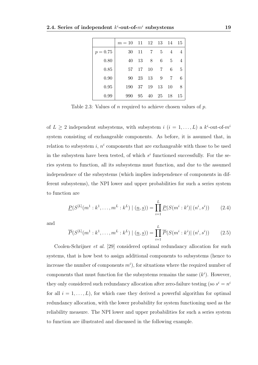|            | $m=10$ | 11 | - 12 | - 13          | - 14 | 15             |
|------------|--------|----|------|---------------|------|----------------|
| $p = 0.75$ | 30     | 11 | 7    | $\frac{5}{2}$ | 4    | 4              |
| 0.80       | 40     | 13 | 8    | 6             | 5    | $\overline{4}$ |
| 0.85       | 57     | 17 | 10   | 7             | 6    | -5             |
| 0.90       | 90     | 23 | 13   | 9             |      | 6              |
| 0.95       | 190    | 37 | 19   | 13            | 10   | 8              |
| 0.99       | 990    | 95 | 40   | -25           | 18   | 15             |

Table 2.3: Values of *n* required to achieve chosen values of *p*.

of  $L \geq 2$  independent subsystems, with subsystem *i*  $(i = 1, \ldots, L)$  a  $k^{i}$ -out-of- $m^{i}$ system consisting of exchangeable components. As before, it is assumed that, in relation to subsystem  $i, n^i$  components that are exchangeable with those to be used in the subsystem have been tested, of which  $s^i$  functioned successfully. For the series system to function, all its subsystems must function, and due to the assumed independence of the subsystems (which implies independence of components in different subsystems), the NPI lower and upper probabilities for such a series system to function are

$$
\underline{P}(S^{[L]}(m^1:k^1,\ldots,m^L:k^L) \mid (\underline{n},\underline{s})) = \prod_{i=1}^L \underline{P}(S(m^i:k^i) \mid (n^i,s^i)) \tag{2.4}
$$

and

$$
\overline{P}(S^{[L]}(m^1:k^1,\ldots,m^L:k^L) \mid (\underline{n},\underline{s})) = \prod_{i=1}^L \overline{P}(S(m^i:k^i) \mid (n^i,s^i)) \tag{2.5}
$$

Coolen-Schrijner *et al.* [29] considered optimal redundancy allocation for such systems, that is how best to assign additional components to subsystems (hence to increase the number of components  $m<sup>i</sup>$ ), for situations where the required number of components that must function for the subsystems remains the same  $(k<sup>i</sup>)$ . However, they only considered such redundancy allocation after zero-failure testing (so  $s^i = n^i$ ) for all  $i = 1, \ldots, L$ , for which case they derived a powerful algorithm for optimal redundancy allocation, with the lower probability for system functioning used as the reliability measure. The NPI lower and upper probabilities for such a series system to function are illustrated and discussed in the following example.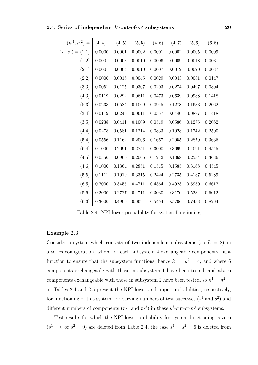| $(m^1, m^2) =$       | (4, 4)     | (4, 5) | (5, 5) | (4, 6)     | (4, 7) | (5, 6)     | (6, 6) |
|----------------------|------------|--------|--------|------------|--------|------------|--------|
| $(s^1, s^2) = (1,1)$ | $0.0000\,$ | 0.0001 | 0.0002 | 0.0001     | 0.0002 | $0.0005\,$ | 0.0009 |
| (1,2)                | 0.0001     | 0.0003 | 0.0010 | $0.0006\,$ | 0.0009 | 0.0018     | 0.0037 |
| (2,1)                | 0.0001     | 0.0004 | 0.0010 | 0.0007     | 0.0012 | 0.0020     | 0.0037 |
| (2,2)                | 0.0006     | 0.0016 | 0.0045 | 0.0029     | 0.0043 | 0.0081     | 0.0147 |
| (3,3)                | 0.0051     | 0.0125 | 0.0307 | 0.0203     | 0.0274 | 0.0497     | 0.0804 |
| (4,3)                | 0.0119     | 0.0292 | 0.0611 | 0.0473     | 0.0639 | 0.0988     | 0.1418 |
| (5,3)                | 0.0238     | 0.0584 | 0.1009 | 0.0945     | 0.1278 | 0.1633     | 0.2062 |
| (3,4)                | 0.0119     | 0.0249 | 0.0611 | 0.0357     | 0.0440 | 0.0877     | 0.1418 |
| (3,5)                | 0.0238     | 0.0411 | 0.1009 | 0.0519     | 0.0586 | 0.1275     | 0.2062 |
| (4,4)                | 0.0278     | 0.0581 | 0.1214 | 0.0833     | 0.1028 | 0.1742     | 0.2500 |
| (5,4)                | 0.0556     | 0.1162 | 0.2006 | 0.1667     | 0.2055 | 0.2879     | 0.3636 |
| (6,4)                | 0.1000     | 0.2091 | 0.2851 | 0.3000     | 0.3699 | 0.4091     | 0.4545 |
| (4,5)                | 0.0556     | 0.0960 | 0.2006 | $0.1212\,$ | 0.1368 | 0.2534     | 0.3636 |
| (4,6)                | 0.1000     | 0.1364 | 0.2851 | 0.1515     | 0.1585 | 0.3168     | 0.4545 |
| (5,5)                | 0.1111     | 0.1919 | 0.3315 | 0.2424     | 0.2735 | 0.4187     | 0.5289 |
| (6,5)                | 0.2000     | 0.3455 | 0.4711 | 0.4364     | 0.4923 | 0.5950     | 0.6612 |
| (5,6)                | 0.2000     | 0.2727 | 0.4711 | 0.3030     | 0.3170 | 0.5234     | 0.6612 |
| (6, 6)               | 0.3600     | 0.4909 | 0.6694 | 0.5454     | 0.5706 | 0.7438     | 0.8264 |

Table 2.4: NPI lower probability for system functioning

#### **Example 2.3**

Consider a system which consists of two independent subsystems (so  $L = 2$ ) in a series configuration, where for each subsystem 4 exchangeable components must function to ensure that the subsystem functions, hence  $k^1 = k^2 = 4$ , and where 6 components exchangeable with those in subsystem 1 have been tested, and also 6 components exchangeable with those in subsystem 2 have been tested, so  $n^1 = n^2 =$ 6. Tables 2.4 and 2.5 present the NPI lower and upper probabilities, respectively, for functioning of this system, for varying numbers of test successes  $(s^1 \text{ and } s^2)$  and different numbers of components  $(m^1 \text{ and } m^2)$  in these  $k^i$ -out-of- $m^i$  subsystems.

Test results for which the NPI lower probability for system functioning is zero  $(s<sup>1</sup> = 0 \text{ or } s<sup>2</sup> = 0)$  are deleted from Table 2.4, the case  $s<sup>1</sup> = s<sup>2</sup> = 6$  is deleted from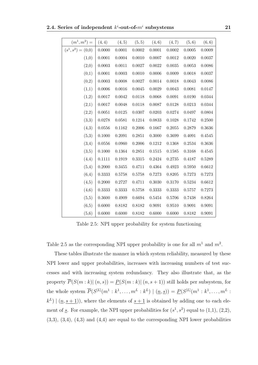$2.4.$  Series of independent  $k^{i}$ -out-of- $m^{i}$  subsystems  $21$ 

| $(m^1, m^2) =$       | (4, 4)     | (4, 5)     | (5, 5)     | (4, 6)       | (4, 7)       | (5, 6)       | (6, 6) |
|----------------------|------------|------------|------------|--------------|--------------|--------------|--------|
| $(s^1, s^2) = (0,0)$ | 0.0000     | $0.0001\,$ | $0.0002\,$ | 0.0001       | $0.0002\,$   | $0.0005\,$   | 0.0009 |
| (1,0)                | 0.0001     | 0.0004     | 0.0010     | 0.0007       | 0.0012       | 0.0020       | 0.0037 |
| (2,0)                | $0.0003\,$ | $0.0011\,$ | 0.0027     | $0.0022\,$   | $\,0.0035\,$ | $0.0053\,$   | 0.0086 |
| (0,1)                | 0.0001     | 0.0003     | 0.0010     | 0.0006       | 0.0009       | 0.0018       | 0.0037 |
| (0,2)                | 0.0003     | 0.0008     | 0.0027     | 0.0014       | 0.0018       | 0.0043       | 0.0086 |
| (1,1)                | 0.0006     | 0.0016     | 0.0045     | 0.0029       | 0.0043       | 0.0081       | 0.0147 |
| (1,2)                | 0.0017     | 0.0042     | 0.0118     | 0.0068       | $\,0.0091\,$ | $0.0190\,$   | 0.0344 |
| (2,1)                | 0.0017     | 0.0048     | $0.0118\,$ | 0.0087       | 0.0128       | $\,0.0213\,$ | 0.0344 |
| (2,2)                | 0.0051     | $0.0125\,$ | 0.0307     | $\,0.0203\,$ | $\,0.0274\,$ | 0.0497       | 0.0804 |
| (3,3)                | 0.0278     | 0.0581     | 0.1214     | 0.0833       | 0.1028       | 0.1742       | 0.2500 |
| (4,3)                | 0.0556     | 0.1162     | 0.2006     | 0.1667       | 0.2055       | 0.2879       | 0.3636 |
| (5,3)                | 0.1000     | 0.2091     | 0.2851     | 0.3000       | 0.3699       | 0.4091       | 0.4545 |
| (3,4)                | $0.0556\,$ | 0.0960     | 0.2006     | 0.1212       | 0.1368       | 0.2534       | 0.3636 |
| (3,5)                | 0.1000     | 0.1364     | $0.2851\,$ | 0.1515       | 0.1585       | 0.3168       | 0.4545 |
| (4,4)                | 0.1111     | 0.1919     | 0.3315     | 0.2424       | 0.2735       | 0.4187       | 0.5289 |
| (5,4)                | 0.2000     | 0.3455     | 0.4711     | 0.4364       | 0.4923       | $0.5950\,$   | 0.6612 |
| (6,4)                | 0.3333     | 0.5758     | 0.5758     | 0.7273       | 0.8205       | 0.7273       | 0.7273 |
| (4,5)                | 0.2000     | 0.2727     | 0.4711     | 0.3030       | 0.3170       | $0.5234\,$   | 0.6612 |
| (4,6)                | 0.3333     | 0.3333     | 0.5758     | 0.3333       | 0.3333       | 0.5757       | 0.7273 |
| (5,5)                | 0.3600     | 0.4909     | 0.6694     | 0.5454       | 0.5706       | 0.7438       | 0.8264 |
| (6,5)                | 0.6000     | 0.8182     | 0.8182     | 0.9091       | 0.9510       | 0.9091       | 0.9091 |
| (5,6)                | 0.6000     | 0.6000     | 0.8182     | 0.6000       | 0.6000       | $0.8182\,$   | 0.9091 |

Table 2.5: NPI upper probability for system functioning

Table 2.5 as the corresponding NPI upper probability is one for all  $m<sup>1</sup>$  and  $m<sup>2</sup>$ .

These tables illustrate the manner in which system reliability, measured by these NPI lower and upper probabilities, increases with increasing numbers of test successes and with increasing system redundancy. They also illustrate that, as the property  $\overline{P}(S(m:k) | (n,s)) = \underline{P}(S(m:k) | (n,s+1))$  still holds per subsystem, for the whole system  $\overline{P}(S^{[L]}(m^1 : k^1, \ldots, m^L : k^L) \mid ( \underline{n}, \underline{s})) = \underline{P}(S^{[L]}(m^1 : k^1, \ldots, m^L : k^L))$  $(k<sup>L</sup>) | (n, s + 1)$ , where the elements of  $s + 1$  is obtained by adding one to each element of <u>s</u>. For example, the NPI upper probabilities for  $(s<sup>1</sup>, s<sup>2</sup>)$  equal to  $(1,1)$ ,  $(2,2)$ ,  $(3,3), (3,4), (4,3)$  and  $(4,4)$  are equal to the corresponding NPI lower probabilities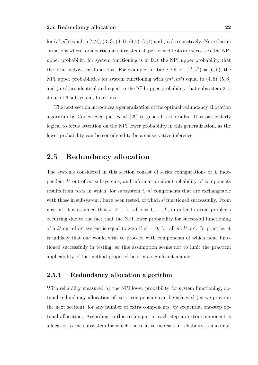for  $(s^1, s^2)$  equal to  $(2,2), (3,3), (4,4), (4,5), (5,4)$  and  $(5,5)$  respectively. Note that in situations where for a particular subsystem all performed tests are successes, the NPI upper probability for system functioning is in fact the NPI upper probability that the other subsystem functions. For example, in Table 2.5 for  $(s^1, s^2) = (6, 5)$ , the NPI upper probabilities for system functioning with  $(m^1, m^2)$  equal to  $(4, 6)$ ,  $(5, 6)$ and (6*,* 6) are identical and equal to the NPI upper probability that subsystem 2, a 4-out-of-6 subsystem, functions.

The next section introduces a generalization of the optimal redundancy allocation algorithm by Coolen-Schrijner *et al.* [29] to general test results. It is particularly logical to focus attention on the NPI lower probability in this generalization, as the lower probability can be considered to be a conservative inference.

## **2.5 Redundancy allocation**

The systems considered in this section consist of series configurations of *L* independent  $k^i$ -out-of- $m^i$  subsystems, and information about reliability of components results from tests in which, for subsystem  $i$ ,  $n<sup>i</sup>$  components that are exchangeable with those in subsystem  $i$  have been tested, of which  $s<sup>i</sup>$  functioned successfully. From now on, it is assumed that  $s^i \geq 1$  for all  $i = 1, \ldots, L$ , in order to avoid problems occurring due to the fact that the NPI lower probability for successful functioning of a  $k^{i}$ -out-of- $m^{i}$  system is equal to zero if  $s^{i} = 0$ , for all  $n^{i}$ ,  $k^{i}$ ,  $m^{i}$ . In practice, it is unlikely that one would wish to proceed with components of which none functioned successfully in testing, so this assumption seems not to limit the practical applicability of the method proposed here in a significant manner.

#### **2.5.1 Redundancy allocation algorithm**

With reliability measured by the NPI lower probability for system functioning, optimal redundancy allocation of extra components can be achieved (as we prove in the next section), for any number of extra components, by sequential one-step optimal allocation. According to this technique, at each step an extra component is allocated to the subsystem for which the relative increase in reliability is maximal.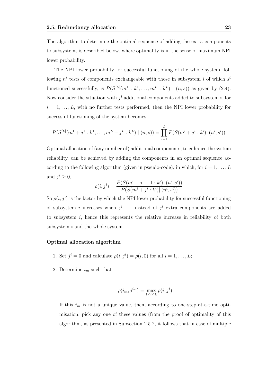The algorithm to determine the optimal sequence of adding the extra components to subsystems is described below, where optimality is in the sense of maximum NPI lower probability.

The NPI lower probability for successful functioning of the whole system, following  $n^i$  tests of components exchangeable with those in subsystem *i* of which  $s^i$ functioned successfully, is  $P(S^{[L]}(m^1 : k^1, \ldots, m^L : k^L) \mid (n, s))$  as given by (2.4). Now consider the situation with  $j^i$  additional components added to subsystem  $i$ , for  $i = 1, \ldots, L$ , with no further tests performed, then the NPI lower probability for successful functioning of the system becomes

$$
\underline{P}(S^{[L]}(m^{1}+j^{1}:k^{1},\ldots,m^{L}+j^{L}:k^{L}) \mid (\underline{n},\underline{s})) = \prod_{i=1}^{L} \underline{P}(S(m^{i}+j^{i}:k^{i}) \mid (n^{i},s^{i}))
$$

Optimal allocation of (any number of) additional components, to enhance the system reliability, can be achieved by adding the components in an optimal sequence according to the following algorithm (given in pseudo-code), in which, for  $i = 1, \ldots, L$ and  $j^i \geq 0$ ,

$$
\rho(i,j^i) = \frac{P(S(m^i + j^i + 1 : k^i) | (n^i, s^i))}{P(S(m^i + j^i : k^i) | (n^i, s^i))}
$$

So  $\rho(i, j^i)$  is the factor by which the NPI lower probability for successful functioning of subsystem *i* increases when  $j^{i} + 1$  instead of  $j^{i}$  extra components are added to subsystem *i*, hence this represents the relative increase in reliability of both subsystem *i* and the whole system.

#### **Optimal allocation algorithm**

- 1. Set  $j^i = 0$  and calculate  $\rho(i, j^i) = \rho(i, 0)$  for all  $i = 1, \ldots, L$ ;
- 2. Determine  $i_m$  such that

$$
\rho(i_m, j^{i_m}) = \max_{1 \le i \le L} \rho(i, j^i)
$$

If this  $i_m$  is not a unique value, then, according to one-step-at-a-time optimisation, pick any one of these values (from the proof of optimality of this algorithm, as presented in Subsection 2.5.2, it follows that in case of multiple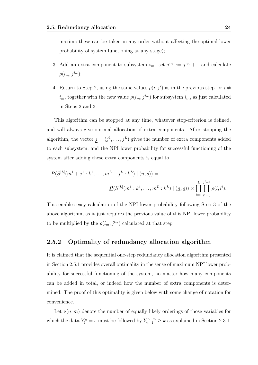maxima these can be taken in any order without affecting the optimal lower probability of system functioning at any stage);

- 3. Add an extra component to subsystem  $i_m$ : set  $j^{i_m} := j^{i_m} + 1$  and calculate  $\rho(i_m, j^{i_m});$
- 4. Return to Step 2, using the same values  $\rho(i, j^i)$  as in the previous step for  $i \neq j$ *i*<sup>*m*</sup>, together with the new value  $\rho(i_m, j^{i_m})$  for subsystem  $i_m$ , as just calculated in Steps 2 and 3.

This algorithm can be stopped at any time, whatever stop-criterion is defined, and will always give optimal allocation of extra components. After stopping the algorithm, the vector  $j = (j^1, \ldots, j^L)$  gives the number of extra components added to each subsystem, and the NPI lower probability for successful functioning of the system after adding these extra components is equal to

$$
\underline{P}(S^{[L]}(m^1+j^1:k^1,\ldots,m^L+j^L:k^L) \mid (n,s)) =
$$
\n
$$
\underline{P}(S^{[L]}(m^1:k^1,\ldots,m^L:k^L) \mid (n,s)) \times \prod_{i=1}^L \prod_{l^i=0}^{j^i-1} \rho(i,l^i).
$$

This enables easy calculation of the NPI lower probability following Step 3 of the above algorithm, as it just requires the previous value of this NPI lower probability to be multiplied by the  $\rho(i_m, j^{i_m})$  calculated at that step.

#### **2.5.2 Optimality of redundancy allocation algorithm**

It is claimed that the sequential one-step redundancy allocation algorithm presented in Section 2.5.1 provides overall optimality in the sense of maximum NPI lower probability for successful functioning of the system, no matter how many components can be added in total, or indeed how the number of extra components is determined. The proof of this optimality is given below with some change of notation for convenience.

Let  $\nu(n,m)$  denote the number of equally likely orderings of those variables for which the data  $Y_1^n = s$  must be followed by  $Y_{n+1}^{n+m} \geq k$  as explained in Section 2.3.1.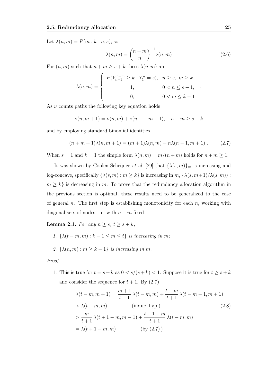Let  $\lambda(n,m) = P(m:k|n,s)$ , so

$$
\lambda(n,m) = \binom{n+m}{n}^{-1} \nu(n,m) \tag{2.6}
$$

*.*

For  $(n, m)$  such that  $n + m \geq s + k$  these  $\lambda(n, m)$  are

$$
\lambda(n, m) = \begin{cases} \n\frac{P(Y_{n+1}^{n+m} \ge k \mid Y_1^n = s), & n \ge s, \ m \ge k \\
1, & 0 < n \le s - 1, \\
0, & 0 < m \le k - 1\n\end{cases}
$$

As  $\nu$  counts paths the following key equation holds

$$
\nu(n, m + 1) = \nu(n, m) + \nu(n - 1, m + 1), \quad n + m \ge s + k
$$

and by employing standard binomial identities

$$
(n+m+1)\lambda(n,m+1) = (m+1)\lambda(n,m) + n\lambda(n-1,m+1) .
$$
 (2.7)

When  $s = 1$  and  $k = 1$  the simple form  $\lambda(n, m) = m/(n + m)$  holds for  $n + m \ge 1$ .

It was shown by Coolen-Schrijner *et al.* [29] that  $\{\lambda(s,m)\}_m$  is increasing and log-concave, specifically  $\{\lambda(s, m) : m \geq k\}$  is increasing in  $m$ ,  $\{\lambda(s, m+1)/\lambda(s, m)\}$ :  $m \geq k$  is decreasing in *m*. To prove that the redundancy allocation algorithm in the previous section is optimal, these results need to be generalized to the case of general *n*. The first step is establishing monotonicity for each *n*, working with diagonal sets of nodes, i.e. with  $n + m$  fixed.

**Lemma 2.1.** *For any*  $n \geq s$ ,  $t \geq s + k$ *,* 

- *1.*  $\{\lambda(t m, m) : k 1 \leq m \leq t\}$  *is increasing in m*;
- 2.  $\{\lambda(n, m) : m \geq k 1\}$  *is increasing in m*.

#### *Proof.*

1. This is true for  $t = s + k$  as  $0 < s/(s + k) < 1$ . Suppose it is true for  $t \geq s + k$ and consider the sequence for  $t + 1$ . By  $(2.7)$ 

$$
\lambda(t - m, m + 1) = \frac{m+1}{t+1} \lambda(t - m, m) + \frac{t-m}{t+1} \lambda(t - m - 1, m + 1)
$$
  
>  $\lambda(t - m, m)$  (induc. hyp.)  
>  $\frac{m}{t+1} \lambda(t + 1 - m, m - 1) + \frac{t+1-m}{t+1} \lambda(t - m, m)$   
=  $\lambda(t + 1 - m, m)$  (by (2.7))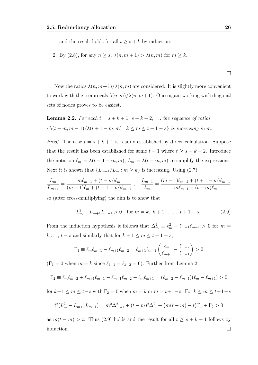and the result holds for all  $t \geq s + k$  by induction.

2. By (2.8), for any  $n \ge s$ ,  $\lambda(n, m + 1) > \lambda(n, m)$  for  $m \ge k$ .

Now the ratios  $\lambda(n, m+1)/\lambda(n, m)$  are considered. It is slightly more convenient to work with the reciprocals  $\lambda(n, m)/\lambda(n, m+1)$ . Once again working with diagonal sets of nodes proves to be easiest.

**Lemma 2.2.** For each 
$$
t = s + k + 1
$$
,  $s + k + 2$ , ... the sequence of ratios  $\{\lambda(t - m, m - 1)/\lambda(t + 1 - m, m) : k \le m \le t + 1 - s\}$  is increasing in m.

*Proof.* The case  $t = s + k + 1$  is readily established by direct calculation. Suppose that the result has been established for some  $t-1$  where  $t \geq s+k+2$ . Introduce the notation  $\ell_m = \lambda(t - 1 - m, m)$ ,  $L_m = \lambda(t - m, m)$  to simplify the expressions. Next it is shown that  ${L_{m-1}/L_m : m \ge k}$  is increasing. Using (2.7)

$$
\frac{L_m}{L_{m+1}} = \frac{m\ell_{m-1} + (t-m)\ell_m}{(m+1)\ell_m + (t-1-m)\ell_{m+1}}, \quad \frac{L_{m-1}}{L_m} = \frac{(m-1)\ell_{m-2} + (t+1-m)\ell_{m-1}}{m\ell_{m-1} + (t-m)\ell_m}
$$

so (after cross-multiplying) the aim is to show that

$$
L_m^2 - L_{m+1}L_{m-1} > 0 \quad \text{for } m = k, \ k+1, \ \dots \ , \ t+1-s. \tag{2.9}
$$

From the induction hypothesis it follows that  $\Delta_m^2 \equiv \ell_m^2 - \ell_{m+1}\ell_{m-1} > 0$  for  $m =$ *k*,..., *t* − *s* and similarly that for  $k + 1 \le m \le t + 1 - s$ ,

$$
\Gamma_1 \equiv \ell_m \ell_{m-1} - \ell_{m+1} \ell_{m-2} = \ell_{m+1} \ell_{m-1} \left( \frac{\ell_m}{\ell_{m+1}} - \frac{\ell_{m-2}}{\ell_{m-1}} \right) > 0
$$

 $(\Gamma_1 = 0 \text{ when } m = k \text{ since } \ell_{k-1} = \ell_{k-2} = 0).$  Further from Lemma 2.1

$$
\Gamma_2 \equiv \ell_m \ell_{m-2} + \ell_{m+1} \ell_{m-1} - \ell_{m+1} \ell_{m-2} - \ell_m \ell_{m+1} = (\ell_{m-2} - \ell_{m-1})(\ell_m - \ell_{m+1}) > 0
$$

 $f(x) = f(x) + 1 \le m \le t - s$  with  $\Gamma_2 = 0$  when  $m = k$  or  $m = t + 1 - s$ . For  $k \le m \le t + 1 - s$ 

$$
t^{2}(L_{m}^{2} - L_{m+1}L_{m-1}) = m^{2}\Delta_{m-1}^{2} + (t - m)^{2}\Delta_{m}^{2} + (m(t - m) - t)\Gamma_{1} + \Gamma_{2} > 0
$$

as  $m(t - m) > t$ . Thus (2.9) holds and the result for all  $t \geq s + k + 1$  follows by induction. $\Box$ 

 $\Box$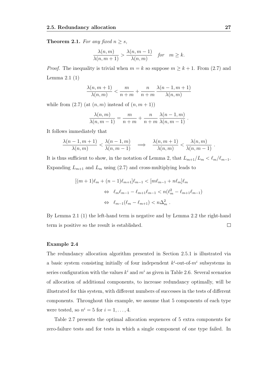**Theorem 2.1.** *For any fixed*  $n \geq s$ *,* 

$$
\frac{\lambda(n,m)}{\lambda(n,m+1)} > \frac{\lambda(n,m-1)}{\lambda(n,m)} \quad \text{for} \quad m \ge k.
$$

*Proof.* The inequality is trivial when  $m = k$  so suppose  $m \geq k + 1$ . From (2.7) and Lemma 2.1 (1)

$$
\frac{\lambda(n, m+1)}{\lambda(n, m)} < \frac{m}{n + m} + \frac{n}{n + m} \frac{\lambda(n - 1, m + 1)}{\lambda(n, m)}
$$

while from  $(2.7)$  (at  $(n, m)$  instead of  $(n, m + 1)$ )

$$
\frac{\lambda(n,m)}{\lambda(n,m-1)} = \frac{m}{n+m} + \frac{n}{n+m} \frac{\lambda(n-1,m)}{\lambda(n,m-1)}.
$$

It follows immediately that

$$
\frac{\lambda(n-1,m+1)}{\lambda(n,m)} < \frac{\lambda(n-1,m)}{\lambda(n,m-1)} \quad \Longrightarrow \quad \frac{\lambda(n,m+1)}{\lambda(n,m)} < \frac{\lambda(n,m)}{\lambda(n,m-1)} \ .
$$

It is thus sufficient to show, in the notation of Lemma 2, that  $L_{m+1}/L_m < \ell_m/\ell_{m-1}$ . Expanding  $L_{m+1}$  and  $L_m$  using (2.7) and cross-multiplying leads to

$$
[(m+1)\ell_m + (n-1)\ell_{m+1}]\ell_{m-1} < [m\ell_{m-1} + n\ell_m]\ell_m
$$
\n
$$
\Leftrightarrow \ell_m\ell_{m-1} - \ell_{m+1}\ell_{m-1} < n(\ell_m^2 - \ell_{m+1}\ell_{m-1})
$$
\n
$$
\Leftrightarrow \ell_{m-1}(\ell_m - \ell_{m+1}) < n\Delta_m^2.
$$

By Lemma 2.1 (1) the left-hand term is negative and by Lemma 2.2 the right-hand term is positive so the result is established.  $\Box$ 

#### **Example 2.4**

The redundancy allocation algorithm presented in Section 2.5.1 is illustrated via a basic system consisting initially of four independent  $k^i$ -out-of- $m^i$  subsystems in series configuration with the values  $k^i$  and  $m^i$  as given in Table 2.6. Several scenarios of allocation of additional components, to increase redundancy optimally, will be illustrated for this system, with different numbers of successes in the tests of different components. Throughout this example, we assume that 5 components of each type were tested, so  $n^i = 5$  for  $i = 1, \ldots, 4$ .

Table 2.7 presents the optimal allocation sequences of 5 extra components for zero-failure tests and for tests in which a single component of one type failed. In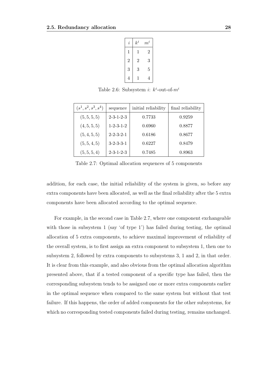| $\dot{\imath}$ | $k^i$          | $m^i$          |
|----------------|----------------|----------------|
| 1              | 1              | $\overline{2}$ |
| $\overline{2}$ | $\overline{2}$ | 3              |
| 3              | 3              | 5              |
| 4              | $\mathbf 1$    | 4              |

Table 2.6: Subsystem *i*:  $k^i$ -out-of- $m^i$ 

| $(s^1, s^2, s^3, s^4)$ | sequence            | initial reliability | final reliability |
|------------------------|---------------------|---------------------|-------------------|
| (5, 5, 5, 5)           | $2 - 3 - 1 - 2 - 3$ | 0.7733              | 0.9259            |
| (4, 5, 5, 5)           | $1 - 2 - 3 - 1 - 2$ | 0.6960              | 0.8877            |
| (5, 4, 5, 5)           | $2 - 2 - 3 - 2 - 1$ | 0.6186              | 0.8677            |
| (5, 5, 4, 5)           | $3 - 2 - 3 - 3 - 1$ | 0.6227              | 0.8479            |
| (5, 5, 5, 4)           | $2 - 3 - 1 - 2 - 3$ | 0.7485              | 0.8963            |

Table 2.7: Optimal allocation sequences of 5 components

addition, for each case, the initial reliability of the system is given, so before any extra components have been allocated, as well as the final reliability after the 5 extra components have been allocated according to the optimal sequence.

For example, in the second case in Table 2.7, where one component exchangeable with those in subsystem 1 (say 'of type  $1$ ') has failed during testing, the optimal allocation of 5 extra components, to achieve maximal improvement of reliability of the overall system, is to first assign an extra component to subsystem 1, then one to subsystem 2, followed by extra components to subsystems 3, 1 and 2, in that order. It is clear from this example, and also obvious from the optimal allocation algorithm presented above, that if a tested component of a specific type has failed, then the corresponding subsystem tends to be assigned one or more extra components earlier in the optimal sequence when compared to the same system but without that test failure. If this happens, the order of added components for the other subsystems, for which no corresponding tested components failed during testing, remains unchanged.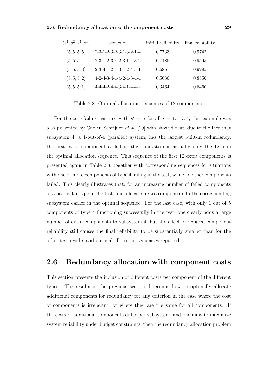| $(s^1, s^2, s^3, s^4)$ | sequence                                        | initial reliability | final reliability |
|------------------------|-------------------------------------------------|---------------------|-------------------|
| (5, 5, 5, 5)           | $2 - 3 - 1 - 2 - 3 - 2 - 3 - 1 - 3 - 2 - 1 - 4$ | 0.7733              | 0.9742            |
| (5, 5, 5, 4)           | $2 - 3 - 1 - 2 - 3 - 4 - 2 - 3 - 1 - 4 - 3 - 2$ | 0.7485              | 0.9595            |
| (5, 5, 5, 3)           | $2 - 3 - 4 - 1 - 2 - 4 - 3 - 4 - 2 - 4 - 3 - 1$ | 0.6867              | 0.9295            |
| (5, 5, 5, 2)           | $4-2-4-3-4-1-4-2-4-3-4-4$                       | 0.5630              | 0.8556            |
| (5, 5, 5, 1)           | $4 - 4 - 4 - 2 - 4 - 4 - 3 - 4 - 1 - 4 - 4 - 2$ | 0.3464              | 0.6460            |

Table 2.8: Optimal allocation sequences of 12 components

For the zero-failure case, so with  $s^i = 5$  for all  $i = 1, \ldots, 4$ , this example was also presented by Coolen-Schrijner *et al.* [29] who showed that, due to the fact that subsystem 4, a 1-out-of-4 (parallel) system, has the largest built-in redundancy, the first extra component added to this subsystem is actually only the 12th in the optimal allocation sequence. This sequence of the first 12 extra components is presented again in Table 2.8, together with corresponding sequences for situations with one or more components of type 4 failing in the test, while no other components failed. This clearly illustrates that, for an increasing number of failed components of a particular type in the test, one allocates extra components to the corresponding subsystem earlier in the optimal sequence. For the last case, with only 1 out of 5 components of type 4 functioning successfully in the test, one clearly adds a large number of extra components to subsystem 4, but the effect of reduced component reliability still causes the final reliability to be substantially smaller than for the other test results and optimal allocation sequences reported.

## **2.6 Redundancy allocation with component costs**

This section presents the inclusion of different costs per component of the different types. The results in the previous section determine how to optimally allocate additional components for redundancy for any criterion in the case where the cost of components is irrelevant, or where they are the same for all components. If the costs of additional components differ per subsystem, and one aims to maximize system reliability under budget constraints, then the redundancy allocation problem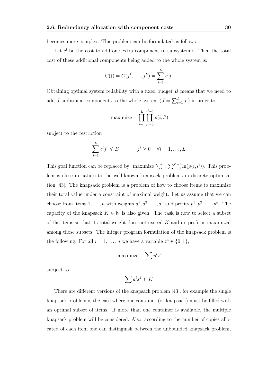becomes more complex. This problem can be formulated as follows:

Let  $c^i$  be the cost to add one extra component to subsystem *i*. Then the total cost of these additional components being added to the whole system is:

$$
C(j) = C(j^1, ..., j^L) = \sum_{i=1}^{L} c^i j^i
$$

Obtaining optimal system reliability with a fixed budget *B* means that we need to add *J* additional components to the whole system  $(J = \sum_{i=1}^{L} j^i)$  in order to

maximize 
$$
\prod_{i=1}^{L} \prod_{l'=0}^{j^i-1} \rho(i, l^i)
$$

subject to the restriction

$$
\sum_{i=1}^{L} c^i j^i \leq B \qquad \qquad j^i \geq 0 \quad \forall i = 1, \dots, L
$$

This goal function can be replaced by: maximize  $\sum_{i=1}^{L} \sum_{l^{i}=0}^{j^{i}-1} \ln(\rho(i, l^{i}))$ . This problem is close in nature to the well-known knapsack problems in discrete optimisation [43]. The knapsack problem is a problem of how to choose items to maximize their total value under a constraint of maximal weight. Let us assume that we can choose from items  $1, \ldots, n$  with weights  $a^1, a^2, \ldots, a^n$  and profits  $p^1, p^2, \ldots, p^n$ . The capacity of the knapsack  $K \in \mathbb{N}$  is also given. The task is now to select a subset of the items so that its total weight does not exceed *K* and its profit is maximized among those subsets. The integer program formulation of the knapsack problem is the following. For all  $i = 1, ..., n$  we have a variable  $x^i \in \{0, 1\}$ ,

$$
\text{maximize} \quad \sum p^i x^i
$$

subject to

$$
\sum a^ix^i\leqslant K
$$

There are different versions of the knapsack problem [43], for example the single knapsack problem is the case where one container (or knapsack) must be filled with an optimal subset of items. If more than one container is available, the multiple knapsack problem will be considered. Also, according to the number of copies allocated of each item one can distinguish between the unbounded knapsack problem,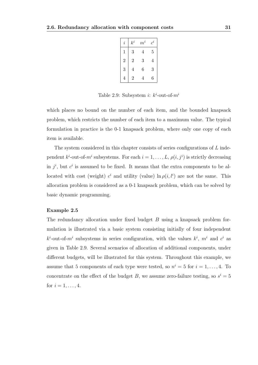| $\it i$        | $k^i\,$        | $m^i$ | $\boldsymbol{c}^i$ |
|----------------|----------------|-------|--------------------|
| 1              | 3              | 4     | 5                  |
| $\overline{2}$ | $\overline{2}$ | 3     | 4                  |
| 3              | $\overline{4}$ | 6     | 3                  |
|                | 2              | 4     | 6                  |

Table 2.9: Subsystem *i*:  $k^i$ -out-of- $m^i$ 

which places no bound on the number of each item, and the bounded knapsack problem, which restricts the number of each item to a maximum value. The typical formulation in practice is the 0-1 knapsack problem, where only one copy of each item is available.

The system considered in this chapter consists of series configurations of *L* independent  $k^i$ -out-of- $m^i$  subsystems. For each  $i = 1, \ldots, L$ ,  $\rho(i, j^i)$  is strictly decreasing in  $j^i$ , but  $c^i$  is assumed to be fixed. It means that the extra components to be allocated with cost (weight)  $c^i$  and utility (value)  $\ln \rho(i, l^i)$  are not the same. This allocation problem is considered as a 0-1 knapsack problem, which can be solved by basic dynamic programming.

#### **Example 2.5**

The redundancy allocation under fixed budget *B* using a knapsack problem formulation is illustrated via a basic system consisting initially of four independent  $k^{i}$ -out-of- $m^{i}$  subsystems in series configuration, with the values  $k^{i}$ ,  $m^{i}$  and  $c^{i}$  as given in Table 2.9. Several scenarios of allocation of additional components, under different budgets, will be illustrated for this system. Throughout this example, we assume that 5 components of each type were tested, so  $n^i = 5$  for  $i = 1, \ldots, 4$ . To concentrate on the effect of the budget *B*, we assume zero-failure testing, so  $s^i = 5$ for  $i = 1, ..., 4$ .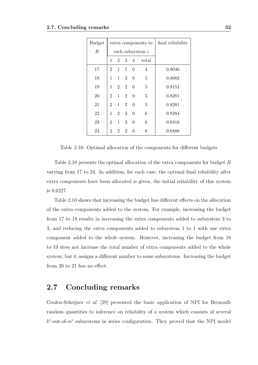| <b>Budget</b> |                |                   |                | extra components to | final reliability  |        |
|---------------|----------------|-------------------|----------------|---------------------|--------------------|--------|
| B             |                |                   |                |                     | each subsystem $i$ |        |
|               | 1              | $2^{\circ}$       | $\mathbf{3}$   | $\overline{4}$      | total              |        |
| 17            | $\overline{2}$ | $\mathbf{1}$      | $\mathbf{1}$   | $\overline{0}$      | $\overline{4}$     | 0.8046 |
| 18            | 1              | 1                 | 3 <sup>1</sup> | 0                   | 5                  | 0.8082 |
| 19            |                | $1\quad 2\quad 2$ |                | $\Omega$            | 5                  | 0.8151 |
| 20            | $\overline{2}$ | $\mathbf{1}$      | $\overline{2}$ | $\theta$            | 5                  | 0.8281 |
| 21            | $\overline{2}$ |                   | $1\quad 2$     | $\theta$            | 5                  | 0.8281 |
| 22            | $1 \quad$      | $2^{\circ}$       | 3 <sup>1</sup> | $\overline{0}$      | 6                  | 0.8284 |
| 23            | $\overline{2}$ | $\mathbf{1}$      | 3              | $\theta$            | 6                  | 0.8416 |
| 24            | $\overline{2}$ | $2^{\circ}$       | $\overline{2}$ | 0                   | 6                  | 0.8488 |

Table 2.10: Optimal allocation of the components for different budgets

Table 2.10 presents the optimal allocation of the extra components for budget *B* varying from 17 to 24. In addition, for each case, the optimal final reliability after extra components have been allocated is given, the initial reliability of this system is 0.6227.

Table 2.10 shows that increasing the budget has different effects on the allocation of the extra components added to the system. For example, increasing the budget from 17 to 18 results in increasing the extra components added to subsystem 3 to 3, and reducing the extra components added to subsystem 1 to 1 with one extra component added to the whole system. However, increasing the budget from 18 to 19 does not increase the total number of extra components added to the whole system, but it assigns a different number to some subsystems. Increasing the budget from 20 to 21 has no effect.

## **2.7 Concluding remarks**

Coolen-Schrijner *et al.* [29] presented the basic application of NPI for Bernoulli random quantities to inference on reliability of a system which consists of several  $k^i$ -out-of- $m^i$  subsystems in series configuration. They proved that the NPI model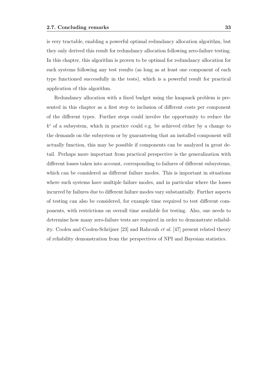is very tractable, enabling a powerful optimal redundancy allocation algorithm, but they only derived this result for redundancy allocation following zero-failure testing. In this chapter, this algorithm is proven to be optimal for redundancy allocation for such systems following any test results (as long as at least one component of each type functioned successfully in the tests), which is a powerful result for practical application of this algorithm.

Redundancy allocation with a fixed budget using the knapsack problem is presented in this chapter as a first step to inclusion of different costs per component of the different types. Further steps could involve the opportunity to reduce the  $k^i$  of a subsystem, which in practice could e.g. be achieved either by a change to the demands on the subsystem or by guaranteeing that an installed component will actually function, this may be possible if components can be analyzed in great detail. Perhaps more important from practical perspective is the generalization with different losses taken into account, corresponding to failures of different subsystems, which can be considered as different failure modes. This is important in situations where such systems have multiple failure modes, and in particular where the losses incurred by failures due to different failure modes vary substantially. Further aspects of testing can also be considered, for example time required to test different components, with restrictions on overall time available for testing. Also, one needs to determine how many zero-failure tests are required in order to demonstrate reliability. Coolen and Coolen-Schrijner [23] and Rahrouh *et al.* [47] present related theory of reliability demonstration from the perspectives of NPI and Bayesian statistics.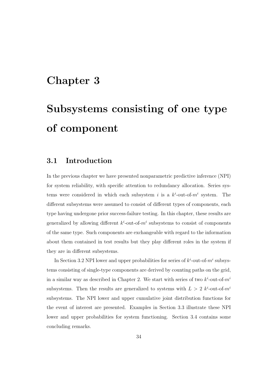# **Chapter 3**

# **Subsystems consisting of one type of component**

## **3.1 Introduction**

In the previous chapter we have presented nonparametric predictive inference (NPI) for system reliability, with specific attention to redundancy allocation. Series systems were considered in which each subsystem *i* is a  $k^i$ -out-of- $m^i$  system. The different subsystems were assumed to consist of different types of components, each type having undergone prior success-failure testing. In this chapter, these results are generalized by allowing different  $k^i$ -out-of- $m^i$  subsystems to consist of components of the same type. Such components are exchangeable with regard to the information about them contained in test results but they play different roles in the system if they are in different subsystems.

In Section 3.2 NPI lower and upper probabilities for series of  $k^i$ -out-of- $m^i$  subsystems consisting of single-type components are derived by counting paths on the grid, in a similar way as described in Chapter 2. We start with series of two  $k^{i}$ -out-of- $m^{i}$ subsystems. Then the results are generalized to systems with  $L > 2$   $k^{i}$ -out-of- $m^{i}$ subsystems. The NPI lower and upper cumulative joint distribution functions for the event of interest are presented. Examples in Section 3.3 illustrate these NPI lower and upper probabilities for system functioning. Section 3.4 contains some concluding remarks.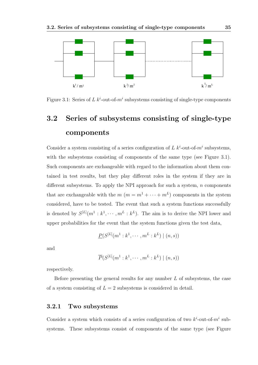

Figure 3.1: Series of  $L$   $k^{i}$ -out-of- $m^{i}$  subsystems consisting of single-type components

# **3.2 Series of subsystems consisting of single-type components**

Consider a system consisting of a series configuration of  $L$   $k^i$ -out-of- $m^i$  subsystems, with the subsystems consisting of components of the same type (see Figure 3.1). Such components are exchangeable with regard to the information about them contained in test results, but they play different roles in the system if they are in different subsystems. To apply the NPI approach for such a system, *n* components that are exchangeable with the  $m$   $(m = m<sup>1</sup> + \cdots + m<sup>L</sup>)$  components in the system considered, have to be tested. The event that such a system functions successfully is denoted by  $S^{[L]}(m^1 : k^1, \dots, m^L : k^L)$ . The aim is to derive the NPI lower and upper probabilities for the event that the system functions given the test data,

$$
\underline{P}(S^{[L]}(m^1 : k^1, \cdots, m^L : k^L) \mid (n, s))
$$

and

$$
\overline{P}(S^{[L]}(m^1:k^1,\cdots,m^L:k^L) \mid (n,s))
$$

respectively.

Before presenting the general results for any number *L* of subsystems, the case of a system consisting of  $L = 2$  subsystems is considered in detail.

### **3.2.1 Two subsystems**

Consider a system which consists of a series configuration of two  $k^i$ -out-of- $m^i$  subsystems. These subsystems consist of components of the same type (see Figure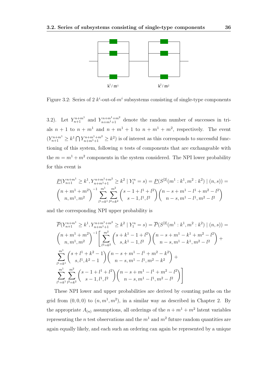

Figure 3.2: Series of 2  $k^i$ -out-of- $m^i$  subsystems consisting of single-type components

3.2). Let  $Y_{n+1}^{n+m^1}$  and  $Y_{n+m^1+1}^{n+m^2}$  denote the random number of successes in trials  $n + 1$  to  $n + m<sup>1</sup>$  and  $n + m<sup>1</sup> + 1$  to  $n + m<sup>1</sup> + m<sup>2</sup>$ , respectively. The event  $(Y_{n+1}^{n+m} \geq k^1 \bigcap Y_{n+m}^{n+m+1+m^2} \geq k^2)$  is of interest as this corresponds to successful functioning of this system, following *n* tests of components that are exchangeable with the  $m = m^1 + m^2$  components in the system considered. The NPI lower probability for this event is

$$
\underline{P}(Y_{n+1}^{n+m} \ge k^1, Y_{n+m}^{n+m} \ge k^2 \mid Y_1^n = s) = \underline{P}(S^{[2]}(m^1 : k^1, m^2 : k^2) \mid (n, s)) =
$$
\n
$$
\binom{n+m^1+m^2}{n, m^1, m^2} \sum_{l^1=k^1}^{m^1} \sum_{l^2=k^2}^{m^2} \binom{s-1+l^1+l^2}{s-1, l^1, l^2} \binom{n-s+m^1-l^1+m^2-l^2}{n-s, m^1-l^1, m^2-l^2}
$$

and the corresponding NPI upper probability is

$$
\overline{P}(Y_{n+1}^{n+m} \geq k^{1}, Y_{n+m^{1}+1}^{n+m^{1}+m^{2}} \geq k^{2} | Y_{1}^{n} = s) = \overline{P}(S^{[2]}(m^{1} : k^{1}, m^{2} : k^{2}) | (n, s)) =
$$
\n
$$
\binom{n+m^{1}+m^{2}}{n,m^{1},m^{2}}^{-1} \left[ \sum_{l^{2}=k^{2}}^{m^{2}} \binom{s+k^{1}-1+l^{2}}{s,k^{1}-1,l^{2}} \binom{n-s+m^{1}-k^{1}+m^{2}-l^{2}}{n-s,m^{1}-k^{1},m^{2}-l^{2}} \right] +
$$
\n
$$
\sum_{l^{1}=k^{1}}^{m^{1}} \binom{s+l^{1}+k^{2}-1}{s,l^{1},k^{2}-1} \binom{n-s+m^{1}-l^{1}+m^{2}-k^{2}}{n-s,m^{1}-l^{1},m^{2}-k^{2}} +
$$
\n
$$
\sum_{l^{1}=k^{1}}^{m^{1}} \sum_{l^{2}=k^{2}}^{m^{2}} \binom{s-1+l^{1}+l^{2}}{s-1,l^{1},l^{2}} \binom{n-s+m^{1}-l^{1}+m^{2}-l^{2}}{n-s,m^{1}-l^{1},m^{2}-l^{2}} \right]
$$

These NPI lower and upper probabilities are derived by counting paths on the grid from  $(0,0,0)$  to  $(n,m<sup>1</sup>,m<sup>2</sup>)$ , in a similar way as described in Chapter 2. By the appropriate  $A_{(n)}$  assumptions, all orderings of the  $n + m^1 + m^2$  latent variables representing the *n* test observations and the  $m<sup>1</sup>$  and  $m<sup>2</sup>$  future random quantities are again equally likely, and each such an ordering can again be represented by a unique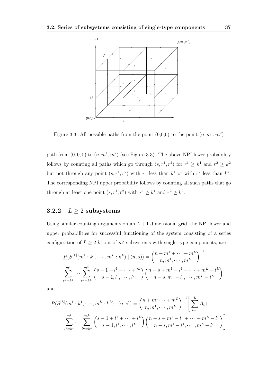

Figure 3.3: All possible paths from the point  $(0,0,0)$  to the point  $(n, m<sup>1</sup>, m<sup>2</sup>)$ 

path from  $(0,0,0)$  to  $(n,m<sup>1</sup>,m<sup>2</sup>)$  (see Figure 3.3). The above NPI lower probability follows by counting all paths which go through  $(s, r^1, r^2)$  for  $r^1 \geq k^1$  and  $r^2 \geq k^2$ but not through any point  $(s, r<sup>1</sup>, r<sup>2</sup>)$  with  $r<sup>1</sup>$  less than  $k<sup>1</sup>$  or with  $r<sup>2</sup>$  less than  $k<sup>2</sup>$ . The corresponding NPI upper probability follows by counting all such paths that go through at least one point  $(s, r<sup>1</sup>, r<sup>2</sup>)$  with  $r<sup>1</sup> \geq k<sup>1</sup>$  and  $r<sup>2</sup> \geq k<sup>2</sup>$ .

## **3.2.2**  $L \geq 2$  **subsystems**

Using similar counting arguments on an  $L + 1$ -dimensional grid, the NPI lower and upper probabilities for successful functioning of the system consisting of a series configuration of  $L \geq 2$  *k*<sup>*i*</sup>-out-of- $m$ <sup>*i*</sup> subsystems with single-type components, are

$$
\underline{P}(S^{[L]}(m^1 : k^1, \dots, m^L : k^L) \mid (n, s)) = {n + m^1 + \dots + m^L \choose n, m^1, \dots, m^L}^{-1}
$$
\n
$$
\sum_{l^L = k^1}^{m^1} \dots \sum_{l^L = k^L}^{m^L} {s - 1, l^1, \dots, l^L \choose s - 1, l^1, \dots, l^L} {n - s + m^1 - l^1 + \dots + m^L - l^L \choose n - s, m^1 - l^1, \dots, m^L - l^L}
$$

and

$$
\overline{P}(S^{[L]}(m^{1}:k^{1},\dots,m^{L}:k^{L}) \mid (n,s)) = {n+m^{1}\dots+m^{L}\choose n,m^{1},\dots,m^{L}}^{-1} \left[\sum_{i=1}^{L} A_{i}+\sum_{l^{1}=k^{1}}^{m^{1}} \dots \sum_{l^{L}=k^{L}}^{m^{L}} {s-1,l^{1},\dots,l^{L}} \right) {n-s+m^{1}-l^{1}+\dots+m^{L}-l^{L}\choose n-s,m^{1}-l^{1},\dots,m^{L}-l^{L}}\right]
$$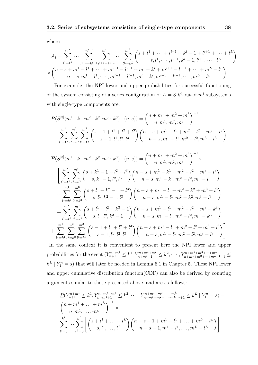where

$$
A_{i} = \sum_{l^{1}=k^{1}}^{m^{1}} \cdots \sum_{l^{i-1}=k^{i-1}}^{m^{i-1}} \sum_{l^{i+1}=k^{i+1}}^{m^{i+1}} \cdots \sum_{l^{L}=k^{L}}^{m^{L}} \binom{s+l^{1}+\cdots+l^{i-1}+k^{i}-1+l^{i+1}+\cdots+l^{L}}{s,l^{1},\cdots,l^{i-1},k^{i}-1,l^{i+1},\cdots,l^{L}}
$$

$$
\times \binom{n-s+m^{1}-l^{1}+\cdots+m^{i-1}-l^{i-1}+m^{i}-k^{i}+m^{i+1}-l^{i+1}+\cdots+m^{L}-l^{L}}{n-s,m^{1}-l^{1},\cdots,m^{i-1}-l^{i-1},m^{i}-k^{i},m^{i+1}-l^{i+1},\cdots,m^{L}-l^{L}}
$$

For example, the NPI lower and upper probabilities for successful functioning of the system consisting of a series configuration of  $L = 3$   $k^{i}$ -out-of- $m^{i}$  subsystems with single-type components are:

$$
\underline{P}(S^{[3]}(m^{1}:k^{1},m^{2}:k^{2},m^{3}:k^{3})|(n,s)) = {n+m^{1}+m^{2}+m^{3} \choose n,m^{1},m^{2},m^{3}}^{-1}
$$

$$
\sum_{l^{1}=k^{1}}^{m^{1}} \sum_{l^{2}=k^{2}}^{m^{2}} \sum_{l^{3}=k^{3}}^{m^{3}} {s-1,l^{1},l^{2},l^{3} \choose s-1,l^{1},l^{2},l^{3}} {n-s,m^{1}-l^{1},m^{2}-l^{2},m^{3}-l^{3} \choose s-1,l^{1},l^{2},l^{3}}
$$

$$
\overline{P}(S^{[3]}(m^{1}:k^{1},m^{2}:k^{2},m^{3}:k^{3})|(n,s)) = {n+m^{1}+m^{2}+m^{3}\choose n,m^{1},m^{2},m^{3}}^{-1} \times
$$
\n
$$
\left[\sum_{l^{2}=k^{2}}^{m^{2}}\sum_{l^{3}=k^{3}}^{m^{3}}\binom{s+k^{1}-1+l^{2}+l^{3}}{s,k^{1}-1,l^{2},l^{3}}\binom{n-s+m^{1}-k^{1}+m^{2}-l^{2}+m^{3}-l^{3}}{n-s,m^{1}-k^{1},m^{2}-l^{2},m^{3}-l^{3}}\right] + \sum_{l^{1}=k^{1}}^{m^{1}}\sum_{l^{3}=k^{3}}^{m^{3}}\binom{s+l^{1}+k^{2}-1+l^{3}}{s,l^{1},k^{2}-1,l^{3}}\binom{n-s+m^{1}-l^{1}+m^{2}-k^{2}+m^{3}-l^{3}}{n-s,m^{1}-l^{1},m^{2}-k^{2},m^{3}-l^{3}} + \sum_{l^{1}=k^{1}}^{m^{1}}\sum_{l^{2}=k^{2}}^{m^{2}}\binom{s+l^{1}+l^{2}+k^{3}-1}{s,l^{1},l^{2},k^{3}-1}\binom{n-s+m^{1}-l^{1}+m^{2}-l^{2}+m^{3}-k^{3}}{n-s,m^{1}-l^{1},m^{2}-l^{2},m^{3}-k^{3}} + \sum_{l^{1}=k^{1}}^{m^{1}}\sum_{l^{2}=k^{2}}^{m^{2}}\sum_{l^{3}=k^{3}}^{m^{3}}\binom{s-1+l^{1}+l^{2}+l^{3}}{s-1,l^{1},l^{2},l^{3}}\binom{n-s+m^{1}-l^{1}+m^{2}-l^{2}+m^{3}-l^{3}}{n-s,m^{1}-l^{1},m^{2}-l^{2},m^{3}-l^{3}}\right]
$$

In the same context it is convenient to present here the NPI lower and upper probabilities for the event  $(Y_{n+1}^{n+m^1} \leq k^1, Y_{n+m^1+1}^{n+m^1+m^2} \leq k^2, \cdots, Y_{n+m^1+m^2+\cdots+m^{L-1}+1}^{n+m^1+m^2+\cdots+m^{L}} \leq$  $k^L$  |  $Y_1^n = s$ ) that will later be needed in Lemma 5.1 in Chapter 5. These NPI lower and upper cumulative distribution function(CDF) can also be derived by counting arguments similar to those presented above, and are as follows:

$$
\underline{P}(Y_{n+1}^{n+m^1} \leq k^1, Y_{n+m^1+1}^{n+m^1+m^2} \leq k^2, \cdots, Y_{n+m^1+m^2+\cdots+m^L}^{n+m^1+m^2+\cdots+m^L} = k^L | Y_1^n = s) =
$$
\n
$$
\binom{n+m^1+\cdots+m^L}{n,m^1,\cdots,m^L}^{-1} \times
$$
\n
$$
\sum_{l^1=0}^{k^1} \cdots \sum_{l^L=0}^{k^L} \left[ \binom{s+l^1+\cdots+l^L}{s,l^1,\cdots,l^L} \binom{n-s-1+m^1-l^1+\cdots+m^L-l^L}{n-s-1,m^1-l^1,\cdots,m^L-l^L} \right]
$$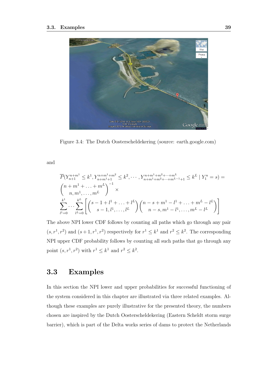

Figure 3.4: The Dutch Oosterscheldekering (source: earth.google.com)

and

$$
\overline{P}(Y_{n+1}^{n+m} \leq k^{1}, Y_{n+m^{1}+1}^{n+m^{1}+m^{2}} \leq k^{2}, \cdots, Y_{n+m^{1}+m^{2}+\cdots+m^{L}}^{n+m^{L}+m^{L}+m^{L}-1} \leq k^{L} | Y_{1}^{n} = s) =
$$
\n
$$
\binom{n+m^{1}+\cdots+m^{L}}{n,m^{1},\cdots,m^{L}} \times \sum_{l^{1}=0}^{k^{1}} \cdots \sum_{l^{L}=0}^{k^{L}} \left[ \binom{s-1+l^{1}+\cdots+l^{L}}{s-1,l^{1},\cdots,l^{L}} \binom{n-s+m^{1}-l^{1}+\cdots+m^{L}-l^{L}}{n-s,m^{1}-l^{1},\cdots,m^{L}-l^{L}} \right]
$$

The above NPI lower CDF follows by counting all paths which go through any pair  $(s, r<sup>1</sup>, r<sup>2</sup>)$  and  $(s + 1, r<sup>1</sup>, r<sup>2</sup>)$  respectively for  $r<sup>1</sup> \leq k<sup>1</sup>$  and  $r<sup>2</sup> \leq k<sup>2</sup>$ . The corresponding NPI upper CDF probability follows by counting all such paths that go through any point  $(s, r^1, r^2)$  with  $r^1 \leq k^1$  and  $r^2 \leq k^2$ .

## **3.3 Examples**

In this section the NPI lower and upper probabilities for successful functioning of the system considered in this chapter are illustrated via three related examples. Although these examples are purely illustrative for the presented theory, the numbers chosen are inspired by the Dutch Oosterscheldekering (Eastern Scheldt storm surge barrier), which is part of the Delta works series of dams to protect the Netherlands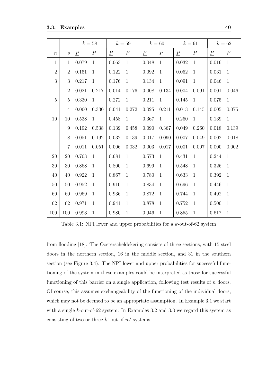|                  |                  | $k=58$                           |              | $k=59$                         |              | $k=60$                           |              | $k=61$          |                | $k=62$                         |              |
|------------------|------------------|----------------------------------|--------------|--------------------------------|--------------|----------------------------------|--------------|-----------------|----------------|--------------------------------|--------------|
| $\boldsymbol{n}$ | $\boldsymbol{S}$ | $\overline{P}$<br>$\overline{P}$ |              | $\underline{P}$ $\overline{P}$ |              | $\overline{P}$<br>$\overline{P}$ |              | $\underline{P}$ | $\overline{P}$ | $\underline{P}$ $\overline{P}$ |              |
| $\mathbf{1}$     | $\mathbf{1}$     | 0.079                            | $\mathbf{1}$ | 0.063                          | $\mathbf{1}$ | 0.048                            | $\mathbf{1}$ | 0.032           | $\mathbf{1}$   | 0.016                          | $\mathbf{1}$ |
| $\overline{2}$   | $\sqrt{2}$       | 0.151                            | $\mathbf{1}$ | 0.122                          | $\mathbf{1}$ | 0.092                            | $\mathbf{1}$ | 0.062           | $\mathbf{1}$   | 0.031                          | $\mathbf{1}$ |
| 3                | $\sqrt{3}$       | 0.217                            | $\mathbf{1}$ | 0.176                          | $\mathbf{1}$ | 0.134                            | $\mathbf{1}$ | 0.091           | $\mathbf{1}$   | 0.046                          | $\mathbf{1}$ |
|                  | $\sqrt{2}$       | 0.021                            | 0.217        | 0.014                          | 0.176        | 0.008                            | 0.134        | 0.004           | 0.091          | $0.001\,$                      | 0.046        |
| $\overline{5}$   | $\mathbf 5$      | 0.330                            | $\mathbf{1}$ | 0.272                          | $\mathbf{1}$ | 0.211                            | $\mathbf{1}$ | 0.145           | $\mathbf{1}$   | 0.075                          | $\mathbf{1}$ |
|                  | $\overline{4}$   | 0.060                            | 0.330        | $0.041\,$                      | $0.272\,$    | 0.025                            | 0.211        | 0.013           | 0.145          | 0.005                          | 0.075        |
| 10               | 10               | 0.538                            | $\mathbf{1}$ | 0.458                          | $\mathbf{1}$ | 0.367                            | $\mathbf{1}$ | 0.260           | $\mathbf{1}$   | 0.139                          | $\mathbf{1}$ |
|                  | 9                | 0.192                            | 0.538        | 0.139                          | 0.458        | 0.090                            | 0.367        | 0.049           | 0.260          | 0.018                          | 0.139        |
|                  | 8                | 0.051                            | 0.192        | 0.032                          | 0.139        | 0.017                            | 0.090        | 0.007           | 0.049          | 0.002                          | 0.018        |
|                  | $\,7$            | 0.011                            | 0.051        | 0.006                          | $0.032\,$    | 0.003                            | 0.017        | 0.001           | 0.007          | 0.000                          | 0.002        |
| 20               | 20               | 0.763                            | $\mathbf{1}$ | 0.681                          | $\mathbf{1}$ | 0.573                            | $\mathbf{1}$ | 0.431           | $\mathbf{1}$   | 0.244                          | $\mathbf{1}$ |
| $30\,$           | 30               | 0.868                            | $\mathbf{1}$ | 0.800                          | 1            | 0.699                            | $\mathbf{1}$ | 0.548           | 1              | 0.326                          | $\mathbf{1}$ |
| 40               | 40               | 0.922                            | $\mathbf{1}$ | 0.867                          | $\mathbf{1}$ | 0.780                            | $\mathbf{1}$ | 0.633           | $\mathbf{1}$   | 0.392                          | $\mathbf{1}$ |
| $50\,$           | 50               | 0.952                            | $\mathbf{1}$ | 0.910                          | $\mathbf{1}$ | 0.834                            | $\mathbf{1}$ | 0.696           | $\mathbf{1}$   | 0.446                          | $\mathbf{1}$ |
| 60               | 60               | 0.969                            | $\mathbf{1}$ | 0.936                          | $\mathbf{1}$ | 0.872                            | 1            | 0.744           | 1              | 0.492                          | $\mathbf{1}$ |
| 62               | 62               | 0.971                            | $\mathbf{1}$ | 0.941                          | $\mathbf{1}$ | 0.878                            | $\mathbf{1}$ | 0.752           | 1              | 0.500                          | $\mathbf{1}$ |
| 100              | 100              | 0.993                            | $\mathbf{1}$ | 0.980                          | 1            | 0.946                            | $\mathbf{1}$ | 0.855           | <sup>1</sup>   | 0.617                          | $\mathbf{1}$ |

Table 3.1: NPI lower and upper probabilities for a *k*-out-of-62 system

from flooding [18]. The Oosterscheldekering consists of three sections, with 15 steel doors in the northern section, 16 in the middle section, and 31 in the southern section (see Figure 3.4). The NPI lower and upper probabilities for successful functioning of the system in these examples could be interpreted as those for successful functioning of this barrier on a single application, following test results of *n* doors. Of course, this assumes exchangeability of the functioning of the individual doors, which may not be deemed to be an appropriate assumption. In Example 3.1 we start with a single *k*-out-of-62 system. In Examples 3.2 and 3.3 we regard this system as consisting of two or three  $k^i$ -out-of- $m^i$  systems.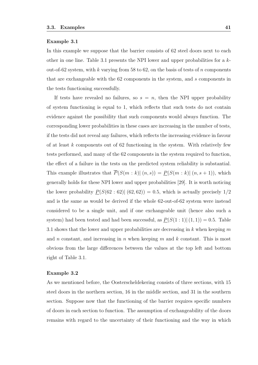#### **Example 3.1**

In this example we suppose that the barrier consists of 62 steel doors next to each other in one line. Table 3.1 presents the NPI lower and upper probabilities for a *k*out-of-62 system, with *k* varying from 58 to 62, on the basis of tests of *n* components that are exchangeable with the 62 components in the system, and *s* components in the tests functioning successfully.

If tests have revealed no failures, so  $s = n$ , then the NPI upper probability of system functioning is equal to 1, which reflects that such tests do not contain evidence against the possibility that such components would always function. The corresponding lower probabilities in these cases are increasing in the number of tests, if the tests did not reveal any failures, which reflects the increasing evidence in favour of at least *k* components out of 62 functioning in the system. With relatively few tests performed, and many of the 62 components in the system required to function, the effect of a failure in the tests on the predicted system reliability is substantial. This example illustrates that  $\overline{P}(S(m:k) | (n,s)) = \underline{P}(S(m:k) | (n,s+1))$ , which generally holds for these NPI lower and upper probabilities [29]. It is worth noticing the lower probability  $P(S(62: 62)| (62, 62)) = 0.5$ , which is actually precisely  $1/2$ and is the same as would be derived if the whole 62-out-of-62 system were instead considered to be a single unit, and if one exchangeable unit (hence also such a system) had been tested and had been successful, as  $P(S(1:1) | (1,1)) = 0.5$ . Table 3.1 shows that the lower and upper probabilities are decreasing in *k* when keeping *m* and *n* constant, and increasing in *n* when keeping *m* and *k* constant. This is most obvious from the large differences between the values at the top left and bottom right of Table 3.1.

### **Example 3.2**

As we mentioned before, the Oosterscheldekering consists of three sections, with 15 steel doors in the northern section, 16 in the middle section, and 31 in the southern section. Suppose now that the functioning of the barrier requires specific numbers of doors in each section to function. The assumption of exchangeability of the doors remains with regard to the uncertainty of their functioning and the way in which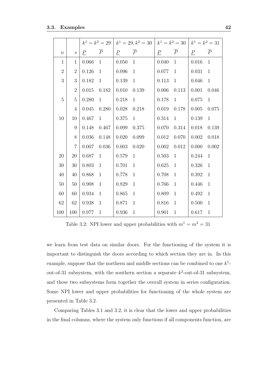|                  |                             | $k^1 = k^2 = 29$ |                | $k^1 = 29, k^2 = 30$ |                | $k^1 = k^2 = 30$ |                | $k^1 = k^2 = 31$ |                |
|------------------|-----------------------------|------------------|----------------|----------------------|----------------|------------------|----------------|------------------|----------------|
| $\boldsymbol{n}$ | $\mathcal{S}_{\mathcal{S}}$ | $\overline{P}$   | $\overline{P}$ | $\overline{P}$       | $\overline{P}$ | $\overline{P}$   | $\overline{P}$ | $\overline{P}$   | $\overline{P}$ |
| $\mathbf{1}$     | $\mathbf{1}$                | 0.066            | $\mathbf{1}$   | 0.050                | $\mathbf{1}$   | 0.040            | $\mathbf{1}$   | 0.016            | $\mathbf{1}$   |
| $\overline{2}$   | $\overline{2}$              | 0.126            | $\mathbf{1}$   | 0.096                | $\mathbf{1}$   | 0.077            | $\mathbf{1}$   | 0.031            | $\mathbf{1}$   |
| 3                | 3                           | 0.182            | $\mathbf{1}$   | 0.139                | $\mathbf{1}$   | 0.113            | $\mathbf{1}$   | 0.046            | $\mathbf{1}$   |
|                  | $\overline{2}$              | 0.015            | 0.182          | 0.010                | 0.139          | 0.006            | 0.113          | 0.001            | 0.046          |
| $\overline{5}$   | $\overline{5}$              | 0.280            | $\mathbf{1}$   | 0.218                | $\mathbf{1}$   | 0.178            | $\mathbf{1}$   | 0.075            | $\mathbf{1}$   |
|                  | $\overline{4}$              | $0.045\,$        | 0.280          | 0.028                | 0.218          | 0.019            | 0.178          | 0.005            | 0.075          |
| 10               | 10                          | 0.467            | $\mathbf{1}$   | 0.375                | $\mathbf{1}$   | 0.314            | $\mathbf{1}$   | 0.139            | $\mathbf{1}$   |
|                  | 9                           | 0.148            | 0.467          | 0.099                | 0.375          | 0.070            | $0.314\,$      | 0.018            | 0.139          |
|                  | 8                           | 0.036            | 0.148          | 0.020                | 0.099          | 0.012            | 0.070          | 0.002            | 0.018          |
|                  | $\overline{7}$              | 0.007            | 0.036          | 0.003                | 0.020          | 0.002            | 0.012          | 0.000            | 0.002          |
| 20               | 20                          | 0.687            | $\mathbf{1}$   | 0.579                | $\mathbf{1}$   | 0.503            | $\mathbf{1}$   | 0.244            | $\mathbf{1}$   |
| 30               | 30                          | 0.803            | $\mathbf{1}$   | 0.701                | $\mathbf{1}$   | 0.625            | $\mathbf{1}$   | 0.326            | $\mathbf{1}$   |
| 40               | 40                          | 0.868            | $\mathbf{1}$   | 0.778                | $\mathbf{1}$   | 0.708            | $\mathbf{1}$   | 0.392            | $\mathbf{1}$   |
| 50               | 50                          | 0.908            | $\mathbf{1}$   | 0.829                | $\mathbf{1}$   | 0.766            | $\mathbf{1}$   | 0.446            | $\mathbf{1}$   |
| 60               | 60                          | 0.934            | $\mathbf{1}$   | 0.865                | $\mathbf{1}$   | 0.809            | $\mathbf{1}$   | 0.492            | $\mathbf{1}$   |
| 62               | 62                          | 0.938            | $\mathbf{1}$   | 0.871                | $\mathbf{1}$   | 0.816            | $\mathbf{1}$   | 0.500            | $\mathbf{1}$   |
| 100              | 100                         | 0.977            | $\mathbf{1}$   | 0.936                | $\mathbf{1}$   | 0.901            | $\mathbf{1}$   | 0.617            | $\mathbf{1}$   |

Table 3.2: NPI lower and upper probabilities with  $m^1 = m^2 = 31$ 

we learn from test data on similar doors. For the functioning of the system it is important to distinguish the doors according to which section they are in. In this example, suppose that the northern and middle sections can be combined to one *k* 1 out-of-31 subsystem, with the southern section a separate  $k^2$ -out-of-31 subsystem, and these two subsystems form together the overall system in series configuration. Some NPI lower and upper probabilities for functioning of the whole system are presented in Table 3.2.

Comparing Tables 3.1 and 3.2, it is clear that the lower and upper probabilities in the final columns, where the system only functions if all components function, are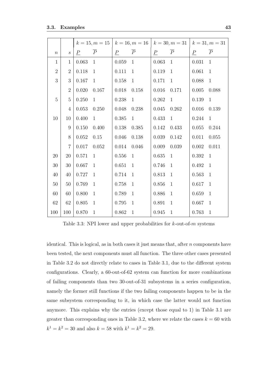|                  |                             |           | $k = 15, m = 15$ |                | $k = 16, m = 16$ |                | $k = 30, m = 31$ |                | $k = 31, m = 31$ |
|------------------|-----------------------------|-----------|------------------|----------------|------------------|----------------|------------------|----------------|------------------|
| $\boldsymbol{n}$ | $\mathcal{S}_{\mathcal{S}}$ | $\, P \,$ | $\overline{P}$   | $\overline{P}$ | $\overline{P}$   | $\overline{P}$ | $\overline{P}$   | $\overline{P}$ | $\overline{P}$   |
| $\mathbf{1}$     | $\mathbf{1}$                | 0.063     | $\mathbf{1}$     | 0.059          | $\mathbf{1}$     | 0.063          | $\mathbf{1}$     | 0.031          | $\mathbf{1}$     |
| $\overline{2}$   | $\overline{2}$              | 0.118     | $\mathbf{1}$     | 0.111          | $\mathbf{1}$     | 0.119          | $\mathbf{1}$     | 0.061          | $\mathbf{1}$     |
| 3                | 3                           | 0.167     | $\mathbf{1}$     | 0.158          | $\mathbf{1}$     | 0.171          | $\mathbf{1}$     | 0.088          | $\mathbf{1}$     |
|                  | $\overline{2}$              | 0.020     | 0.167            | 0.018          | 0.158            | 0.016          | 0.171            | 0.005          | 0.088            |
| $\overline{5}$   | 5                           | 0.250     | $\mathbf{1}$     | 0.238          | $\mathbf{1}$     | 0.262          | $\mathbf{1}$     | 0.139          | $\mathbf{1}$     |
|                  | $\overline{4}$              | 0.053     | 0.250            | 0.048          | 0.238            | 0.045          | 0.262            | 0.016          | 0.139            |
| 10               | 10                          | 0.400     | $\mathbf{1}$     | 0.385          | $\mathbf{1}$     | 0.433          | $\mathbf{1}$     | 0.244          | $\mathbf{1}$     |
|                  | 9                           | 0.150     | 0.400            | 0.138          | 0.385            | 0.142          | 0.433            | 0.055          | 0.244            |
|                  | 8                           | 0.052     | $0.15\,$         | 0.046          | 0.138            | 0.039          | 0.142            | 0.011          | 0.055            |
|                  | $\overline{7}$              | 0.017     | 0.052            | 0.014          | 0.046            | 0.009          | 0.039            | 0.002          | 0.011            |
| 20               | 20                          | 0.571     | $\mathbf{1}$     | 0.556          | 1                | 0.635          | $\mathbf{1}$     | 0.392          | $\mathbf{1}$     |
| $30\,$           | 30                          | 0.667     | $\mathbf{1}$     | 0.651          | $\mathbf{1}$     | 0.746          | $\mathbf{1}$     | 0.492          | $\mathbf{1}$     |
| 40               | 40                          | 0.727     | $\mathbf{1}$     | 0.714          | $\mathbf{1}$     | 0.813          | $\mathbf{1}$     | 0.563          | $\mathbf{1}$     |
| 50               | 50                          | 0.769     | $\mathbf{1}$     | 0.758          | $\mathbf{1}$     | 0.856          | $\mathbf{1}$     | 0.617          | $\mathbf{1}$     |
| 60               | 60                          | 0.800     | $\mathbf{1}$     | 0.789          | $\mathbf{1}$     | 0.886          | $\mathbf{1}$     | 0.659          | $\mathbf{1}$     |
| 62               | 62                          | 0.805     | $\mathbf{1}$     | 0.795          | $\mathbf{1}$     | 0.891          | $\mathbf{1}$     | 0.667          | $\mathbf{1}$     |
| 100              | 100                         | 0.870     | $\mathbf{1}$     | $0.862\,$      | $\mathbf{1}$     | 0.945          | $\mathbf{1}$     | 0.763          | $\mathbf{1}$     |

Table 3.3: NPI lower and upper probabilities for *k*-out-of-*m* systems

identical. This is logical, as in both cases it just means that, after *n* components have been tested, the next components must all function. The three other cases presented in Table 3.2 do not directly relate to cases in Table 3.1, due to the different system configurations. Clearly, a 60-out-of-62 system can function for more combinations of failing components than two 30-out-of-31 subsystems in a series configuration, namely the former still functions if the two failing components happen to be in the same subsystem corresponding to it, in which case the latter would not function anymore. This explains why the entries (except those equal to 1) in Table 3.1 are greater than corresponding ones in Table 3.2, where we relate the cases  $k = 60$  with  $k^1 = k^2 = 30$  and also  $k = 58$  with  $k^1 = k^2 = 29$ .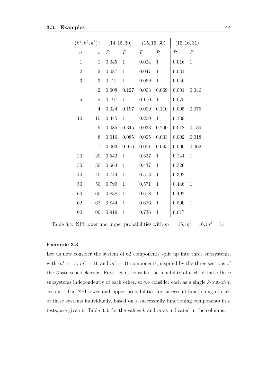|                | $(k^1, k^2, k^3)$ :         |                | (14, 15, 30)   |                | (15, 16, 30)   |                | (15, 16, 31)   |  |
|----------------|-----------------------------|----------------|----------------|----------------|----------------|----------------|----------------|--|
| $\overline{n}$ | $\mathcal{S}_{\mathcal{S}}$ | $\overline{P}$ | $\overline{P}$ | $\overline{P}$ | $\overline{P}$ | $\overline{P}$ | $\overline{P}$ |  |
| $\mathbf{1}$   | $\mathbf{1}$                | 0.045          | $\mathbf{1}$   | 0.024          | $\mathbf{1}$   | 0.016          | $\mathbf{1}$   |  |
| $\overline{2}$ | $\overline{2}$              | 0.087          | $\mathbf{1}$   | 0.047          | $\mathbf{1}$   | 0.031          | $\mathbf{1}$   |  |
| 3              | 3                           | 0.127          | $\mathbf{1}$   | 0.069          | $\mathbf{1}$   | 0.046          | $\mathbf{1}$   |  |
|                | $\mathbf{2}$                | 0.008          | 0.127          | 0.003          | 0.069          | 0.001          | 0.046          |  |
| 5              | $\overline{5}$              | 0.197          | $\mathbf{1}$   | 0.110          | $\mathbf{1}$   | 0.075          | $\mathbf{1}$   |  |
|                | $\overline{4}$              | 0.024          | 0.197          | 0.009          | 0.110          | $0.005\,$      | 0.075          |  |
| 10             | 10                          | 0.345          | $\mathbf{1}$   | 0.200          | $\mathbf{1}$   | 0.139          | $\mathbf{1}$   |  |
|                | $\boldsymbol{9}$            | 0.085          | 0.345          | 0.033          | 0.200          | 0.018          | 0.139          |  |
|                | 8                           | 0.016          | 0.085          | 0.005          | 0.033          | 0.002          | 0.018          |  |
|                | $\overline{7}$              | 0.003          | 0.016          | 0.001          | 0.005          | 0.000          | 0.002          |  |
| 20             | 20                          | 0.542          | $\mathbf{1}$   | 0.337          | $\mathbf{1}$   | 0.244          | $\mathbf{1}$   |  |
| 30             | 30                          | 0.664          | $\mathbf{1}$   | 0.437          | $\mathbf{1}$   | 0.326          | $\mathbf{1}$   |  |
| 40             | 40                          | 0.744          | $\mathbf{1}$   | 0.513          | $\mathbf{1}$   | 0.392          | $\mathbf{1}$   |  |
| $50\,$         | $50\,$                      | 0.799          | $\mathbf{1}$   | 0.571          | $\mathbf{1}$   | 0.446          | $\mathbf{1}$   |  |
| 60             | 60                          | 0.838          | $\mathbf{1}$   | 0.618          | $\mathbf{1}$   | 0.492          | $\mathbf{1}$   |  |
| 62             | 62                          | 0.844          | $\mathbf{1}$   | 0.626          | $\mathbf{1}$   | 0.500          | $\mathbf{1}$   |  |
| 100            | 100                         | 0.919          | $\mathbf{1}$   | 0.736          | $\mathbf{1}$   | 0.617          | $\mathbf{1}$   |  |

Table 3.4: NPI lower and upper probabilities with  $m^1 = 15, m^2 = 16, m^3 = 31$ 

### **Example 3.3**

Let us now consider the system of 62 components split up into three subsystems, with  $m^1 = 15$ ,  $m^2 = 16$  and  $m^3 = 31$  components, inspired by the three sections of the Oosterscheldekering. First, let us consider the reliability of each of these three subsystems independently of each other, so we consider each as a single *k*-out-of-*m* system. The NPI lower and upper probabilities for successful functioning of each of these systems individually, based on *s* successfully functioning components in *n* tests, are given in Table 3.3, for the values *k* and *m* as indicated in the columns.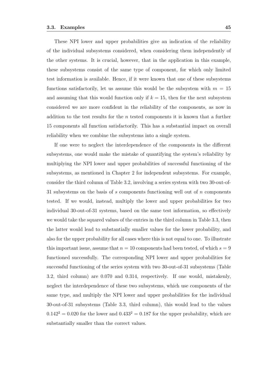These NPI lower and upper probabilities give an indication of the reliability of the individual subsystems considered, when considering them independently of the other systems. It is crucial, however, that in the application in this example, these subsystems consist of the same type of component, for which only limited test information is available. Hence, if it were known that one of these subsystems functions satisfactorily, let us assume this would be the subsystem with  $m = 15$ and assuming that this would function only if  $k = 15$ , then for the next subsystem considered we are more confident in the reliability of the components, as now in addition to the test results for the *n* tested components it is known that a further 15 components all function satisfactorily. This has a substantial impact on overall reliability when we combine the subsystems into a single system.

If one were to neglect the interdependence of the components in the different subsystems, one would make the mistake of quantifying the system's reliability by multiplying the NPI lower and upper probabilities of successful functioning of the subsystems, as mentioned in Chapter 2 for independent subsystems. For example, consider the third column of Table 3.2, involving a series system with two 30-out-of-31 subsystems on the basis of *s* components functioning well out of *n* components tested. If we would, instead, multiply the lower and upper probabilities for two individual 30-out-of-31 systems, based on the same test information, so effectively we would take the squared values of the entries in the third column in Table 3.3, then the latter would lead to substantially smaller values for the lower probability, and also for the upper probability for all cases where this is not equal to one. To illustrate this important issue, assume that  $n = 10$  components had been tested, of which  $s = 9$ functioned successfully. The corresponding NPI lower and upper probabilities for successful functioning of the series system with two 30-out-of-31 subsystems (Table 3.2, third column) are 0.070 and 0.314, respectively. If one would, mistakenly, neglect the interdependence of these two subsystems, which use components of the same type, and multiply the NPI lower and upper probabilities for the individual 30-out-of-31 subsystems (Table 3.3, third column), this would lead to the values  $0.142^2 = 0.020$  for the lower and  $0.433^2 = 0.187$  for the upper probability, which are substantially smaller than the correct values.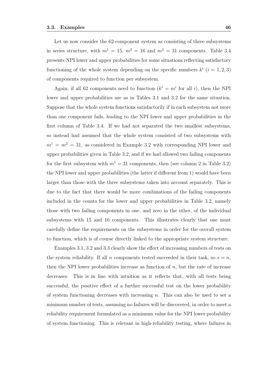Let us now consider the 62-component system as consisting of three subsystems in series structure, with  $m^1 = 15$ ,  $m^2 = 16$  and  $m^3 = 31$  components. Table 3.4 presents NPI lower and upper probabilities for some situations reflecting satisfactory functioning of the whole system depending on the specific numbers  $k^i$  ( $i = 1, 2, 3$ ) of components required to function per subsystem.

Again, if all 62 components need to function  $(k^i = m^i)$  for all *i*), then the NPI lower and upper probabilities are as in Tables 3.1 and 3.2 for the same situation. Suppose that the whole system functions satisfactorily if in each subsystem not more than one component fails, leading to the NPI lower and upper probabilities in the first column of Table 3.4. If we had not separated the two smallest subsystems, so instead had assumed that the whole system consisted of two subsystems with  $m<sup>1</sup> = m<sup>2</sup> = 31$ , as considered in Example 3.2 with corresponding NPI lower and upper probabilities given in Table 3.2, and if we had allowed two failing components for the first subsystem with  $m^1 = 31$  components, then (see column 2 in Table 3.2) the NPI lower and upper probabilities (the latter if different from 1) would have been larger than those with the three subsystems taken into account separately. This is due to the fact that there would be more combinations of the failing components included in the counts for the lower and upper probabilities in Table 3.2, namely those with two failing components in one, and zero in the other, of the individual subsystems with 15 and 16 components. This illustrates clearly that one must carefully define the requirements on the subsystems in order for the overall system to function, which is of course directly linked to the appropriate system structure.

Examples 3.1, 3.2 and 3.3 clearly show the effect of increasing numbers of tests on the system reliability. If all *n* components tested succeeded in their task, so  $s = n$ , then the NPI lower probabilities increase as function of  $n$ , but the rate of increase decreases. This is in line with intuition as it reflects that, with all tests being successful, the positive effect of a further successful test on the lower probability of system functioning decreases with increasing *n*. This can also be used to set a minimum number of tests, assuming no failures will be discovered, in order to meet a reliability requirement formulated as a minimum value for the NPI lower probability of system functioning. This is relevant in high-reliability testing, where failures in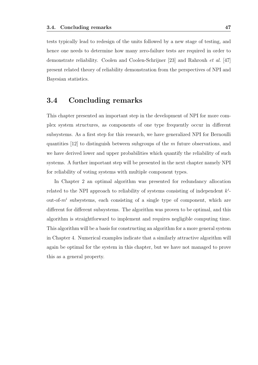tests typically lead to redesign of the units followed by a new stage of testing, and hence one needs to determine how many zero-failure tests are required in order to demonstrate reliability. Coolen and Coolen-Schrijner [23] and Rahrouh *et al.* [47] present related theory of reliability demonstration from the perspectives of NPI and Bayesian statistics.

## **3.4 Concluding remarks**

This chapter presented an important step in the development of NPI for more complex system structures, as components of one type frequently occur in different subsystems. As a first step for this research, we have generalized NPI for Bernoulli quantities [12] to distinguish between subgroups of the *m* future observations, and we have derived lower and upper probabilities which quantify the reliability of such systems. A further important step will be presented in the next chapter namely NPI for reliability of voting systems with multiple component types.

In Chapter 2 an optimal algorithm was presented for redundancy allocation related to the NPI approach to reliability of systems consisting of independent *k i* out-of-*m<sup>i</sup>* subsystems, each consisting of a single type of component, which are different for different subsystems. The algorithm was proven to be optimal, and this algorithm is straightforward to implement and requires negligible computing time. This algorithm will be a basis for constructing an algorithm for a more general system in Chapter 4. Numerical examples indicate that a similarly attractive algorithm will again be optimal for the system in this chapter, but we have not managed to prove this as a general property.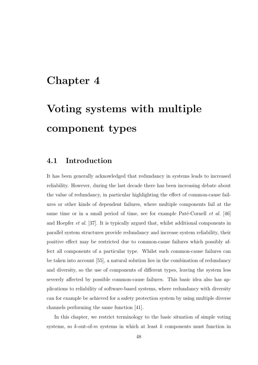# **Chapter 4**

# **Voting systems with multiple component types**

## **4.1 Introduction**

It has been generally acknowledged that redundancy in systems leads to increased reliability. However, during the last decade there has been increasing debate about the value of redundancy, in particular highlighting the effect of common-cause failures or other kinds of dependent failures, where multiple components fail at the same time or in a small period of time, see for example Paté-Cornell *et al.* [46] and Hoepfer *et al.* [37]. It is typically argued that, whilst additional components in parallel system structures provide redundancy and increase system reliability, their positive effect may be restricted due to common-cause failures which possibly affect all components of a particular type. Whilst such common-cause failures can be taken into account [55], a natural solution lies in the combination of redundancy and diversity, so the use of components of different types, leaving the system less severely affected by possible common-cause failures. This basic idea also has applications to reliability of software-based systems, where redundancy with diversity can for example be achieved for a safety protection system by using multiple diverse channels performing the same function [41].

In this chapter, we restrict terminology to the basic situation of simple voting systems, so *k*-out-of-*m* systems in which at least *k* components must function in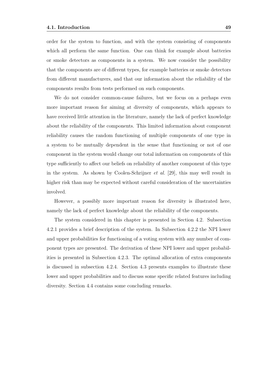order for the system to function, and with the system consisting of components which all perform the same function. One can think for example about batteries or smoke detectors as components in a system. We now consider the possibility that the components are of different types, for example batteries or smoke detectors from different manufacturers, and that our information about the reliability of the components results from tests performed on such components.

We do not consider common-cause failures, but we focus on a perhaps even more important reason for aiming at diversity of components, which appears to have received little attention in the literature, namely the lack of perfect knowledge about the reliability of the components. This limited information about component reliability causes the random functioning of multiple components of one type in a system to be mutually dependent in the sense that functioning or not of one component in the system would change our total information on components of this type sufficiently to affect our beliefs on reliability of another component of this type in the system. As shown by Coolen-Schrijner *et al.* [29], this may well result in higher risk than may be expected without careful consideration of the uncertainties involved.

However, a possibly more important reason for diversity is illustrated here, namely the lack of perfect knowledge about the reliability of the components.

The system considered in this chapter is presented in Section 4.2. Subsection 4.2.1 provides a brief description of the system. In Subsection 4.2.2 the NPI lower and upper probabilities for functioning of a voting system with any number of component types are presented. The derivation of these NPI lower and upper probabilities is presented in Subsection 4.2.3. The optimal allocation of extra components is discussed in subsection 4.2.4. Section 4.3 presents examples to illustrate these lower and upper probabilities and to discuss some specific related features including diversity. Section 4.4 contains some concluding remarks.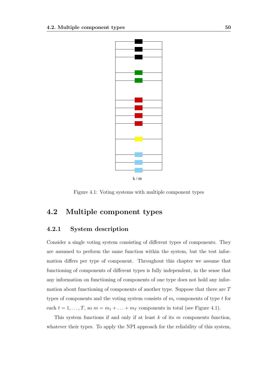

k / m

Figure 4.1: Voting systems with multiple component types

## **4.2 Multiple component types**

### **4.2.1 System description**

Consider a single voting system consisting of different types of components. They are assumed to perform the same function within the system, but the test information differs per type of component. Throughout this chapter we assume that functioning of components of different types is fully independent, in the sense that any information on functioning of components of one type does not hold any information about functioning of components of another type. Suppose that there are *T* types of components and the voting system consists of *m<sup>t</sup>* components of type *t* for each  $t = 1, \ldots, T$ , so  $m = m_1 + \ldots + m_T$  components in total (see Figure 4.1).

This system functions if and only if at least *k* of its *m* components function, whatever their types. To apply the NPI approach for the reliability of this system,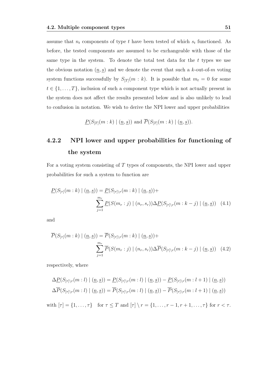assume that  $n_t$  components of type  $t$  have been tested of which  $s_t$  functioned. As before, the tested components are assumed to be exchangeable with those of the same type in the system. To denote the total test data for the *t* types we use the obvious notation  $(\underline{n}, \underline{s})$  and we denote the event that such a *k*-out-of-*m* voting system functions successfully by  $S_{[T]}(m : k)$ . It is possible that  $m_t = 0$  for some  $t \in \{1, \ldots, T\}$ , inclusion of such a component type which is not actually present in the system does not affect the results presented below and is also unlikely to lead to confusion in notation. We wish to derive the NPI lower and upper probabilities

$$
\underline{P}(S_{[T]}(m:k) | (\underline{n},\underline{s}))
$$
 and  $\overline{P}(S_{[T]}(m:k) | (\underline{n},\underline{s})).$ 

## **4.2.2 NPI lower and upper probabilities for functioning of the system**

For a voting system consisting of *T* types of components, the NPI lower and upper probabilities for such a system to function are

$$
\underline{P}(S_{[\tau]}(m:k) \mid (\underline{n},\underline{s})) = \underline{P}(S_{[\tau]\backslash r}(m:k) \mid (\underline{n},\underline{s})) +
$$
\n
$$
\sum_{j=1}^{m_r} \underline{P}(S(m_r:j) \mid (n_r,s_r)) \Delta \underline{P}(S_{[\tau]\backslash r}(m:k-j) \mid (\underline{n},\underline{s})) \quad (4.1)
$$

and

$$
\overline{P}(S_{[\tau]}(m:k) \mid (\underline{n},\underline{s})) = \overline{P}(S_{[\tau]\backslash r}(m:k) \mid (\underline{n},\underline{s})) + \sum_{j=1}^{m_r} \overline{P}(S(m_r:j) \mid (n_r,s_r)) \Delta \overline{P}(S_{[\tau]\backslash r}(m:k-j) \mid (\underline{n},\underline{s})) \quad (4.2)
$$

respectively, where

$$
\Delta \underline{P}(S_{[\tau]\backslash r}(m:l) \mid (\underline{n}, \underline{s})) = \underline{P}(S_{[\tau]\backslash r}(m:l) \mid (\underline{n}, \underline{s})) - \underline{P}(S_{[\tau]\backslash r}(m:l+1) \mid (\underline{n}, \underline{s}))
$$
  

$$
\Delta \overline{P}(S_{[\tau]\backslash r}(m:l) \mid (\underline{n}, \underline{s})) = \overline{P}(S_{[\tau]\backslash r}(m:l) \mid (\underline{n}, \underline{s})) - \overline{P}(S_{[\tau]\backslash r}(m:l+1) \mid (\underline{n}, \underline{s}))
$$

with  $[\tau] = \{1, \ldots, \tau\}$  for  $\tau \leq T$  and  $[\tau] \setminus r = \{1, \ldots, r - 1, r + 1, \ldots, \tau\}$  for  $r < \tau$ .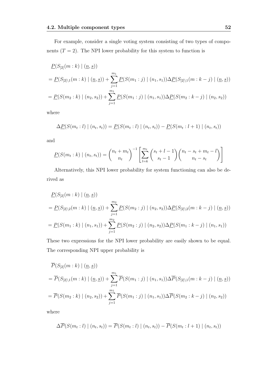$$
\underline{P}(S_{[2]}(m:k) | (n,s))
$$
\n
$$
= \underline{P}(S_{[2]\backslash 1}(m:k) | (n,s)) + \sum_{j=1}^{m_1} \underline{P}(S(m_1:j) | (n_1,s_1)) \Delta \underline{P}(S_{[2]\backslash 1}(m:k-j) | (n,s))
$$
\n
$$
= \underline{P}(S(m_2:k) | (n_2,s_2)) + \sum_{j=1}^{m_1} \underline{P}(S(m_1:j) | (n_1,s_1)) \Delta \underline{P}(S(m_2:k-j) | (n_2,s_2))
$$

where

$$
\Delta P(S(m_t : l) | (n_t, s_t)) = P(S(m_t : l) | (n_t, s_t)) - P(S(m_t : l + 1) | (n_t, s_t))
$$

and

$$
\underline{P}(S(m_t : k) | (n_t, s_t)) = {n_t + m_t \choose n_t}^{-1} \left[ \sum_{l=k}^{m_t} {s_t + l - 1 \choose s_t - 1} {n_t - s_t + m_t - l \choose n_t - s_t} \right]
$$

Alternatively, this NPI lower probability for system functioning can also be derived as

$$
\underline{P}(S_{[2]}(m:k) | (n,s))
$$
\n
$$
= \underline{P}(S_{[2]\backslash 2}(m:k) | (n,s)) + \sum_{j=1}^{m_2} \underline{P}(S(m_2:j) | (n_2, s_2)) \Delta \underline{P}(S_{[2]\backslash 2}(m:k-j) | (n,s))
$$
\n
$$
= \underline{P}(S(m_1:k) | (n_1, s_1)) + \sum_{j=1}^{m_2} \underline{P}(S(m_2:j) | (n_2, s_2)) \Delta \underline{P}(S(m_1:k-j) | (n_1, s_1))
$$

These two expressions for the NPI lower probability are easily shown to be equal. The corresponding NPI upper probability is

$$
\overline{P}(S_{[2]}(m:k) | (n,s))
$$
\n
$$
= \overline{P}(S_{[2]\backslash 1}(m:k) | (n,s)) + \sum_{j=1}^{m_1} \overline{P}(S(m_1:j) | (n_1,s_1)) \Delta \overline{P}(S_{[2]\backslash 1}(m:k-j) | (n,s))
$$
\n
$$
= \overline{P}(S(m_2:k) | (n_2,s_2)) + \sum_{j=1}^{m_1} \overline{P}(S(m_1:j) | (n_1,s_1)) \Delta \overline{P}(S(m_2:k-j) | (n_2,s_2))
$$

where

$$
\Delta \overline{P}(S(m_t : l) | (n_t, s_t)) = \overline{P}(S(m_t : l) | (n_t, s_t)) - \overline{P}(S(m_t : l + 1) | (n_t, s_t))
$$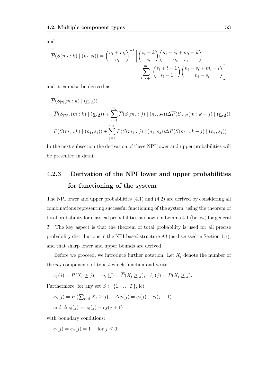and

$$
\overline{P}(S(m_t:k) | (n_t, s_t)) = {n_t + m_t \choose n_t}^{-1} \left[ {s_t + k \choose s_t} {n_t - s_t + m_t - k \choose n_t - s_t} + \sum_{l=k+1}^{m_t} {s_t + l - 1 \choose s_t - 1} {n_t - s_t + m_t - l \choose n_t - s_t} \right]
$$

and it can also be derived as

$$
\overline{P}(S_{[2]}(m:k) | (n,s))
$$
\n
$$
= \overline{P}(S_{[2]\setminus 2}(m:k) | (n,s)) + \sum_{j=1}^{m_2} \overline{P}(S(m_2:j) | (n_2,s_2)) \Delta \overline{P}(S_{[2]\setminus 2}(m:k-j) | (n,s))
$$
\n
$$
= \overline{P}(S(m_1:k) | (n_1,s_1)) + \sum_{j=1}^{m_2} \overline{P}(S(m_2:j) | (n_2,s_2)) \Delta \overline{P}(S(m_1:k-j) | (n_1,s_1))
$$

In the next subsection the derivation of these NPI lower and upper probabilities will be presented in detail.

## **4.2.3 Derivation of the NPI lower and upper probabilities for functioning of the system**

The NPI lower and upper probabilities (4.1) and (4.2) are derived by considering all combinations representing successful functioning of the system, using the theorem of total probability for classical probabilities as shown in Lemma 4.1 (below) for general *T*. The key aspect is that the theorem of total probability is used for all precise probability distributions in the NPI-based structure  $\mathcal M$  (as discussed in Section 1.1), and that sharp lower and upper bounds are derived.

Before we proceed, we introduce further notation. Let  $X_t$  denote the number of the  $m_t$  components of type  $t$  which function and write

 $c_t(j) = P(X_t \geq j), \quad u_t(j) = \overline{P}(X_t \geq j), \quad \ell_t(j) = \underline{P}(X_t \geq j).$ 

Furthermore, for any set  $S \subset \{1, \ldots, T\}$ , let

$$
c_S(j) = P\left(\sum_{t \in S} X_t \ge j\right), \quad \Delta c_t(j) = c_t(j) - c_t(j+1)
$$
  
and 
$$
\Delta c_S(j) = c_S(j) - c_S(j+1)
$$

with boundary conditions:

$$
c_t(j) = c_S(j) = 1 \quad \text{for } j \le 0,
$$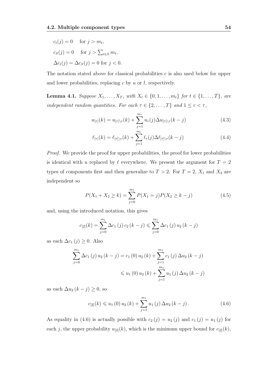$$
c_t(j) = 0 \quad \text{for } j > m_t,
$$
  
\n
$$
c_S(j) = 0 \quad \text{for } j > \sum_{t \in S} m_t,
$$
  
\n
$$
\Delta c_t(j) = \Delta c_S(j) = 0 \text{ for } j < 0.
$$

The notation stated above for classical probabilities *c* is also used below for upper and lower probabilities, replacing *c* by *u* or *l*, respectively.

**Lemma 4.1.** Suppose  $X_1, ..., X_T$ , with  $X_t \in \{0, 1, ..., m_t\}$  for  $t \in \{1, ..., T\}$ , are *independent random quantities. For each*  $\tau \in \{2, \ldots, T\}$  *and*  $1 \leq r < \tau$ *,* 

$$
u_{[\tau]}(k) = u_{[\tau]\backslash r}(k) + \sum_{j=1}^{m_r} u_r(j) \Delta u_{[\tau]\backslash r}(k-j)
$$
 (4.3)

$$
\ell_{[\tau]}(k) = \ell_{[\tau]\backslash r}(k) + \sum_{j=1}^{m_r} \ell_r(j) \Delta \ell_{[\tau]\backslash r}(k-j) \tag{4.4}
$$

*Proof.* We provide the proof for upper probabilities, the proof for lower probabilities is identical with *u* replaced by  $\ell$  everywhere. We present the argument for  $T = 2$ types of components first and then generalize to  $T > 2$ . For  $T = 2$ ,  $X_1$  and  $X_2$  are independent so

$$
P(X_1 + X_2 \ge k) = \sum_{j=0}^{m_1} P(X_1 = j) P(X_2 \ge k - j)
$$
\n(4.5)

and, using the introduced notation, this gives

$$
c_{[2]}(k) = \sum_{j=0}^{m_1} \Delta c_1(j) c_2(k-j) \leq \sum_{j=0}^{m_1} \Delta c_1(j) u_2(k-j)
$$

as each  $\Delta c_1(j) \geq 0$ . Also

$$
\sum_{j=0}^{m_1} \Delta c_1(j) u_2(k-j) = c_1(0) u_2(k) + \sum_{j=1}^{m_1} c_1(j) \Delta u_2(k-j)
$$
  
\$\leq u\_1(0) u\_2(k) + \sum\_{j=1}^{m\_1} u\_1(j) \Delta u\_2(k-j)\$

as each  $\Delta u_2 (k - j) \geq 0$ , so

$$
c_{[2]}(k) \leq u_1(0) u_2(k) + \sum_{j=1}^{m_1} u_1(j) \Delta u_2(k-j).
$$
 (4.6)

As equality in (4.6) is actually possible with  $c_2(j) = u_2(j)$  and  $c_1(j) = u_1(j)$  for each *j*, the upper probability  $u_{[2]}(k)$ , which is the minimum upper bound for  $c_{[2]}(k)$ ,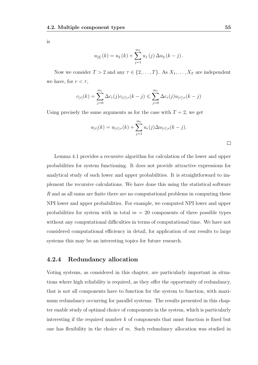is

$$
u_{[2]}(k) = u_2(k) + \sum_{j=1}^{m_1} u_1(j) \Delta u_2(k-j).
$$

Now we consider  $T > 2$  and any  $\tau \in \{2, \ldots, T\}$ . As  $X_1, \ldots, X_T$  are independent we have, for  $r < \tau$ ,

$$
c_{[\tau]}(k) = \sum_{j=0}^{m_r} \Delta c_r(j) c_{[\tau] \setminus r}(k-j) \leqslant \sum_{j=0}^{m_r} \Delta c_r(j) u_{[\tau] \setminus r}(k-j)
$$

Using precisely the same arguments as for the case with  $T = 2$ , we get

$$
u_{[\tau]}(k) = u_{[\tau]\backslash r}(k) + \sum_{j=1}^{m_r} u_r(j) \Delta u_{[\tau]\backslash r}(k-j).
$$

Lemma 4.1 provides a recursive algorithm for calculation of the lower and upper probabilities for system functioning. It does not provide attractive expressions for analytical study of such lower and upper probabilities. It is straightforward to implement the recursive calculations. We have done this using the statistical software *R* and as all sums are finite there are no computational problems in computing these NPI lower and upper probabilities. For example, we computed NPI lower and upper probabilities for system with in total  $m = 20$  components of three possible types without any computational difficulties in terms of computational time. We have not considered computational efficiency in detail, for application of our results to large systems this may be an interesting topics for future research.

### **4.2.4 Redundancy allocation**

Voting systems, as considered in this chapter, are particularly important in situations where high reliability is required, as they offer the opportunity of redundancy, that is not all components have to function for the system to function, with maximum redundancy occurring for parallel systems. The results presented in this chapter enable study of optimal choice of components in the system, which is particularly interesting if the required number *k* of components that must function is fixed but one has flexibility in the choice of *m*. Such redundancy allocation was studied in

 $\Box$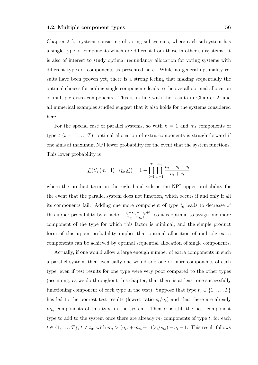Chapter 2 for systems consisting of voting subsystems, where each subsystem has a single type of components which are different from those in other subsystems. It is also of interest to study optimal redundancy allocation for voting systems with different types of components as presented here. While no general optimality results have been proven yet, there is a strong feeling that making sequentially the optimal choices for adding single components leads to the overall optimal allocation of multiple extra components. This is in line with the results in Chapter 2, and all numerical examples studied suggest that it also holds for the systems considered here.

For the special case of parallel systems, so with  $k = 1$  and  $m_t$  components of type  $t$   $(t = 1, \ldots, T)$ , optimal allocation of extra components is straightforward if one aims at maximum NPI lower probability for the event that the system functions. This lower probability is

$$
\underline{P}(S_T(m:1) | (n,s)) = 1 - \prod_{t=1}^T \prod_{j_t=1}^{m_t} \frac{n_t - s_t + j_t}{n_t + j_t}
$$

where the product term on the right-hand side is the NPI upper probability for the event that the parallel system does not function, which occurs if and only if all its components fail. Adding one more component of type  $t_0$  leads to decrease of this upper probability by a factor  $\frac{n_{t_0} - s_{t_0} + m_{t_0} + 1}{n_{t_0} + m_{t_0} + 1}$ , so it is optimal to assign one more component of the type for which this factor is minimal, and the simple product form of this upper probability implies that optimal allocation of multiple extra components can be achieved by optimal sequential allocation of single components.

Actually, if one would allow a large enough number of extra components in such a parallel system, then eventually one would add one or more components of each type, even if test results for one type were very poor compared to the other types (assuming, as we do throughout this chapter, that there is at least one successfully functioning component of each type in the test). Suppose that type  $t_0 \in \{1, \ldots, T\}$ has led to the poorest test results (lowest ratio  $s_t/n_t$ ) and that there are already  $m_{t_0}$  components of this type in the system. Then  $t_0$  is still the best component type to add to the system once there are already *m<sup>t</sup>* components of type *t*, for each  $t \in \{1, ..., T\}, t \neq t_0$ , with  $m_t > (n_{t_0} + m_{t_0} + 1)(s_t/s_{t_0}) - n_t - 1$ . This result follows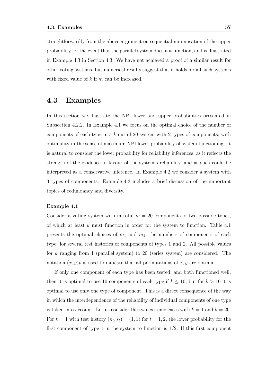straightforwardly from the above argument on sequential minimisation of the upper probability for the event that the parallel system does not function, and is illustrated in Example 4.3 in Section 4.3. We have not achieved a proof of a similar result for other voting systems, but numerical results suggest that it holds for all such systems with fixed value of *k* if *m* can be increased.

## **4.3 Examples**

In this section we illustrate the NPI lower and upper probabilities presented in Subsection 4.2.2. In Example 4.1 we focus on the optimal choice of the number of components of each type in a *k*-out-of-20 system with 2 types of components, with optimality in the sense of maximum NPI lower probability of system functioning. It is natural to consider the lower probability for reliability inferences, as it reflects the strength of the evidence in favour of the system's reliability, and as such could be interpreted as a conservative inference. In Example 4.2 we consider a system with 3 types of components. Example 4.3 includes a brief discussion of the important topics of redundancy and diversity.

### **Example 4.1**

Consider a voting system with in total  $m = 20$  components of two possible types, of which at least *k* must function in order for the system to function. Table 4.1 presents the optimal choices of  $m_1$  and  $m_2$ , the numbers of components of each type, for several test histories of components of types 1 and 2. All possible values for *k* ranging from 1 (parallel system) to 20 (series system) are considered. The notation  $(x, y)p$  is used to indicate that all permutations of  $x, y$  are optimal.

If only one component of each type has been tested, and both functioned well, then it is optimal to use 10 components of each type if  $k \leq 10$ , but for  $k > 10$  it is optimal to use only one type of component. This is a direct consequence of the way in which the interdependence of the reliability of individual components of one type is taken into account. Let us consider the two extreme cases with  $k = 1$  and  $k = 20$ . For  $k = 1$  with test history  $(n_t, s_t) = (1, 1)$  for  $t = 1, 2$ , the lower probability for the first component of type 1 in the system to function is 1*/*2. If this first component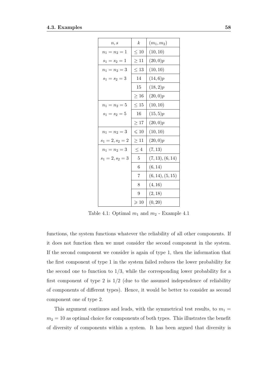| n, s               | $\boldsymbol{k}$ | $(m_1, m_2)$     |
|--------------------|------------------|------------------|
| $n_1 = n_2 = 1$    | $\leq 10$        | (10, 10)         |
| $s_1 = s_2 = 1$    | $\geq 11$        | (20, 0)p         |
| $n_1 = n_2 = 3$    | $\leq 13$        | (10, 10)         |
| $s_1 = s_2 = 3$    | 14               | (14,6)p          |
|                    | 15               | (18,2)p          |
|                    | $\geq 16$        | (20, 0)p         |
| $n_1 = n_2 = 5$    | $\leq 15$        | (10, 10)         |
| $s_1 = s_2 = 5$    | 16               | (15, 5)p         |
|                    | $\geq 17$        | (20, 0)p         |
| $n_1 = n_2 = 3$    | $\leqslant$ 10   | (10, 10)         |
| $s_1 = 2, s_2 = 2$ | $\geq 11$        | (20, 0)p         |
| $n_1 = n_2 = 3$    | $\leq 4$         | (7, 13)          |
| $s_1 = 2, s_2 = 3$ | $\overline{5}$   | (7, 13), (6, 14) |
|                    | $\,6$            | (6, 14)          |
|                    | 7                | (6, 14), (5, 15) |
|                    | 8                | (4, 16)          |
|                    | 9                | (2, 18)          |
|                    | $\geqslant$ 10   | (0, 20)          |

Table 4.1: Optimal  $m_1$  and  $m_2$  - Example 4.1

functions, the system functions whatever the reliability of all other components. If it does not function then we must consider the second component in the system. If the second component we consider is again of type 1, then the information that the first component of type 1 in the system failed reduces the lower probability for the second one to function to  $1/3$ , while the corresponding lower probability for a first component of type 2 is 1*/*2 (due to the assumed independence of reliability of components of different types). Hence, it would be better to consider as second component one of type 2.

This argument continues and leads, with the symmetrical test results, to  $m_1 =$  $m_2 = 10$  as optimal choice for components of both types. This illustrates the benefit of diversity of components within a system. It has been argued that diversity is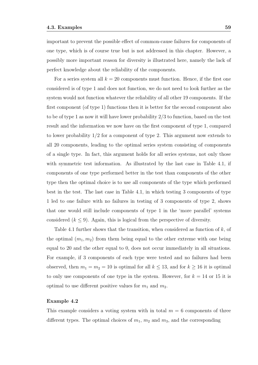important to prevent the possible effect of common-cause failures for components of one type, which is of course true but is not addressed in this chapter. However, a possibly more important reason for diversity is illustrated here, namely the lack of perfect knowledge about the reliability of the components.

For a series system all  $k = 20$  components must function. Hence, if the first one considered is of type 1 and does not function, we do not need to look further as the system would not function whatever the reliability of all other 19 components. If the first component (of type 1) functions then it is better for the second component also to be of type 1 as now it will have lower probability 2*/*3 to function, based on the test result and the information we now have on the first component of type 1, compared to lower probability 1*/*2 for a component of type 2. This argument now extends to all 20 components, leading to the optimal series system consisting of components of a single type. In fact, this argument holds for all series systems, not only those with symmetric test information. As illustrated by the last case in Table 4.1, if components of one type performed better in the test than components of the other type then the optimal choice is to use all components of the type which performed best in the test. The last case in Table 4.1, in which testing 3 components of type 1 led to one failure with no failures in testing of 3 components of type 2, shows that one would still include components of type 1 in the 'more parallel' systems considered  $(k \leq 9)$ . Again, this is logical from the perspective of diversity.

Table 4.1 further shows that the transition, when considered as function of *k*, of the optimal  $(m_1, m_2)$  from them being equal to the other extreme with one being equal to 20 and the other equal to 0, does not occur immediately in all situations. For example, if 3 components of each type were tested and no failures had been observed, then  $m_1 = m_2 = 10$  is optimal for all  $k \le 13$ , and for  $k \ge 16$  it is optimal to only use components of one type in the system. However, for  $k = 14$  or 15 it is optimal to use different positive values for  $m_1$  and  $m_2$ .

### **Example 4.2**

This example considers a voting system with in total  $m = 6$  components of three different types. The optimal choices of  $m_1$ ,  $m_2$  and  $m_3$ , and the corresponding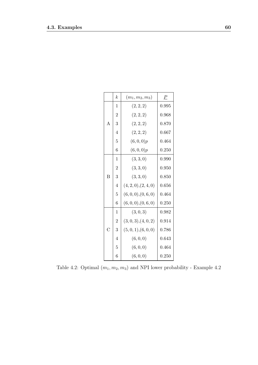|                    | $\boldsymbol{k}$ | $(m_1, m_2, m_3)$    | $\boldsymbol{P}$ |
|--------------------|------------------|----------------------|------------------|
|                    | 1                | (2, 2, 2)            | 0.995            |
|                    | $\overline{2}$   | (2, 2, 2)            | 0.968            |
| $\overline{A}$     | 3                | (2, 2, 2)            | 0.870            |
|                    | $\overline{4}$   | (2, 2, 2)            | 0.667            |
|                    | 5                | (6,0,0)p             | 0.464            |
|                    | 6                | (6,0,0)p             | 0.250            |
|                    | $\mathbf{1}$     | (3,3,0)              | 0.990            |
|                    | $\overline{2}$   | (3,3,0)              | 0.950            |
| B                  | 3                | (3, 3, 0)            | 0.850            |
|                    | $\overline{4}$   | (4, 2, 0), (2, 4, 0) | 0.656            |
|                    | 5                | (6,0,0),(0,6,0)      | 0.464            |
|                    | 6                | (6,0,0),(0,6,0)      | 0.250            |
|                    | $\mathbf{1}$     | (3,0,3)              | 0.982            |
|                    | $\overline{2}$   | (3,0,3), (4,0,2)     | 0.914            |
| $\overline{\rm C}$ | 3                | (5,0,1), (6,0,0)     | 0.786            |
|                    | $\overline{4}$   | (6, 0, 0)            | 0.643            |
|                    | 5                | (6, 0, 0)            | 0.464            |
|                    | 6                | (6, 0, 0)            | 0.250            |

Table 4.2: Optimal  $(m_1, m_2, m_3)$  and NPI lower probability - Example 4.2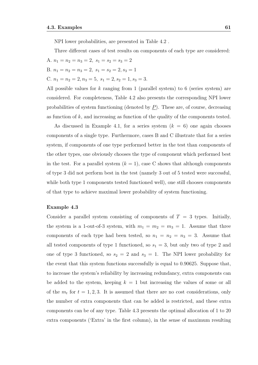NPI lower probabilities, are presented in Table 4.2 .

Three different cases of test results on components of each type are considered:

A.  $n_1 = n_2 = n_3 = 2, s_1 = s_2 = s_3 = 2$ B.  $n_1 = n_2 = n_3 = 2, s_1 = s_2 = 2, s_3 = 1$ C.  $n_1 = n_2 = 2, n_3 = 5, s_1 = 2, s_2 = 1, s_3 = 3.$ 

All possible values for *k* ranging from 1 (parallel system) to 6 (series system) are considered. For completeness, Table 4.2 also presents the corresponding NPI lower probabilities of system functioning (denoted by *P*). These are, of course, decreasing as function of *k*, and increasing as function of the quality of the components tested.

As discussed in Example 4.1, for a series system  $(k = 6)$  one again chooses components of a single type. Furthermore, cases B and C illustrate that for a series system, if components of one type performed better in the test than components of the other types, one obviously chooses the type of component which performed best in the test. For a parallel system  $(k = 1)$ , case C shows that although components of type 3 did not perform best in the test (namely 3 out of 5 tested were successful, while both type 1 components tested functioned well), one still chooses components of that type to achieve maximal lower probability of system functioning.

### **Example 4.3**

Consider a parallel system consisting of components of  $T = 3$  types. Initially, the system is a 1-out-of-3 system, with  $m_1 = m_2 = m_3 = 1$ . Assume that three components of each type had been tested, so  $n_1 = n_2 = n_3 = 3$ . Assume that all tested components of type 1 functioned, so  $s_1 = 3$ , but only two of type 2 and one of type 3 functioned, so  $s_2 = 2$  and  $s_3 = 1$ . The NPI lower probability for the event that this system functions successfully is equal to 0*.*90625. Suppose that, to increase the system's reliability by increasing redundancy, extra components can be added to the system, keeping  $k = 1$  but increasing the values of some or all of the  $m_t$  for  $t = 1, 2, 3$ . It is assumed that there are no cost considerations, only the number of extra components that can be added is restricted, and these extra components can be of any type. Table 4.3 presents the optimal allocation of 1 to 20 extra components ('Extra' in the first column), in the sense of maximum resulting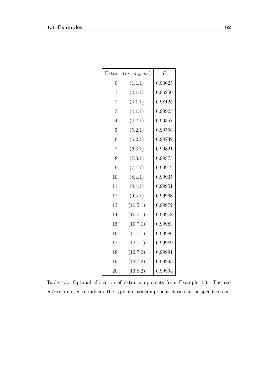| Extra          | $(m_1,m_2,m_3)$ | $\boldsymbol{P}$ |
|----------------|-----------------|------------------|
| $\overline{0}$ | (1,1,1)         | 0.90625          |
| $\overline{1}$ | (2,1,1)         | 0.96250          |
| $\overline{2}$ | (3,1,1)         | 0.98125          |
| 3              | (4,1,1)         | 0.98925          |
| $\overline{4}$ | (4,2,1)         | 0.99357          |
| $\overline{5}$ | (5,2,1)         | 0.99598          |
| 6              | (6,2,1)         | 0.99732          |
| $\overline{7}$ | (6,3,1)         | 0.99821          |
| 8              | (7,3,1)         | 0.99875          |
| 9              | (7, 4, 1)       | 0.99912          |
| 10             | (8,4,1)         | 0.99935          |
| 11             | (9,4,1)         | 0.99951          |
| 12             | (9,5,1)         | 0.99963          |
| 13             | (10,5,1)        | 0.99972          |
| 14             | (10,6,1)        | 0.99978          |
| 15             | (10,7,1)        | 0.99983          |
| 16             | (11,7,1)        | 0.99986          |
| 17             | (12,7,1)        | 0.99989          |
| 18             | (12,7,2)        | 0.99991          |
| 19             | (13,7,2)        | 0.99993          |
| 20             | (13, 8, 2)      | 0.99994          |

Table 4.3: Optimal allocation of extra components from Example 4.3. The red entries are used to indicate the type of extra component chosen at the specific stage.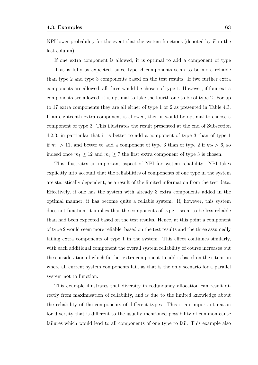NPI lower probability for the event that the system functions (denoted by  $\underline{P}$  in the last column).

If one extra component is allowed, it is optimal to add a component of type 1. This is fully as expected, since type *A* components seem to be more reliable than type 2 and type 3 components based on the test results. If two further extra components are allowed, all three would be chosen of type 1. However, if four extra components are allowed, it is optimal to take the fourth one to be of type 2. For up to 17 extra components they are all either of type 1 or 2 as presented in Table 4.3. If an eighteenth extra component is allowed, then it would be optimal to choose a component of type 3. This illustrates the result presented at the end of Subsection 4.2.3, in particular that it is better to add a component of type 3 than of type 1 if  $m_1 > 11$ , and better to add a component of type 3 than of type 2 if  $m_2 > 6$ , so indeed once  $m_1 \geq 12$  and  $m_2 \geq 7$  the first extra component of type 3 is chosen.

This illustrates an important aspect of NPI for system reliability. NPI takes explicitly into account that the reliabilities of components of one type in the system are statistically dependent, as a result of the limited information from the test data. Effectively, if one has the system with already 3 extra components added in the optimal manner, it has become quite a reliable system. If, however, this system does not function, it implies that the components of type 1 seem to be less reliable than had been expected based on the test results. Hence, at this point a component of type 2 would seem more reliable, based on the test results and the three assumedly failing extra components of type 1 in the system. This effect continues similarly, with each additional component the overall system reliability of course increases but the consideration of which further extra component to add is based on the situation where all current system components fail, as that is the only scenario for a parallel system not to function.

This example illustrates that diversity in redundancy allocation can result directly from maximisation of reliability, and is due to the limited knowledge about the reliability of the components of different types. This is an important reason for diversity that is different to the usually mentioned possibility of common-cause failures which would lead to all components of one type to fail. This example also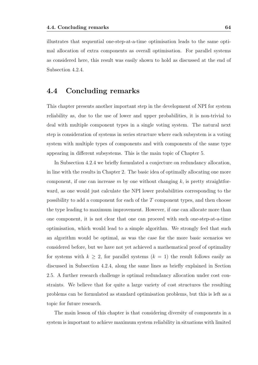illustrates that sequential one-step-at-a-time optimisation leads to the same optimal allocation of extra components as overall optimisation. For parallel systems as considered here, this result was easily shown to hold as discussed at the end of Subsection 4.2.4.

## **4.4 Concluding remarks**

This chapter presents another important step in the development of NPI for system reliability as, due to the use of lower and upper probabilities, it is non-trivial to deal with multiple component types in a single voting system. The natural next step is consideration of systems in series structure where each subsystem is a voting system with multiple types of components and with components of the same type appearing in different subsystems. This is the main topic of Chapter 5.

In Subsection 4.2.4 we briefly formulated a conjecture on redundancy allocation, in line with the results in Chapter 2. The basic idea of optimally allocating one more component, if one can increase *m* by one without changing *k*, is pretty straightforward, as one would just calculate the NPI lower probabilities corresponding to the possibility to add a component for each of the *T* component types, and then choose the type leading to maximum improvement. However, if one can allocate more than one component, it is not clear that one can proceed with such one-step-at-a-time optimisation, which would lead to a simple algorithm. We strongly feel that such an algorithm would be optimal, as was the case for the more basic scenarios we considered before, but we have not yet achieved a mathematical proof of optimality for systems with  $k \geq 2$ , for parallel systems  $(k = 1)$  the result follows easily as discussed in Subsection 4.2.4, along the same lines as briefly explained in Section 2.5. A further research challenge is optimal redundancy allocation under cost constraints. We believe that for quite a large variety of cost structures the resulting problems can be formulated as standard optimisation problems, but this is left as a topic for future research.

The main lesson of this chapter is that considering diversity of components in a system is important to achieve maximum system reliability in situations with limited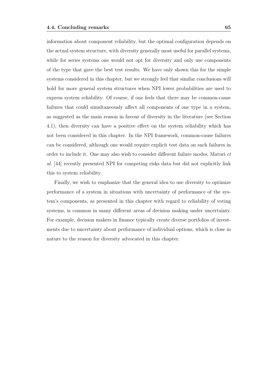information about component reliability, but the optimal configuration depends on the actual system structure, with diversity generally most useful for parallel systems, while for series systems one would not opt for diversity and only use components of the type that gave the best test results. We have only shown this for the simple systems considered in this chapter, but we strongly feel that similar conclusions will hold for more general system structures when NPI lower probabilities are used to express system reliability. Of course, if one feels that there may be common-cause failures that could simultaneously affect all components of one type in a system, as suggested as the main reason in favour of diversity in the literature (see Section 4.1), then diversity can have a positive effect on the system reliability which has not been considered in this chapter. In the NPI framework, common-cause failures can be considered, although one would require explicit test data on such failures in order to include it. One may also wish to consider different failure modes, Maturi *et al.* [44] recently presented NPI for competing risks data but did not explicitly link this to system reliability.

Finally, we wish to emphasize that the general idea to use diversity to optimize performance of a system in situations with uncertainty of performance of the system's components, as presented in this chapter with regard to reliability of voting systems, is common in many different areas of decision making under uncertainty. For example, decision makers in finance typically create diverse portfolios of investments due to uncertainty about performance of individual options, which is close in nature to the reason for diversity advocated in this chapter.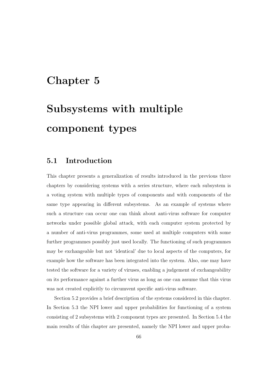## **Chapter 5**

# **Subsystems with multiple component types**

## **5.1 Introduction**

This chapter presents a generalization of results introduced in the previous three chapters by considering systems with a series structure, where each subsystem is a voting system with multiple types of components and with components of the same type appearing in different subsystems. As an example of systems where such a structure can occur one can think about anti-virus software for computer networks under possible global attack, with each computer system protected by a number of anti-virus programmes, some used at multiple computers with some further programmes possibly just used locally. The functioning of such programmes may be exchangeable but not 'identical' due to local aspects of the computers, for example how the software has been integrated into the system. Also, one may have tested the software for a variety of viruses, enabling a judgement of exchangeability on its performance against a further virus as long as one can assume that this virus was not created explicitly to circumvent specific anti-virus software.

Section 5.2 provides a brief description of the systems considered in this chapter. In Section 5.3 the NPI lower and upper probabilities for functioning of a system consisting of 2 subsystems with 2 component types are presented. In Section 5.4 the main results of this chapter are presented, namely the NPI lower and upper proba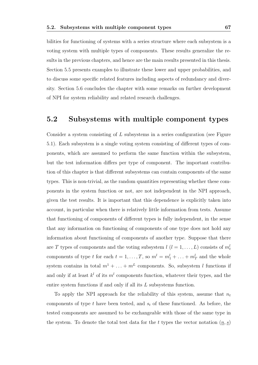bilities for functioning of systems with a series structure where each subsystem is a voting system with multiple types of components. These results generalize the results in the previous chapters, and hence are the main results presented in this thesis. Section 5.5 presents examples to illustrate these lower and upper probabilities, and to discuss some specific related features including aspects of redundancy and diversity. Section 5.6 concludes the chapter with some remarks on further development of NPI for system reliability and related research challenges.

### **5.2 Subsystems with multiple component types**

Consider a system consisting of *L* subsystems in a series configuration (see Figure 5.1). Each subsystem is a single voting system consisting of different types of components, which are assumed to perform the same function within the subsystem, but the test information differs per type of component. The important contribution of this chapter is that different subsystems can contain components of the same types. This is non-trivial, as the random quantities representing whether these components in the system function or not, are not independent in the NPI approach, given the test results. It is important that this dependence is explicitly taken into account, in particular when there is relatively little information from tests. Assume that functioning of components of different types is fully independent, in the sense that any information on functioning of components of one type does not hold any information about functioning of components of another type. Suppose that there are *T* types of components and the voting subsystem  $l$   $(l = 1, ..., L)$  consists of  $m_t^l$ components of type *t* for each  $t = 1, ..., T$ , so  $m^l = m_1^l + ... + m_T^l$  and the whole system contains in total  $m^1 + \ldots + m^L$  components. So, subsystem *l* functions if and only if at least  $k^l$  of its  $m^l$  components function, whatever their types, and the entire system functions if and only if all its *L* subsystems function.

To apply the NPI approach for the reliability of this system, assume that  $n_t$ components of type *t* have been tested, and *s<sup>t</sup>* of these functioned. As before, the tested components are assumed to be exchangeable with those of the same type in the system. To denote the total test data for the *t* types the vector notation  $(n, s)$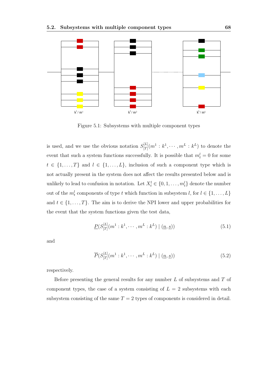

Figure 5.1: Subsystems with multiple component types

is used, and we use the obvious notation  $S_{[T]}^{[L]}$  $\mathcal{F}_{[T]}^{[L]}(m^1:k^1,\cdots,m^L:k^L)$  to denote the event that such a system functions successfully. It is possible that  $m_t^l = 0$  for some  $t \in \{1, \ldots, T\}$  and  $l \in \{1, \ldots, L\}$ , inclusion of such a component type which is not actually present in the system does not affect the results presented below and is unlikely to lead to confusion in notation. Let  $X_t^l \in \{0, 1, \ldots, m_t^l\}$  denote the number out of the  $m_t^l$  components of type *t* which function in subsystem *l*, for  $l \in \{1, \ldots, L\}$ and  $t \in \{1, \ldots, T\}$ . The aim is to derive the NPI lower and upper probabilities for the event that the system functions given the test data,

$$
\underline{P}(S_{[T]}^{[L]}(m^1:k^1,\cdots,m^L:k^L) \mid (\underline{n},\underline{s})) \tag{5.1}
$$

and

$$
\overline{P}(S_{[T]}^{[L]}(m^1:k^1,\cdots,m^L:k^L) \mid (\underline{n},\underline{s}))\tag{5.2}
$$

respectively.

Before presenting the general results for any number *L* of subsystems and *T* of component types, the case of a system consisting of  $L = 2$  subsystems with each subsystem consisting of the same  $T = 2$  types of components is considered in detail.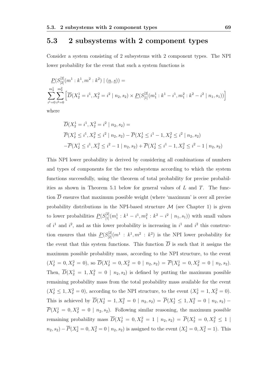### **5.3 2 subsystems with 2 component types**

Consider a system consisting of 2 subsystems with 2 component types. The NPI lower probability for the event that such a system functions is

$$
\underline{P}(S_{[2]}^{[2]}(m^1 : k^1, m^2 : k^2) | (n, s)) =
$$
\n
$$
\sum_{i^1=0}^{m_2^1} \sum_{i^2=0}^{m_2^2} \left[ \overline{D}(X_2^1 = i^1, X_2^2 = i^2 | n_2, s_2) \times \underline{P}(S_{[1]}^{[2]}(m_1^1 : k^1 - i^1, m_1^2 : k^2 - i^2 | n_1, s_1)) \right]
$$

where

$$
\overline{D}(X_2^1 = i^1, X_2^2 = i^2 | n_2, s_2) =
$$
\n
$$
\overline{P}(X_2^1 \le i^1, X_2^2 \le i^2 | n_2, s_2) - \overline{P}(X_2^1 \le i^1 - 1, X_2^2 \le i^2 | n_2, s_2)
$$
\n
$$
-\overline{P}(X_2^1 \le i^1, X_2^2 \le i^2 - 1 | n_2, s_2) + \overline{P}(X_2^1 \le i^1 - 1, X_2^2 \le i^2 - 1 | n_2, s_2)
$$

This NPI lower probability is derived by considering all combinations of numbers and types of components for the two subsystems according to which the system functions successfully, using the theorem of total probability for precise probabilities as shown in Theorem 5.1 below for general values of *L* and *T*. The function  $\overline{D}$  ensures that maximum possible weight (where 'maximum' is over all precise probability distributions in the NPI-based structure  $M$  (see Chapter 1) is given to lower probabilities  $P(S_{[1]}^{[2]}(m_1^1 : k^1 - i^1, m_1^2 : k^2 - i^2 | n_1, s_1))$  with small values of  $i^1$  and  $i^2$ , and as this lower probability is increasing in  $i^1$  and  $i^2$  this construction ensures that this  $P(S_{[2]}^{[2]}(m^1 : k^1, m^2 : k^2)$  is the NPI lower probability for the event that this system functions. This function  $\overline{D}$  is such that it assigns the maximum possible probability mass, according to the NPI structure, to the event  $(X_2^1 = 0, X_2^2 = 0)$ , so  $\overline{D}(X_2^1 = 0, X_2^2 = 0 \mid n_2, s_2) = \overline{P}(X_2^1 = 0, X_2^2 = 0 \mid n_2, s_2)$ . Then,  $\overline{D}(X_2^1 = 1, X_2^2 = 0 \mid n_2, s_2)$  is defined by putting the maximum possible remaining probability mass from the total probability mass available for the event  $(X_2^1 \le 1, X_2^2 = 0)$ , according to the NPI structure, to the event  $(X_2^1 = 1, X_2^2 = 0)$ . This is achieved by  $\overline{D}(X_2^1 = 1, X_2^2 = 0 \mid n_2, s_2) = \overline{P}(X_2^1 \leq 1, X_2^2 = 0 \mid n_2, s_2) \overline{P}(X_2^1 = 0, X_2^2 = 0 \mid n_2, s_2)$ . Following similar reasoning, the maximum possible remaining probability mass  $\overline{D}(X_2^1 = 0, X_2^2 = 1 | n_2, s_2) = \overline{P}(X_2^1 = 0, X_2^2 \le 1 |$  $n_2, s_2$ ) *−*  $\overline{P}(X_2^1 = 0, X_2^2 = 0 \mid n_2, s_2)$  is assigned to the event  $(X_2^1 = 0, X_2^2 = 1)$ . This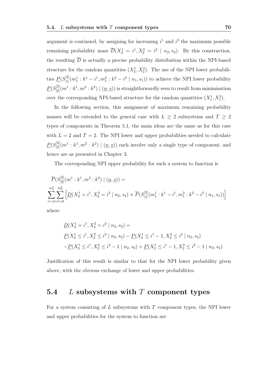argument is continued, by assigning for increasing  $i^1$  and  $i^2$  the maximum possible remaining probability mass  $\overline{D}(X_2^1 = i^1, X_2^2 = i^2 \mid n_2, s_2)$ . By this construction, the resulting  $\overline{D}$  is actually a precise probability distribution within the NPI-based structure for the random quantities  $(X_2^1, X_2^2)$ . The use of the NPI lower probabilities  $P(S_{[1]}^{[2]}(m_1^1 : k^1 - i^1, m_1^2 : k^2 - i^2 | n_1, s_1))$  to achieve the NPI lower probability  $P(S_{[2]}^{[2]}(m^1:k^1,m^2:k^2) \mid (\underline{n},\underline{s}))$  is straightforwardly seen to result from minimisation over the corresponding NPI-based structure for the random quantities  $(X_1^1, X_1^2)$ .

In the following section, this assignment of maximum remaining probability masses will be extended to the general case with  $L \geq 2$  subsystems and  $T \geq 2$ types of components in Theorem 5.1, the main ideas are the same as for this case with  $L = 2$  and  $T = 2$ . The NPI lower and upper probabilities needed to calculate  $P(S_{[2]}^{[2]}(m^1 : k^1, m^2 : k^2) \mid ( \underline{n}, \underline{s}))$  each involve only a single type of component, and hence are as presented in Chapter 3.

The corresponding NPI upper probability for such a system to function is

$$
\overline{P}(S^{[2]}_{[2]}(m^1:k^1,m^2:k^2) | (n,s)) =
$$
\n
$$
\sum_{i^1=0}^{m_2^1} \sum_{i^2=0}^{m_2^2} \left[ \underline{D}(X_2^1=i^1,X_2^2=i^2 | n_2,s_2) \times \overline{P}(S^{[2]}_{[1]}(m_1^1:k^1-i^1,m_1^2:k^2-i^2 | n_1,s_1)) \right]
$$

where

$$
\underline{D}(X_2^1 = i^1, X_2^2 = i^2 | n_2, s_2) =
$$
\n
$$
\underline{P}(X_2^1 \le i^1, X_2^2 \le i^2 | n_2, s_2) - \underline{P}(X_2^1 \le i^1 - 1, X_2^2 \le i^2 | n_2, s_2)
$$
\n
$$
-\underline{P}(X_2^1 \le i^1, X_2^2 \le i^2 - 1 | n_2, s_2) + \underline{P}(X_2^1 \le i^1 - 1, X_2^2 \le i^2 - 1 | n_2, s_2)
$$

Justification of this result is similar to that for the NPI lower probability given above, with the obvious exchange of lower and upper probabilities.

### **5.4** *L* **subsystems with** *T* **component types**

For a system consisting of *L* subsystems with *T* component types, the NPI lower and upper probabilities for the system to function are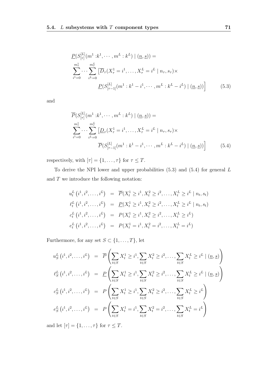$$
\underline{P}(S_{[\tau]}^{[L]}(m^1:k^1,\dots,m^L:k^L) \mid (\underline{n},\underline{s})) =
$$
\n
$$
\sum_{i^1=0}^{m^1_{\tau}} \cdots \sum_{i^L=0}^{m^L_{\tau}} \left[ \overline{D}_{\tau}(X_{\tau}^1=i^1,\dots,X_{\tau}^L=i^L \mid n_{\tau},s_{\tau}) \times \underline{P}(S_{[\tau-1]}^{[L]}(m^1:k^1-i^1,\dots,m^L:k^L-i^L) \mid (\underline{n},\underline{s})) \right]
$$
\n(5.3)

and

$$
\overline{P}(S_{[\tau]}^{[L]}(m^1 : k^1, \cdots, m^L : k^L) | (n, s)) =
$$
\n
$$
\sum_{i^1=0}^{m_{\tau}^1} \cdots \sum_{i^L=0}^{m_{\tau}^L} \left[ \underline{D}_{\tau}(X_{\tau}^1 = i^1, \dots, X_{\tau}^L = i^L | n_{\tau}, s_{\tau}) \times \overline{P}(S_{[\tau-1]}^{[L]}(m^1 : k^1 - i^1, \cdots, m^L : k^L - i^L) | (n, s)) \right]
$$
\n(5.4)

respectively, with  $[\tau] = \{1, \ldots, \tau\}$  for  $\tau \leq T$ .

To derive the NPI lower and upper probabilities (5.3) and (5.4) for general *L* and *T* we introduce the following notation:

$$
u_t^L(i^1, i^2, \dots, i^L) = \overline{P}(X_t^1 \ge i^1, X_t^2 \ge i^2, \dots, X_t^L \ge i^L | n_t, s_t)
$$
  
\n
$$
\ell_t^L(i^1, i^2, \dots, i^L) = \underline{P}(X_t^1 \ge i^1, X_t^2 \ge i^2, \dots, X_t^L \ge i^L | n_t, s_t)
$$
  
\n
$$
c_t^L(i^1, i^2, \dots, i^L) = P(X_t^1 \ge i^1, X_t^2 \ge i^2, \dots, X_t^L \ge i^L)
$$
  
\n
$$
e_t^L(i^1, i^2, \dots, i^L) = P(X_t^1 = i^1, X_t^2 = i^2, \dots, X_t^L = i^L)
$$

Furthermore, for any set  $S \subset \{1, \ldots, T\}$ , let

$$
u_S^L(i^1, i^2, \dots, i^L) = \overline{P}\left(\sum_{t \in S} X_t^1 \geq i^1, \sum_{t \in S} X_t^2 \geq i^2, \dots, \sum_{t \in S} X_t^L \geq i^L \mid (n, s)\right)
$$
  
\n
$$
\ell_S^L(i^1, i^2, \dots, i^L) = \underline{P}\left(\sum_{t \in S} X_t^1 \geq i^1, \sum_{t \in S} X_t^2 \geq i^2, \dots, \sum_{t \in S} X_t^L \geq i^L \mid (n, s)\right)
$$
  
\n
$$
c_S^L(i^1, i^2, \dots, i^L) = P\left(\sum_{t \in S} X_t^1 \geq i^1, \sum_{t \in S} X_t^2 \geq i^2, \dots, \sum_{t \in S} X_t^L \geq i^L\right)
$$
  
\n
$$
e_S^L(i^1, i^2, \dots, i^L) = P\left(\sum_{t \in S} X_t^1 = i^1, \sum_{t \in S} X_t^2 = i^2, \dots, \sum_{t \in S} X_t^L = i^L\right)
$$

and let  $[\tau] = \{1, \ldots, \tau\}$  for  $\tau \leq T$ .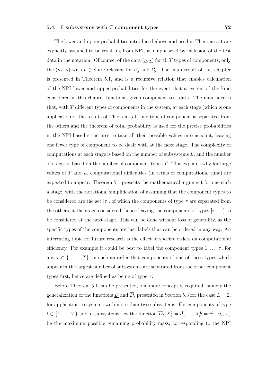The lower and upper probabilities introduced above and used in Theorem 5.1 are explicitly assumed to be resulting from NPI, as emphasized by inclusion of the test data in the notation. Of course, of the data  $(n, s)$  for all T types of components, only the  $(n_t, s_t)$  with  $t \in S$  are relevant for  $u_S^L$  and  $\ell_S^L$ . The main result of this chapter is presented in Theorem 5.1, and is a recursive relation that enables calculation of the NPI lower and upper probabilities for the event that a system of the kind considered in this chapter functions, given component test data. The main idea is that, with *T* different types of components in the system, at each stage (which is one application of the results of Theorem 5.1) one type of component is separated from the others and the theorem of total probability is used for the precise probabilities in the NPI-based structures to take all their possible values into account, leaving one fewer type of component to be dealt with at the next stage. The complexity of computations at each stage is based on the number of subsystems *L*, and the number of stages is based on the number of component types *T*. This explains why for large values of *T* and *L*, computational difficulties (in terms of computational time) are expected to appear. Theorem 5.1 presents the mathematical argument for one such a stage, with the notational simplification of assuming that the component types to

be considered are the set  $[\tau]$ , of which the components of type  $\tau$  are separated from the others at the stage considered, hence leaving the components of types  $[*\tau* - 1]$  to be considered at the next stage. This can be done without loss of generality, as the specific types of the components are just labels that can be ordered in any way. An interesting topic for future research is the effect of specific orders on computational efficiency. For example it could be best to label the component types  $1, \ldots, \tau$ , for any  $\tau \in \{1, \ldots, T\}$ , in such an order that components of one of these types which appear in the largest number of subsystems are separated from the other component types first, hence are defined as being of type *τ* .

Before Theorem 5.1 can be presented, one more concept is required, namely the generalization of the functions  $\underline{D}$  and  $\overline{D}$ , presented in Section 5.3 for the case  $L = 2$ , for application to systems with more than two subsystems. For components of type  $t \in \{1, ..., T\}$  and L subsystems, let the function  $\overline{D}_t(X_t^1 = i^1, ..., X_t^L = i^L | n_t, s_t)$ be the maximum possible remaining probability mass, corresponding to the NPI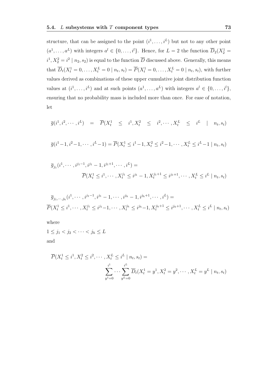structure, that can be assigned to the point  $(i^1, \ldots, i^L)$  but not to any other point  $(a^1, \ldots, a^L)$  with integers  $a^l \in \{0, \ldots, i^l\}$ . Hence, for  $L = 2$  the function  $\overline{D}_2(X_2^1 =$  $i^1, X_2^2 = i^2 | n_2, s_2$  is equal to the function  $\overline{D}$  discussed above. Generally, this means that  $\overline{D}_t(X_t^1 = 0, ..., X_t^L = 0 \mid n_t, s_t) = \overline{P}(X_t^1 = 0, ..., X_t^L = 0 \mid n_t, s_t)$ , with further values derived as combinations of these upper cumulative joint distribution function values at  $(i^1, \ldots, i^L)$  and at such points  $(a^1, \ldots, a^L)$  with integers  $a^l \in \{0, \ldots, i^l\}$ , ensuring that no probability mass is included more than once. For ease of notation, let

$$
\overline{g}(i^1, i^2, \cdots, i^L) = \overline{P}(X_t^1 \leq i^1, X_t^2 \leq i^2, \cdots, X_t^L \leq i^L | n_t, s_t)
$$

$$
\overline{g}(i^{1}-1, i^{2}-1, \cdots, i^{L}-1) = \overline{P}(X_{t}^{1} \leq i^{1}-1, X_{t}^{2} \leq i^{2}-1, \cdots, X_{t}^{L} \leq i^{L}-1 \mid n_{t}, s_{t})
$$

$$
\overline{g}_{j_1}(i^1, \dots, i^{j_1-1}, i^{j_1} - 1, i^{j_1+1}, \dots, i^L) =
$$
  

$$
\overline{P}(X_t^1 \le i^1, \dots, X_t^{j_1} \le i^{j_1} - 1, X_t^{j_1+1} \le i^{j_1+1}, \dots, X_t^L \le i^L \mid n_t, s_t)
$$

$$
\overline{g}_{j_1,\dots,j_h}(i^1,\dots,i^{j_1-1},i^{j_1}-1,\dots,i^{j_h}-1,i^{j_h+1},\dots,i^L) =
$$
\n
$$
\overline{P}(X_t^1 \leq i^1,\dots,X_t^{j_1} \leq i^{j_1}-1,\dots,X_t^{j_h} \leq i^{j_h}-1,X_t^{j_h+1} \leq i^{j_h+1},\dots,X_t^L \leq i^L \mid n_t,s_t)
$$

where

 $1 \leq j_1 < j_2 < \cdots < j_h \leq L$ and

$$
\overline{P}(X_t^1 \le i^1, X_t^2 \le i^2, \cdots, X_t^L \le i^L \mid n_t, s_t) =
$$
\n
$$
\sum_{y^1=0}^{i^1} \cdots \sum_{y^L=0}^{i^L} \overline{D}_t(X_t^1 = y^1, X_t^2 = y^2, \cdots, X_t^L = y^L \mid n_t, s_t)
$$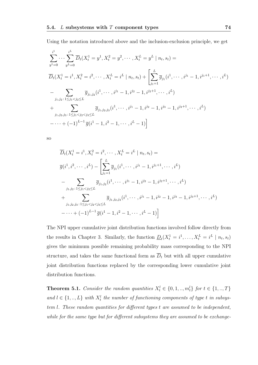Using the notation introduced above and the inclusion-exclusion principle, we get

$$
\sum_{y^{1}=0}^{i^{1}} \cdots \sum_{y^{L}=0}^{i^{L}} \overline{D}_{t}(X_{t}^{1} = y^{1}, X_{t}^{2} = y^{2}, \cdots, X_{t}^{L} = y^{L} | n_{t}, s_{t}) =
$$
\n
$$
\overline{D}_{t}(X_{t}^{1} = i^{1}, X_{t}^{2} = i^{2}, \cdots, X_{t}^{L} = i^{L} | n_{t}, s_{t}) + \left[ \sum_{j_{1}=1}^{L} \overline{g}_{j_{1}}(i^{1}, \cdots, i^{j_{1}} - 1, i^{j_{1}+1}, \cdots, i^{L}) - \sum_{j_{1},j_{2}:1 \leq j_{1} < j_{2} \leq L} \overline{g}_{j_{1},j_{2}}(i^{1}, \cdots, i^{j_{1}} - 1, i^{j_{2}} - 1, i^{j_{2}+1}, \cdots, i^{L}) + \sum_{j_{1},j_{2},j_{3}:1 \leq j_{1} < j_{2} < j_{3} \leq L} \overline{g}_{j_{1},j_{2},j_{3}}(i^{1}, \cdots, i^{j_{1}} - 1, i^{j_{2}} - 1, i^{j_{3}} - 1, i^{j_{3}+1}, \cdots, i^{L})
$$
\n
$$
-\cdots + (-1)^{L-1} \overline{g}(i^{1} - 1, i^{2} - 1, \cdots, i^{L} - 1)
$$

so

$$
\overline{D}_t(X_t^1 = i^1, X_t^2 = i^2, \cdots, X_t^L = i^L | n_t, s_t) =
$$
\n
$$
\overline{g}(i^1, i^2, \cdots, i^L) - \left[ \sum_{j_1=1}^L \overline{g}_{j_1}(i^1, \cdots, i^{j_1} - 1, i^{j_1+1}, \cdots, i^L) \right]
$$
\n
$$
- \sum_{j_1, j_2 \,:\, 1 \le j_1 < j_2 \le L} \overline{g}_{j_1, j_2}(i^1, \cdots, i^{j_1} - 1, i^{j_2} - 1, i^{j_2+1}, \cdots, i^L)
$$
\n
$$
+ \sum_{j_1, j_2, j_3 \,:\, 1 \le j_1 < j_2 < j_3 \le L} \overline{g}_{j_1, j_2, j_3}(i^1, \cdots, i^{j_1} - 1, i^{j_2} - 1, i^{j_3} - 1, i^{j_3+1}, \cdots, i^L)
$$
\n
$$
- \cdots + (-1)^{L-1} \overline{g}(i^1 - 1, i^2 - 1, \cdots, i^L - 1)
$$

The NPI upper cumulative joint distribution functions involved follow directly from the results in Chapter 3. Similarly, the function  $\underline{D}_t(X_t^1 = i^1, \ldots, X_t^L = i^L \mid n_t, s_t)$ gives the minimum possible remaining probability mass corresponding to the NPI structure, and takes the same functional form as  $\overline{D}_t$  but with all upper cumulative joint distribution functions replaced by the corresponding lower cumulative joint distribution functions.

**Theorem 5.1.** *Consider the random quantities*  $X_t^l \in \{0, 1, ..., m_t^l\}$  *for*  $t \in \{1, ..., T\}$ *and*  $l$  ∈ {1, ..,  $L$ } *with*  $X_t^l$  *the number of functioning components of type t in subsystem l. These random quantities for different types t are assumed to be independent, while for the same type but for different subsystems they are assumed to be exchange-*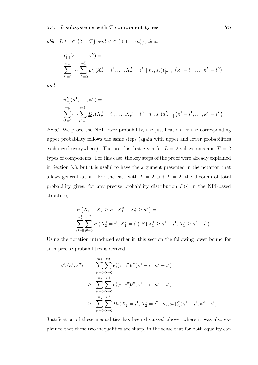*able. Let*  $\tau \in \{2, ..., T\}$  *and*  $\kappa^l \in \{0, 1, ..., m_{\tau}^l\}$ , *then* 

$$
\ell_{[\tau]}^{L}(\kappa^{1},\ldots,\kappa^{L}) =
$$
\n
$$
\sum_{i^{1}=0}^{m_{\tau}^{1}} \cdots \sum_{i^{L}=0}^{m_{\tau}^{L}} \overline{D}_{\tau}(X_{\tau}^{1} = i^{1},\ldots,X_{\tau}^{L} = i^{L} | n_{\tau}, s_{\tau}) \ell_{[\tau-1]}^{L} (\kappa^{1} - i^{1},\ldots,\kappa^{L} - i^{L})
$$

*and*

$$
u_{[\tau]}^{L}(\kappa^{1}, \ldots, \kappa^{L}) =
$$
  

$$
\sum_{i^{1}=0}^{m_{\tau}^{1}} \cdots \sum_{i^{L}=0}^{m_{\tau}^{L}} \underline{D}_{\tau}(X_{\tau}^{1} = i^{1}, \ldots, X_{\tau}^{L} = i^{L} | n_{\tau}, s_{\tau}) u_{[\tau-1]}^{L} (\kappa^{1} - i^{1}, \ldots, \kappa^{L} - i^{L})
$$

*Proof.* We prove the NPI lower probability, the justification for the corresponding upper probability follows the same steps (again with upper and lower probabilities exchanged everywhere). The proof is first given for  $L = 2$  subsystems and  $T = 2$ types of components. For this case, the key steps of the proof were already explained in Section 5.3, but it is useful to have the argument presented in the notation that allows generalization. For the case with  $L = 2$  and  $T = 2$ , the theorem of total probability gives, for any precise probability distribution  $P(\cdot)$  in the NPI-based structure,

$$
P(X_1^1 + X_2^1 \ge \kappa^1, X_1^2 + X_2^2 \ge \kappa^2) =
$$
  

$$
\sum_{i^1=0}^{m_1^1} \sum_{i^2=0}^{m_1^2} P(X_2^1 = i^1, X_2^2 = i^2) P(X_1^1 \ge \kappa^1 - i^1, X_1^2 \ge \kappa^2 - i^2)
$$

Using the notation introduced earlier in this section the following lower bound for such precise probabilities is derived

$$
c_{[2]}^2(\kappa^1, \kappa^2) = \sum_{i^1=0}^{m_2^1} \sum_{i^2=0}^{m_2^2} e_2^2(i^1, i^2) c_1^2(\kappa^1 - i^1, \kappa^2 - i^2)
$$
  
\n
$$
\geq \sum_{i^1=0}^{m_2^1} \sum_{i^2=0}^{m_2^2} e_2^2(i^1, i^2) \ell_1^2(\kappa^1 - i^1, \kappa^2 - i^2)
$$
  
\n
$$
\geq \sum_{i^1=0}^{m_2^1} \sum_{i^2=0}^{m_2^2} \overline{D}_2(X_2^1 = i^1, X_2^2 = i^2 | n_2, s_2) \ell_1^2(\kappa^1 - i^1, \kappa^2 - i^2)
$$

Justification of these inequalities has been discussed above, where it was also explained that these two inequalities are sharp, in the sense that for both equality can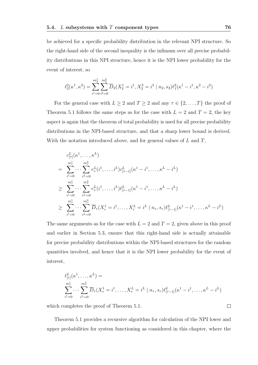be achieved for a specific probability distribution in the relevant NPI structure. So the right-hand side of the second inequality is the infimum over all precise probability distributions in this NPI structure, hence it is the NPI lower probability for the event of interest, so

$$
\ell_2^2(\kappa^1, \kappa^2) = \sum_{i^1=0}^{m_2^1} \sum_{i^2=0}^{m_2^2} \overline{D}_2(X_2^1 = i^1, X_2^2 = i^2 | n_2, s_2) \ell_1^2(\kappa^1 - i^1, \kappa^2 - i^2)
$$

For the general case with  $L \geq 2$  and  $T \geq 2$  and any  $\tau \in \{2, \ldots, T\}$  the proof of Theorem 5.1 follows the same steps as for the case with  $L = 2$  and  $T = 2$ , the key aspect is again that the theorem of total probability is used for all precise probability distributions in the NPI-based structure, and that a sharp lower bound is derived. With the notation introduced above, and for general values of *L* and *T*,

$$
c_{[\tau]}^{L}(\kappa^{1}, \ldots, \kappa^{L})
$$
\n
$$
= \sum_{i^{1}=0}^{m_{\tau}^{1}} \cdots \sum_{i^{L}=0}^{m_{\tau}^{L}} e_{\tau}^{L}(i^{1}, \ldots, i^{L}) c_{[\tau-1]}^{L}(\kappa^{1} - i^{1}, \ldots, \kappa^{L} - i^{L})
$$
\n
$$
\geq \sum_{i^{1}=0}^{m_{\tau}^{1}} \cdots \sum_{i^{L}=0}^{m_{\tau}^{L}} e_{\tau}^{L}(i^{1}, \ldots, i^{L}) \ell_{[\tau-1]}^{L}(\kappa^{1} - i^{1}, \ldots, \kappa^{L} - i^{L})
$$
\n
$$
\geq \sum_{i^{1}=0}^{m_{\tau}^{1}} \cdots \sum_{i^{L}=0}^{m_{\tau}^{L}} \overline{D}_{\tau}(X_{\tau}^{1} = i^{1}, \ldots, X_{\tau}^{L} = i^{L} | n_{\tau}, s_{\tau}) \ell_{[\tau-1]}^{L}(\kappa^{1} - i^{1}, \ldots, \kappa^{L} - i^{L})
$$

The same arguments as for the case with  $L = 2$  and  $T = 2$ , given above in this proof and earlier in Section 5.3, ensure that this right-hand side is actually attainable for precise probability distributions within the NPI-based structures for the random quantities involved, and hence that it is the NPI lower probability for the event of interest,

$$
\ell^L_{[\tau]}(\kappa^1, \dots, \kappa^L) =
$$
  

$$
\sum_{i^1=0}^{m_{\tau}^1} \dots \sum_{i^L=0}^{m_{\tau}^L} \overline{D}_{\tau}(X_{\tau}^1 = i^1, \dots, X_{\tau}^L = i^L | n_{\tau}, s_{\tau}) \ell^L_{[\tau-1]}(\kappa^1 - i^1, \dots, \kappa^L - i^L)
$$

which completes the proof of Theorem 5.1.

Theorem 5.1 provides a recursive algorithm for calculation of the NPI lower and upper probabilities for system functioning as considered in this chapter, where the

 $\Box$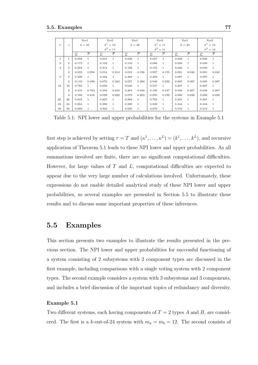|                  |                  |                | Sys1           |                | Sys2           |                | Sys1           |                | Sys2           |        | Sys1           |              | Sys2           |
|------------------|------------------|----------------|----------------|----------------|----------------|----------------|----------------|----------------|----------------|--------|----------------|--------------|----------------|
| $\boldsymbol{n}$ | $\boldsymbol{s}$ | $k=21$         |                | $k^1 = 10$     |                | $k=22$         |                | $k^1 = 11$     |                | $k=24$ |                | $k^1 = 12$   |                |
|                  |                  |                |                | $k^2 = 11$     |                |                |                | $k^2 = 11$     |                |        |                | $k^2 = 12$   |                |
|                  |                  | $\overline{P}$ | $\overline{P}$ | $\overline{P}$ | $\overline{P}$ | $\overline{P}$ | $\overline{P}$ | $\overline{P}$ | $\overline{P}$ | P      | $\overline{P}$ | $\mathbf{P}$ | $\overline{P}$ |
| $\mathbf{1}$     | $\mathbf{1}$     | 0.059          | $\mathbf{1}$   | 0.041          | $\mathbf{1}$   | 0.036          | $\mathbf{1}$   | 0.027          | $\mathbf{1}$   | 0.006  | $\mathbf{1}$   | 0.006        | $\mathbf{1}$   |
| $\overline{2}$   | $\overline{2}$   | 0.173          | $\mathbf{1}$   | 0.123          | $\mathbf{1}$   | 0.110          | 1              | 0.086          | $\mathbf{1}$   | 0.020  | $\mathbf{1}$   | 0.020        | $\mathbf{1}$   |
| 3                | 3                | 0.294          | 1              | 0.214          | $\mathbf{1}$   | 0.196          | 1              | 0.155          | $\mathbf{1}$   | 0.040  | $\mathbf{1}$   | 0.040        | $\mathbf{1}$   |
|                  | $\overline{2}$   | 0.023          | 0.294          | 0.014          | 0.214          | 0.012          | 0.196          | 0.007          | 0.155          | 0.001  | 0.040          | 0.001        | 0.040          |
| $\overline{5}$   | 5                | 0.499          | 1.             | 0.382          | $\mathbf{1}$   | 0.360          | 1              | 0.292          | 1              | 0.087  | $\mathbf{1}$   | 0.087        | $\mathbf{1}$   |
|                  | $\overline{4}$   | 0.110          | 0.499          | 0.070          | 0.382          | 0.057          | 0.360          | 0.040          | 0.292          | 0.005  | 0.087          | 0.005        | 0.087          |
| 10               | 10               | 0.783          | $\mathbf{1}$   | 0.650          | $\mathbf{1}$   | 0.640          | $\mathbf{1}$   | 0.547          | $\mathbf{1}$   | 0.207  | $\mathbf{1}$   | 0.207        | $\mathbf{1}$   |
|                  | 9                | 0.416          | 0.783          | 0.292          | 0.650          | 0.263          | 0.640          | 0.199          | 0.547          | 0.038  | 0.207          | 0.038        | 0.207          |
|                  | 8                | 0.160          | 0.416          | 0.099          | 0.292          | 0.079          | 0.263          | 0.055          | 0.199          | 0.006  | 0.038          | 0.006        | 0.038          |
| 20               | 20               | 0.944          | 1              | 0.855          | $\mathbf{1}$   | 0.862          | 1              | 0.783          | $\mathbf{1}$   | 0.391  | $\mathbf{1}$   | 0.391        | $\mathbf{1}$   |
| 24               | 24               | 0.964          | 1              | 0.890          | $\mathbf{1}$   | 0.900          | 1              | 0.829          | $\mathbf{1}$   | 0.444  | $\mathbf{1}$   | 0.444        | $\mathbf{1}$   |
| 30               | 30               | 0.980          | $\mathbf{1}$   | 0.923          | $\mathbf{1}$   | 0.935          | $\mathbf{1}$   | 0.876          | $\mathbf{1}$   | 0.510  | $\mathbf{1}$   | 0.510        | $\mathbf{1}$   |

Table 5.1: NPI lower and upper probabilities for the systems in Example 5.1

first step is achieved by setting  $\tau = T$  and  $(\kappa^1, \ldots, \kappa^L) = (k^1, \ldots, k^L)$ , and recursive application of Theorem 5.1 leads to these NPI lower and upper probabilities. As all summations involved are finite, there are no significant computational difficulties. However, for large values of *T* and *L*, computational difficulties are expected to appear due to the very large number of calculations involved. Unfortunately, these expressions do not enable detailed analytical study of these NPI lower and upper probabilities, so several examples are presented in Section 5.5 to illustrate these results and to discuss some important properties of these inferences.

## **5.5 Examples**

This section presents two examples to illustrate the results presented in the previous section. The NPI lower and upper probabilities for successful functioning of a system consisting of 2 subsystems with 2 component types are discussed in the first example, including comparisons with a single voting system with 2 component types. The second example considers a system with 3 subsystems and 3 components, and includes a brief discussion of the important topics of redundancy and diversity.

#### **Example 5.1**

Two different systems, each having components of *T* = 2 types *A* and *B*, are considered. The first is a *k*-out-of-24 system with  $m_a = m_b = 12$ . The second consists of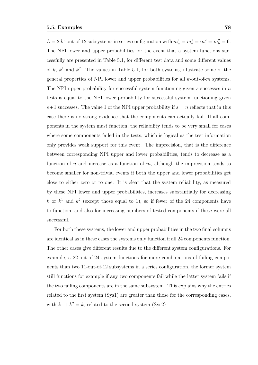$L = 2 k^{i}$ -out-of-12 subsystems in series configuration with  $m_a^1 = m_b^1 = m_a^2 = m_b^2 = 6$ . The NPI lower and upper probabilities for the event that a system functions successfully are presented in Table 5.1, for different test data and some different values of  $k, k<sup>1</sup>$  and  $k<sup>2</sup>$ . The values in Table 5.1, for both systems, illustrate some of the general properties of NPI lower and upper probabilities for all *k*-out-of-*m* systems. The NPI upper probability for successful system functioning given *s* successes in *n* tests is equal to the NPI lower probability for successful system functioning given  $s+1$  successes. The value 1 of the NPI upper probability if  $s = n$  reflects that in this case there is no strong evidence that the components can actually fail. If all components in the system must function, the reliability tends to be very small for cases where some components failed in the tests, which is logical as the test information only provides weak support for this event. The imprecision, that is the difference between corresponding NPI upper and lower probabilities, tends to decrease as a function of *n* and increase as a function of *m*, although the imprecision tends to become smaller for non-trivial events if both the upper and lower probabilities get close to either zero or to one. It is clear that the system reliability, as measured by these NPI lower and upper probabilities, increases substantially for decreasing k or  $k<sup>1</sup>$  and  $k<sup>2</sup>$  (except those equal to 1), so if fewer of the 24 components have to function, and also for increasing numbers of tested components if these were all successful.

For both these systems, the lower and upper probabilities in the two final columns are identical as in these cases the systems only function if all 24 components function. The other cases give different results due to the different system configurations. For example, a 22-out-of-24 system functions for more combinations of failing components than two 11-out-of-12 subsystems in a series configuration, the former system still functions for example if any two components fail while the latter system fails if the two failing components are in the same subsystem. This explains why the entries related to the first system (Sys1) are greater than those for the corresponding cases, with  $k^1 + k^2 = k$ , related to the second system (Sys2).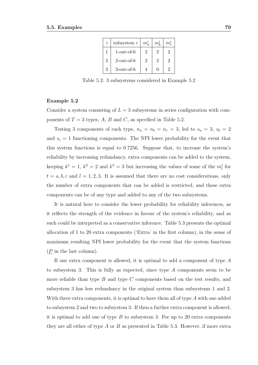|                | subsystem $i$    | $m_a^i$        | $m_k^i$       | $m_c^i$        |
|----------------|------------------|----------------|---------------|----------------|
|                | $1$ -out-of- $6$ | $\overline{2}$ |               | 2              |
| $\overline{2}$ | $2$ -out-of-6    | $\overline{2}$ | $\mathcal{D}$ | 2              |
| 3              | $3$ -out-of- $6$ |                |               | $\mathfrak{D}$ |

Table 5.2: 3 subsystems considered in Example 5.2

#### **Example 5.2**

Consider a system consisting of  $L = 3$  subsystems in series configuration with components of  $T = 3$  types,  $A$ ,  $B$  and  $C$ , as specified in Table 5.2.

Testing 3 components of each type,  $n_a = n_b = n_c = 3$ , led to  $s_a = 3$ ,  $s_b = 2$ and  $s_c = 1$  functioning components. The NPI lower probability for the event that this system functions is equal to 0*.*7256. Suppose that, to increase the system's reliability by increasing redundancy, extra components can be added to the system, keeping  $k^1 = 1$ ,  $k^2 = 2$  and  $k^3 = 3$  but increasing the values of some of the  $m_l^t$  for  $t = a, b, c$  and  $l = 1, 2, 3$ . It is assumed that there are no cost considerations, only the number of extra components that can be added is restricted, and these extra components can be of any type and added to any of the two subsystems.

It is natural here to consider the lower probability for reliability inferences, as it reflects the strength of the evidence in favour of the system's reliability, and as such could be interpreted as a conservative inference. Table 5.3 presents the optimal allocation of 1 to 20 extra components ('Extra' in the first column), in the sense of maximum resulting NPI lower probability for the event that the system functions (*P* in the last column).

If one extra component is allowed, it is optimal to add a component of type *A* to subsystem 3. This is fully as expected, since type *A* components seem to be more reliable than type *B* and type *C* components based on the test results, and subsystem 3 has less redundancy in the original system than subsystems 1 and 2. With three extra components, it is optimal to have them all of type *A* with one added to subsystem 2 and two to subsystem 3. If then a further extra component is allowed, it is optimal to add one of type *B* to subsystem 3. For up to 20 extra components they are all either of type *A* or *B* as presented in Table 5.3. However, if more extra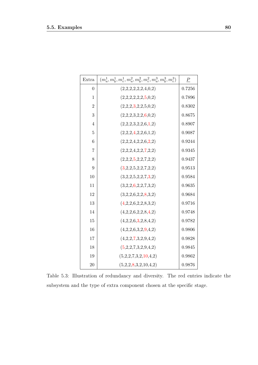| Extra          | $(m_a^1, m_b^1, m_c^1, m_a^2, m_b^2, m_c^2, m_a^3, m_b^3, m_c^3)$ | $\boldsymbol{P}$ |
|----------------|-------------------------------------------------------------------|------------------|
| $\overline{0}$ | (2,2,2,2,2,2,4,0,2)                                               | 0.7256           |
| 1              | (2,2,2,2,2,2,5,0,2)                                               | 0.7896           |
| $\overline{2}$ | (2,2,2,3,2,2,5,0,2)                                               | 0.8302           |
| 3              | (2,2,2,3,2,2,6,0,2)                                               | 0.8675           |
| $\overline{4}$ | (2,2,2,3,2,2,6,1,2)                                               | 0.8907           |
| $\overline{5}$ | (2,2,2,4,2,2,6,1,2)                                               | 0.9087           |
| 6              | (2,2,2,4,2,2,6,2,2)                                               | 0.9244           |
| $\overline{7}$ | (2,2,2,4,2,2,7,2,2)                                               | 0.9345           |
| 8              | (2,2,2,5,2,2,7,2,2)                                               | 0.9437           |
| 9              | (3,2,2,5,2,2,7,2,2)                                               | 0.9513           |
| 10             | (3,2,2,5,2,2,7,3,2)                                               | 0.9584           |
| 11             | (3,2,2,6,2,2,7,3,2)                                               | 0.9635           |
| 12             | (3,2,2,6,2,2,8,3,2)                                               | 0.9684           |
| 13             | (4,2,2,6,2,2,8,3,2)                                               | 0.9716           |
| 14             | (4,2,2,6,2,2,8,4,2)                                               | 0.9748           |
| 15             | (4,2,2,6,3,2,8,4,2)                                               | 0.9782           |
| 16             | (4,2,2,6,3,2,9,4,2)                                               | 0.9806           |
| 17             | (4,2,2,7,3,2,9,4,2)                                               | 0.9828           |
| 18             | (5,2,2,7,3,2,9,4,2)                                               | 0.9845           |
| 19             | (5,2,2,7,3,2,10,4,2)                                              | 0.9862           |
| 20             | (5,2,2,8,3,2,10,4,2)                                              | 0.9876           |

Table 5.3: Illustration of redundancy and diversity. The red entries indicate the subsystem and the type of extra component chosen at the specific stage.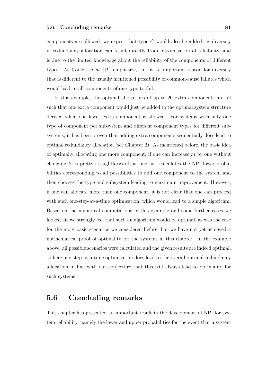components are allowed, we expect that type *C* would also be added, as diversity in redundancy allocation can result directly from maximisation of reliability, and is due to the limited knowledge about the reliability of the components of different types. As Coolen *et al.* [19] emphasize, this is an important reason for diversity that is different to the usually mentioned possibility of common-cause failures which would lead to all components of one type to fail.

In this example, the optimal allocations of up to 20 extra components are all such that one extra component would just be added to the optimal system structure derived when one fewer extra component is allowed. For systems with only one type of component per subsystem and different component types for different subsystems, it has been proven that adding extra components sequentially does lead to optimal redundancy allocation (see Chapter 2). As mentioned before, the basic idea of optimally allocating one more component, if one can increase *m* by one without changing  $k$ , is pretty straightforward, as one just calculates the NPI lower probabilities corresponding to all possibilities to add one component to the system and then chooses the type and subsystem leading to maximum improvement. However, if one can allocate more than one component, it is not clear that one can proceed with such one-step-at-a-time optimisation, which would lead to a simple algorithm. Based on the numerical computations in this example and some further cases we looked at, we strongly feel that such an algorithm would be optimal, as was the case for the more basic scenarios we considered before, but we have not yet achieved a mathematical proof of optimality for the systems in this chapter. In the example above, all possible scenarios were calculated and the given results are indeed optimal, so here one-step-at-a-time optimisation does lead to the overall optimal redundancy allocation in line with our conjecture that this will always lead to optimality for such systems.

## **5.6 Concluding remarks**

This chapter has presented an important result in the development of NPI for system reliability, namely the lower and upper probabilities for the event that a system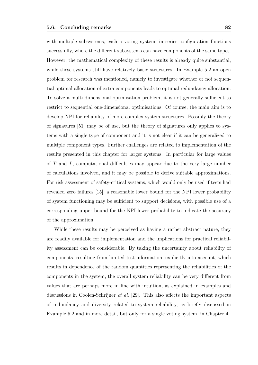with multiple subsystems, each a voting system, in series configuration functions successfully, where the different subsystems can have components of the same types. However, the mathematical complexity of these results is already quite substantial, while these systems still have relatively basic structures. In Example 5.2 an open problem for research was mentioned, namely to investigate whether or not sequential optimal allocation of extra components leads to optimal redundancy allocation. To solve a multi-dimensional optimisation problem, it is not generally sufficient to restrict to sequential one-dimensional optimisations. Of course, the main aim is to develop NPI for reliability of more complex system structures. Possibly the theory of signatures [51] may be of use, but the theory of signatures only applies to systems with a single type of component and it is not clear if it can be generalized to multiple component types. Further challenges are related to implementation of the results presented in this chapter for larger systems. In particular for large values of *T* and *L*, computational difficulties may appear due to the very large number of calculations involved, and it may be possible to derive suitable approximations. For risk assessment of safety-critical systems, which would only be used if tests had revealed zero failures [15], a reasonable lower bound for the NPI lower probability of system functioning may be sufficient to support decisions, with possible use of a corresponding upper bound for the NPI lower probability to indicate the accuracy of the approximation.

While these results may be perceived as having a rather abstract nature, they are readily available for implementation and the implications for practical reliability assessment can be considerable. By taking the uncertainty about reliability of components, resulting from limited test information, explicitly into account, which results in dependence of the random quantities representing the reliabilities of the components in the system, the overall system reliability can be very different from values that are perhaps more in line with intuition, as explained in examples and discussions in Coolen-Schrijner *et al.* [29]. This also affects the important aspects of redundancy and diversity related to system reliability, as briefly discussed in Example 5.2 and in more detail, but only for a single voting system, in Chapter 4.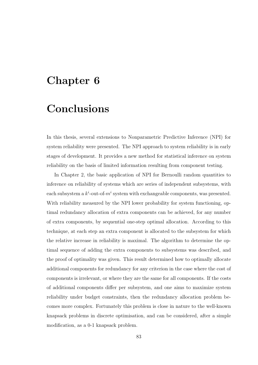## **Chapter 6**

## **Conclusions**

In this thesis, several extensions to Nonparametric Predictive Inference (NPI) for system reliability were presented. The NPI approach to system reliability is in early stages of development. It provides a new method for statistical inference on system reliability on the basis of limited information resulting from component testing.

In Chapter 2, the basic application of NPI for Bernoulli random quantities to inference on reliability of systems which are series of independent subsystems, with each subsystem a  $k^i$ -out-of- $m^i$  system with exchangeable components, was presented. With reliability measured by the NPI lower probability for system functioning, optimal redundancy allocation of extra components can be achieved, for any number of extra components, by sequential one-step optimal allocation. According to this technique, at each step an extra component is allocated to the subsystem for which the relative increase in reliability is maximal. The algorithm to determine the optimal sequence of adding the extra components to subsystems was described, and the proof of optimality was given. This result determined how to optimally allocate additional components for redundancy for any criterion in the case where the cost of components is irrelevant, or where they are the same for all components. If the costs of additional components differ per subsystem, and one aims to maximize system reliability under budget constraints, then the redundancy allocation problem becomes more complex. Fortunately this problem is close in nature to the well-known knapsack problems in discrete optimisation, and can be considered, after a simple modification, as a 0-1 knapsack problem.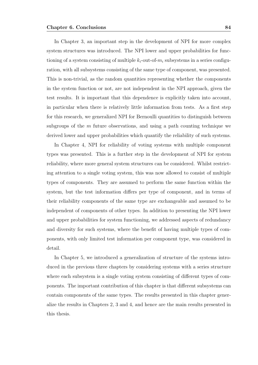In Chapter 3, an important step in the development of NPI for more complex system structures was introduced. The NPI lower and upper probabilities for functioning of a system consisting of multiple  $k_i$ -out-of- $m_i$  subsystems in a series configuration, with all subsystems consisting of the same type of component, was presented. This is non-trivial, as the random quantities representing whether the components in the system function or not, are not independent in the NPI approach, given the test results. It is important that this dependence is explicitly taken into account, in particular when there is relatively little information from tests. As a first step for this research, we generalized NPI for Bernoulli quantities to distinguish between subgroups of the *m* future observations, and using a path counting technique we derived lower and upper probabilities which quantify the reliability of such systems.

In Chapter 4, NPI for reliability of voting systems with multiple component types was presented. This is a further step in the development of NPI for system reliability, where more general system structures can be considered. Whilst restricting attention to a single voting system, this was now allowed to consist of multiple types of components. They are assumed to perform the same function within the system, but the test information differs per type of component, and in terms of their reliability components of the same type are exchangeable and assumed to be independent of components of other types. In addition to presenting the NPI lower and upper probabilities for system functioning, we addressed aspects of redundancy and diversity for such systems, where the benefit of having multiple types of components, with only limited test information per component type, was considered in detail.

In Chapter 5, we introduced a generalization of structure of the systems introduced in the previous three chapters by considering systems with a series structure where each subsystem is a single voting system consisting of different types of components. The important contribution of this chapter is that different subsystems can contain components of the same types. The results presented in this chapter generalize the results in Chapters 2, 3 and 4, and hence are the main results presented in this thesis.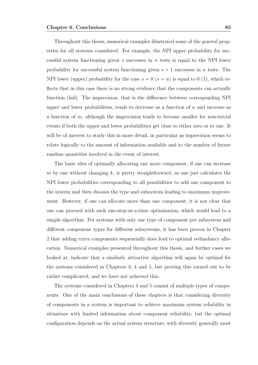Throughout this thesis, numerical examples illustrated some of the general properties for all systems considered. For example, the NPI upper probability for successful system functioning given *s* successes in *n* tests is equal to the NPI lower probability for successful system functioning given  $s + 1$  successes in *n* tests. The NPI lower (upper) probability for the case  $s = 0$  ( $s = n$ ) is equal to 0 (1), which reflects that in this case there is no strong evidence that the components can actually function (fail). The imprecision, that is the difference between corresponding NPI upper and lower probabilities, tends to decrease as a function of *n* and increase as a function of *m*, although the imprecision tends to become smaller for non-trivial events if both the upper and lower probabilities get close to either zero or to one. It will be of interest to study this in more detail, in particular as imprecision seems to relate logically to the amount of information available and to the number of future random quantities involved in the event of interest.

The basic idea of optimally allocating one more component, if one can increase *m* by one without changing *k*, is pretty straightforward, as one just calculates the NPI lower probabilities corresponding to all possibilities to add one component to the system and then chooses the type and subsystem leading to maximum improvement. However, if one can allocate more than one component, it is not clear that one can proceed with such one-step-at-a-time optimisation, which would lead to a simple algorithm. For systems with only one type of component per subsystem and different component types for different subsystems, it has been proven in Chapter 2 that adding extra components sequentially does lead to optimal redundancy allocation. Numerical examples presented throughout this thesis, and further cases we looked at, indicate that a similarly attractive algorithm will again be optimal for the systems considered in Chapters 3, 4 and 5, but proving this turned out to be rather complicated, and we have not achieved this.

The systems considered in Chapters 4 and 5 consist of multiple types of components. One of the main conclusions of these chapters is that considering diversity of components in a system is important to achieve maximum system reliability in situations with limited information about component reliability, but the optimal configuration depends on the actual system structure, with diversity generally most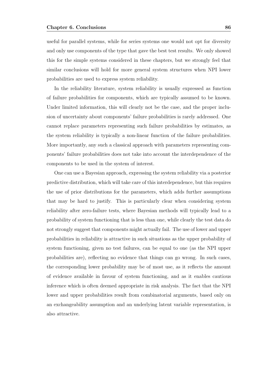useful for parallel systems, while for series systems one would not opt for diversity and only use components of the type that gave the best test results. We only showed this for the simple systems considered in these chapters, but we strongly feel that similar conclusions will hold for more general system structures when NPI lower probabilities are used to express system reliability.

In the reliability literature, system reliability is usually expressed as function of failure probabilities for components, which are typically assumed to be known. Under limited information, this will clearly not be the case, and the proper inclusion of uncertainty about components' failure probabilities is rarely addressed. One cannot replace parameters representing such failure probabilities by estimates, as the system reliability is typically a non-linear function of the failure probabilities. More importantly, any such a classical approach with parameters representing components' failure probabilities does not take into account the interdependence of the components to be used in the system of interest.

One can use a Bayesian approach, expressing the system reliability via a posterior predictive distribution, which will take care of this interdependence, but this requires the use of prior distributions for the parameters, which adds further assumptions that may be hard to justify. This is particularly clear when considering system reliability after zero-failure tests, where Bayesian methods will typically lead to a probability of system functioning that is less than one, while clearly the test data do not strongly suggest that components might actually fail. The use of lower and upper probabilities in reliability is attractive in such situations as the upper probability of system functioning, given no test failures, can be equal to one (as the NPI upper probabilities are), reflecting no evidence that things can go wrong. In such cases, the corresponding lower probability may be of most use, as it reflects the amount of evidence available in favour of system functioning, and as it enables cautious inference which is often deemed appropriate in risk analysis. The fact that the NPI lower and upper probabilities result from combinatorial arguments, based only on an exchangeability assumption and an underlying latent variable representation, is also attractive.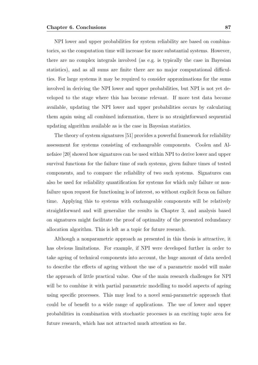NPI lower and upper probabilities for system reliability are based on combinatorics, so the computation time will increase for more substantial systems. However, there are no complex integrals involved (as e.g. is typically the case in Bayesian statistics), and as all sums are finite there are no major computational difficulties. For large systems it may be required to consider approximations for the sums involved in deriving the NPI lower and upper probabilities, but NPI is not yet developed to the stage where this has become relevant. If more test data become available, updating the NPI lower and upper probabilities occurs by calculating them again using all combined information, there is no straightforward sequential updating algorithm available as is the case in Bayesian statistics.

The theory of system signatures [51] provides a powerful framework for reliability assessment for systems consisting of exchangeable components. Coolen and Alnefaiee [20] showed how signatures can be used within NPI to derive lower and upper survival functions for the failure time of such systems, given failure times of tested components, and to compare the reliability of two such systems. Signatures can also be used for reliability quantification for systems for which only failure or nonfailure upon request for functioning is of interest, so without explicit focus on failure time. Applying this to systems with exchangeable components will be relatively straightforward and will generalize the results in Chapter 3, and analysis based on signatures might facilitate the proof of optimality of the presented redundancy allocation algorithm. This is left as a topic for future research.

Although a nonparametric approach as presented in this thesis is attractive, it has obvious limitations. For example, if NPI were developed further in order to take ageing of technical components into account, the huge amount of data needed to describe the effects of ageing without the use of a parametric model will make the approach of little practical value. One of the main research challenges for NPI will be to combine it with partial parametric modelling to model aspects of ageing using specific processes. This may lead to a novel semi-parametric approach that could be of benefit to a wide range of applications. The use of lower and upper probabilities in combination with stochastic processes is an exciting topic area for future research, which has not attracted much attention so far.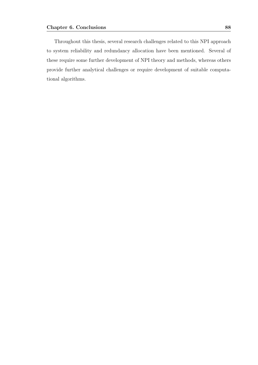Throughout this thesis, several research challenges related to this NPI approach to system reliability and redundancy allocation have been mentioned. Several of these require some further development of NPI theory and methods, whereas others provide further analytical challenges or require development of suitable computational algorithms.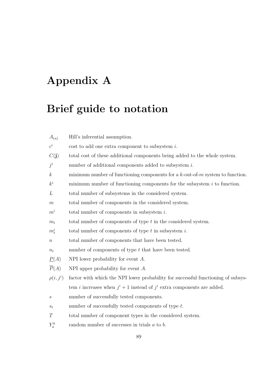# **Appendix A**

# **Brief guide to notation**

| $A_{(n)}$          | Hill's inferential assumption.                                                         |
|--------------------|----------------------------------------------------------------------------------------|
| $c^i$              | cost to add one extra component to subsystem $i$ .                                     |
| C(j)               | total cost of these additional components being added to the whole system.             |
| $j^i$              | number of additional components added to subsystem $i$ .                               |
| $\boldsymbol{k}$   | minimum number of functioning components for a $k$ -out-of- $m$ system to function.    |
| $k^i$              | minimum number of functioning components for the subsystem $i$ to function.            |
| L                  | total number of subsystems in the considered system.                                   |
| $\,m$              | total number of components in the considered system.                                   |
| $m^i$              | total number of components in subsystem $i$ .                                          |
| $m_t$              | total number of components of type $t$ in the considered system.                       |
| $m_t^i$            | total number of components of type $t$ in subsystem $i$ .                              |
| $\, n$             | total number of components that have been tested.                                      |
| $n_t$              | number of components of type $t$ that have been tested.                                |
| $\underline{P}(A)$ | NPI lower probability for event $A$ .                                                  |
| $\overline{P}(A)$  | NPI upper probability for event $A$ .                                                  |
| $\rho(i,j^i)$      | factor with which the NPI lower probability for successful functioning of subsys-      |
|                    | tem <i>i</i> increases when $j^{i} + 1$ instead of $j^{i}$ extra components are added. |
| $\boldsymbol{s}$   | number of successfully tested components.                                              |
| $s_t$              | number of successfully tested components of type $t$ .                                 |
| T                  | total number of component types in the considered system.                              |
| $Y_a^b$            | random number of successes in trials $a$ to $b$ .                                      |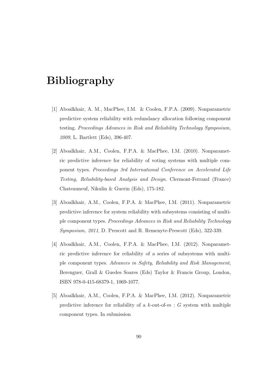# **Bibliography**

- [1] Aboalkhair, A. M., MacPhee, I.M. & Coolen, F.P.A. (2009). Nonparametric predictive system reliability with redundancy allocation following component testing. *Proceedings Advances in Risk and Reliability Technology Symposium, 2009*, L. Bartlett (Eds), 396-407.
- [2] Aboalkhair, A.M., Coolen, F.P.A. & MacPhee, I.M. (2010). Nonparametric predictive inference for reliability of voting systems with multiple component types. *Proceedings 3rd International Conference on Accelerated Life Testing, Reliability-based Analysis and Design*. Clermont-Ferrand (France) Chateauneuf, Nikulin & Guerin (Eds), 175-182.
- [3] Aboalkhair, A.M., Coolen, F.P.A. & MacPhee, I.M. (2011). Nonparametric predictive inference for system reliability with subsystems consisting of multiple component types. *Proceedings Advances in Risk and Reliability Technology Symposium, 2011*, D. Prescott and R. Remenyte-Prescott (Eds), 322-339.
- [4] Aboalkhair, A.M., Coolen, F.P.A. & MacPhee, I.M. (2012). Nonparametric predictive inference for reliability of a series of subsystems with multiple component types. *Advances in Safety, Reliability and Risk Management*, Berenguer, Grall & Guedes Soares (Eds) Taylor & Francis Group, London, ISBN 978-0-415-68379-1, 1069-1077.
- [5] Aboalkhair, A.M., Coolen, F.P.A. & MacPhee, I.M. (2012). Nonparametric predictive inference for reliability of a  $k$ -out-of- $m : G$  system with multiple component types. In submission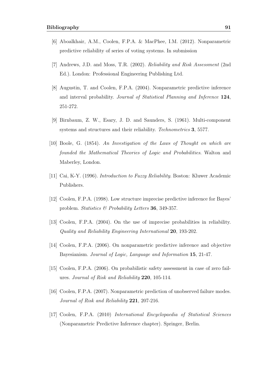- [6] Aboalkhair, A.M., Coolen, F.P.A. & MacPhee, I.M. (2012). Nonparametric predictive reliability of series of voting systems. In submission
- [7] Andrews, J.D. and Moss, T.R. (2002). *Reliability and Risk Assessment* (2nd Ed.). London: Professional Engineering Publishing Ltd.
- [8] Augustin, T. and Coolen, F.P.A. (2004). Nonparametric predictive inference and interval probability. *Journal of Statistical Planning and Inference* **124**, 251-272.
- [9] Birnbaum, Z. W., Esary, J. D. and Saunders, S. (1961). Multi-component systems and structures and their reliability. *Technometrics* **3**, 5577.
- [10] Boole, G. (1854). *An Investigation of the Laws of Thought on which are founded the Mathematical Theories of Logic and Probabilities*. Walton and Maberley, London.
- [11] Cai, K-Y. (1996). *Introduction to Fuzzy Reliability*. Boston: Kluwer Academic Publishers.
- [12] Coolen, F.P.A. (1998). Low structure imprecise predictive inference for Bayes' problem. *Statistics & Probability Letters* **36**, 349-357.
- [13] Coolen, F.P.A. (2004). On the use of imprecise probabilities in reliability. *Quality and Reliability Engineering International* **20**, 193-202.
- [14] Coolen, F.P.A. (2006). On nonparametric predictive inference and objective Bayesianism. *Journal of Logic, Language and Information* **15**, 21-47.
- [15] Coolen, F.P.A. (2006). On probabilistic safety assessment in case of zero failures. *Journal of Risk and Reliability* **220**, 105-114.
- [16] Coolen, F.P.A. (2007). Nonparametric prediction of unobserved failure modes. *Journal of Risk and Reliability* **221**, 207-216.
- [17] Coolen, F.P.A. (2010) *International Encyclopaedia of Statistical Sciences* (Nonparametric Predictive Inference chapter). Springer, Berlin.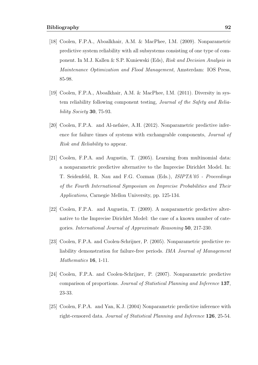- [18] Coolen, F.P.A., Aboalkhair, A.M. & MacPhee, I.M. (2009). Nonparametric predictive system reliability with all subsystems consisting of one type of component. In M.J. Kallen & S.P. Kuniewski (Eds), *Risk and Decision Analysis in Maintenance Optimization and Flood Management*, Amsterdam: IOS Press, 85-98.
- [19] Coolen, F.P.A., Aboalkhair, A.M. & MacPhee, I.M. (2011). Diversity in system reliability following component testing, *Journal of the Safety and Reliability Society* **30**, 75-93.
- [20] Coolen, F.P.A. and Al-nefaiee, A.H. (2012). Nonparametric predictive inference for failure times of systems with exchangeable components, *Journal of Risk and Reliability* to appear.
- [21] Coolen, F.P.A. and Augustin, T. (2005). Learning from multinomial data: a nonparametric predictive alternative to the Imprecise Dirichlet Model. In: T. Seidenfeld, R. Nau and F.G. Cozman (Eds.), *ISIPTA'05 - Proceedings of the Fourth International Symposium on Imprecise Probabilities and Their Applications*, Carnegie Mellon University, pp. 125-134.
- [22] Coolen, F.P.A. and Augustin, T. (2009). A nonparametric predictive alternative to the Imprecise Dirichlet Model: the case of a known number of categories. *International Journal of Approximate Reasoning* **50**, 217-230.
- [23] Coolen, F.P.A. and Coolen-Schrijner, P. (2005). Nonparametric predictive reliability demonstration for failure-free periods. *IMA Journal of Management Mathematics* **16**, 1-11.
- [24] Coolen, F.P.A. and Coolen-Schrijner, P. (2007). Nonparametric predictive comparison of proportions. *Journal of Statistical Planning and Inference* **137**, 23-33.
- [25] Coolen, F.P.A. and Yan, K.J. (2004) Nonparametric predictive inference with right-censored data. *Journal of Statistical Planning and Inference* **126**, 25-54.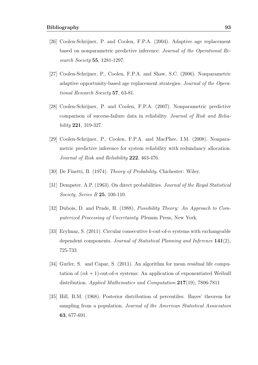- [26] Coolen-Schrijner, P. and Coolen, F.P.A. (2004). Adaptive age replacement based on nonparametric predictive inference. *Journal of the Operational Research Society* **55**, 1281-1297.
- [27] Coolen-Schrijner, P., Coolen, F.P.A. and Shaw, S.C. (2006). Nonparametric adaptive opportunity-based age replacement strategies. *Journal of the Operational Research Society* **57**, 63-81.
- [28] Coolen-Schrijner, P. and Coolen, F.P.A. (2007). Nonparametric predictive comparison of success-failure data in reliability. *Journal of Risk and Reliability* **221**, 319-327.
- [29] Coolen-Schrijner, P., Coolen, F.P.A. and MacPhee, I.M. (2008). Nonparametric predictive inference for system reliability with redundancy allocation. *Journal of Risk and Reliability* **222**, 463-476.
- [30] De Finetti, B. (1974). *Theory of Probability*. Chichester: Wiley.
- [31] Dempster, A.P. (1963). On direct probabilities. *Journal of the Royal Statistical Society, Series B* **25**, 100-110.
- [32] Dubois, D. and Prade, H. (1988), *Possibility Theory: An Approach to Computerized Processing of Uncertainty*. Plenum Press, New York.
- [33] Erylmaz, S. (2011). Circular consecutive *k*-out-of-*n* systems with exchangeable dependent components. *Journal of Statistical Planning and Inference* **141**(2), 725-733
- [34] Gurler, S. and Capar, S. (2011). An algorithm for mean residual life computation of  $(nk+1)$ -out-of-*n* systems: An application of exponentiated Weibull distribution. *Applied Mathematics and Computation* **217**(19), 7806-7811
- [35] Hill, B.M. (1968). Posterior distribution of percentiles: Bayes' theorem for sampling from a population. *Journal of the American Statistical Association* **63**, 677-691.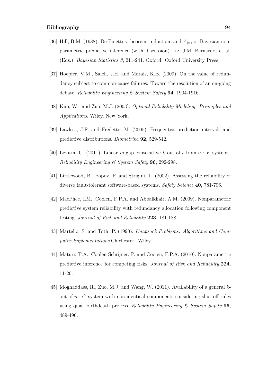- [36] Hill, B.M. (1988). De Finetti's theorem, induction, and  $A_{(n)}$  or Bayesian nonparametric predictive inference (with discussion). In: J.M. Bernardo, et al. (Eds.), *Bayesian Statistics 3*, 211-241. Oxford: Oxford University Press.
- [37] Hoepfer, V.M., Saleh, J.H. and Marais, K.B. (2009). On the value of redundancy subject to common-cause failures: Toward the resolution of an on-going debate. *Reliability Engineering & System Safety* **94**, 1904-1916.
- [38] Kuo, W. and Zuo, M.J. (2003). *Optimal Reliability Modeling: Principles and Applications*. Wiley, New York.
- [39] Lawless, J.F. and Fredette, M. (2005). Frequentist prediction intervals and predictive distributions. *Biometrika* **92**, 529-542.
- [40] Levitin, G. (2011). Linear *m*-gap-consecutive *k*-out-of-*r*-from-*n* : *F* systems. *Reliability Engineering & System Safety* **96**, 292-298.
- [41] Littlewood, B., Popov, P. and Strigini, L. (2002). Assessing the reliability of diverse fault-tolerant software-based systems. *Safety Science* **40**, 781-796.
- [42] MacPhee, I.M., Coolen, F.P.A. and Aboalkhair, A.M. (2009). Nonparametric predictive system reliability with redundancy allocation following component testing. *Journal of Risk and Reliability* **223**, 181-188.
- [43] Martello, S. and Toth, P. (1990). *Knapsack Problems: Algorithms and Computer Implementations*.Chichester: Wiley.
- [44] Maturi, T.A., Coolen-Schrijner, P. and Coolen, F.P.A. (2010). Nonparametric predictive inference for competing risks. *Journal of Risk and Reliability* **224**, 11-26.
- [45] Moghaddass, R., Zuo, M.J. and Wang, W. (2011). Availability of a general *k*out-of-*n* : *G* system with non-identical components considering shut-off rules using quasi-birthdeath process. *Reliability Engineering & System Safety* **96**, 489-496.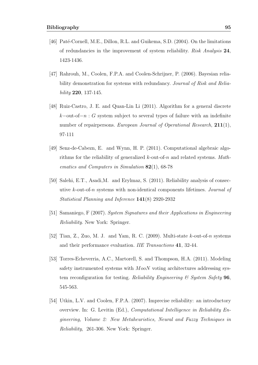- [46] Paté-Cornell, M.E., Dillon, R.L. and Guikema, S.D. (2004). On the limitations of redundancies in the improvement of system reliability. *Risk Analysis* **24**, 1423-1436.
- [47] Rahrouh, M., Coolen, F.P.A. and Coolen-Schrijner, P. (2006). Bayesian reliability demonstration for systems with redundancy. *Journal of Risk and Reliability* **220**, 137-145.
- [48] Ruiz-Castro, J. E. and Quan-Lin Li (2011). Algorithm for a general discrete *k−*out-of*−n* : *G* system subject to several types of failure with an indefinite number of repairpersons. *European Journal of Operational Research*, **211**(1), 97-111
- [49] Senz-de-Cabezn, E. and Wynn, H. P. (2011). Computational algebraic algorithms for the reliability of generalized *k*-out-of-*n* and related systems. *Mathematics and Computers in Simulation* **82**(1), 68-78
- [50] Salehi, E.T., Asadi,M. and Erylmaz, S. (2011). Reliability analysis of consecutive *k*-out-of-*n* systems with non-identical components lifetimes. *Journal of Statistical Planning and Inference* **141**(8) 2920-2932
- [51] Samaniego, F (2007). *System Signatures and their Applications in Engineering Reliability*. New York: Springer.
- [52] Tian, Z., Zuo, M. J. and Yam, R. C. (2009). Multi-state *k*-out-of-*n* systems and their performance evaluation. *IIE Transactions* **41**, 32-44.
- [53] Torres-Echeverria, A.C., Martorell, S. and Thompson, H.A. (2011). Modeling safety instrumented systems with *MooN* voting architectures addressing system reconfiguration for testing. *Reliability Engineering & System Safety* **96**, 545-563.
- [54] Utkin, L.V. and Coolen, F.P.A. (2007). Imprecise reliability: an introductory overview. In: G. Levitin (Ed.), *Computational Intelligence in Reliability Engineering, Volume 2: New Metaheuristics, Neural and Fuzzy Techniques in Reliability*, 261-306. New York: Springer.